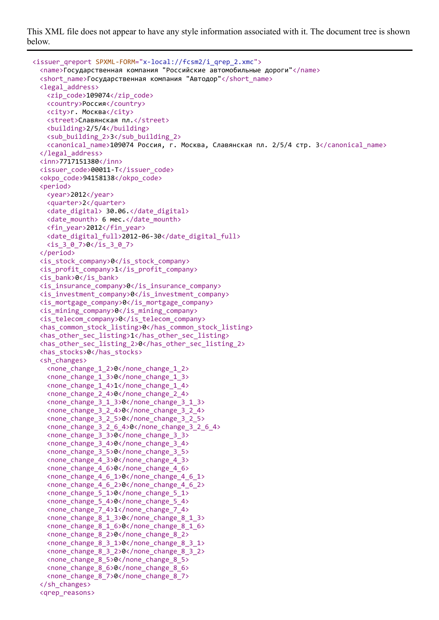This XML file does not appear to have any style information associated with it. The document tree is shown below.

```
<issuer_qreport SPXML-FORM="x-local://fcsm2/i_qrep_2.xmc">
  <name>Государственная компания "Российские автомобильные дороги"</name>
 <short_name>Государственная компания "Автодор"</short_name>
 <legal_address>
   <zip_code>109074</zip_code>
   <country>Россия</country>
   <city>г. Москва</city>
   <street>Славянская пл.</street>
   <building>2/5/4</building>
   <sub_building_2>3</sub_building_2>
   <canonical_name>109074 Россия, г. Москва, Славянская пл. 2/5/4 стр. 3</canonical_name>
 </legal_address>
 <inn>7717151380</inn>
 <issuer_code>00011-T</issuer_code>
 <okpo_code>94158138</okpo_code>
 <period>
   <year>2012</year>
   <quarter>2</quarter>
   <date_digital> 30.06.</date_digital>
   <date_mounth> 6 мес.</date_mounth>
   <fin_year>2012</fin_year>
   <date_digital_full>2012-06-30</date_digital_full>
   <is_3_0_7>0</is_3_0_7>
 </period>
 <is_stock_company>0</is_stock_company>
 <is_profit_company>1</is_profit_company>
 <is_bank>0</is_bank>
 <is_insurance_company>0</is_insurance_company>
 <is_investment_company>0</is_investment_company>
 <is_mortgage_company>0</is_mortgage_company>
 <is_mining_company>0</is_mining_company>
 <is_telecom_company>0</is_telecom_company>
 <has_common_stock_listing>0</has_common_stock_listing>
 <has_other_sec_listing>1</has_other_sec_listing>
 <has_other_sec_listing_2>0</has_other_sec_listing_2>
 <has_stocks>0</has_stocks>
 <sh_changes>
   <none_change_1_2>0</none_change_1_2>
   <none_change_1_3>0</none_change_1_3>
   <none_change_1_4>1</none_change_1_4>
   <none_change_2_4>0</none_change_2_4>
   <none_change_3_1_3>0</none_change_3_1_3>
   <none_change_3_2_4>0</none_change_3_2_4>
   <none_change_3_2_5>0</none_change_3_2_5>
   <none_change_3_2_6_4>0</none_change_3_2_6_4>
   <none_change_3_3>0</none_change_3_3>
   <none_change_3_4>0</none_change_3_4>
   <none_change_3_5>0</none_change_3_5>
   <none_change_4_3>0</none_change_4_3>
   <none_change_4_6>0</none_change_4_6>
   <none_change_4_6_1>0</none_change_4_6_1>
   <none_change_4_6_2>0</none_change_4_6_2>
   <none_change_5_1>0</none_change_5_1>
   <none_change_5_4>0</none_change_5_4>
   <none_change_7_4>1</none_change_7_4>
   <none_change_8_1_3>0</none_change_8_1_3>
   <none_change_8_1_6>0</none_change_8_1_6>
   <none_change_8_2>0</none_change_8_2>
   <none_change_8_3_1>0</none_change_8_3_1>
   <none_change_8_3_2>0</none_change_8_3_2>
   <none_change_8_5>0</none_change_8_5>
   <none_change_8_6>0</none_change_8_6>
   <none_change_8_7>0</none_change_8_7>
  </sh_changes>
  <qrep_reasons>
```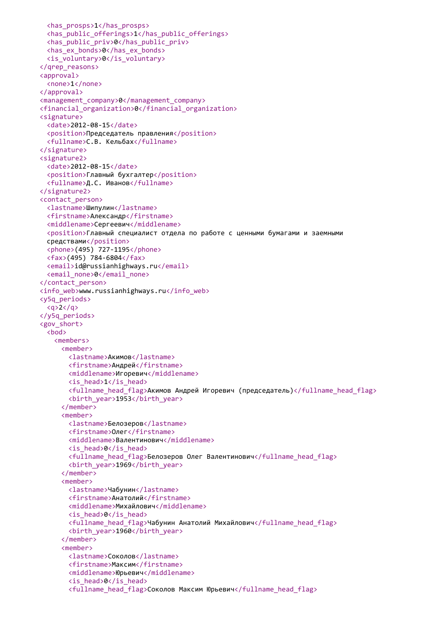```
<has_prosps>1</has_prosps>
  <has_public_offerings>1</has_public_offerings>
  <has_public_priv>0</has_public_priv>
  <has_ex_bonds>0</has_ex_bonds>
  <is_voluntary>0</is_voluntary>
</qrep_reasons>
<approval>
  <none>1</none>
</approval>
<management_company>0</management_company>
<financial_organization>0</financial_organization>
<signature>
  <date>2012-08-15</date>
  <position>Председатель правления</position>
  <fullname>С.В. Кельбах</fullname>
</signature>
<signature2>
  <date>2012-08-15</date>
  <position>Главный бухгалтер</position>
  <fullname>Д.С. Иванов</fullname>
</signature2>
<contact_person>
  <lastname>Шипулин</lastname>
  <firstname>Александр</firstname>
  <middlename>Сергеевич</middlename>
  <position>Главный специалист отдела по работе с ценными бумагами и заемными
  средствами</position>
  <phone>(495) 727-1195</phone>
  <fax>(495) 784-6804</fax>
  <email>id@russianhighways.ru</email>
  <email_none>0</email_none>
</contact_person>
<info_web>www.russianhighways.ru</info_web>
<y5q_periods>
  \langle q \rangle2\langle q \rangle</y5q_periods>
<gov_short>
  <bod>
   <members>
     <member>
       <lastname>Акимов</lastname>
       <firstname>Андрей</firstname>
       <middlename>Игоревич</middlename>
       <is_head>1</is_head>
       <fullname head flag>Акимов Андрей Игоревич (председатель)</fullname head flag>
       <birth_year>1953</birth_year>
     </member>
     <member>
       <lastname>Белозеров</lastname>
       <firstname>Олег</firstname>
       <middlename>Валентинович</middlename>
       <is_head>0</is_head>
       <fullname_head_flag>Белозеров Олег Валентинович</fullname_head_flag>
       <birth_year>1969</birth_year>
     </member>
     <member>
       <lastname>Чабунин</lastname>
       <firstname>Анатолий</firstname>
       <middlename>Михайлович</middlename>
       <is_head>0</is_head>
       <fullname_head_flag>Чабунин Анатолий Михайлович</fullname_head_flag>
       <birth_year>1960</birth_year>
     </member>
     <member>
       <lastname>Соколов</lastname>
       <firstname>Максим</firstname>
       <middlename>Юрьевич</middlename>
       <is_head>0</is_head>
       <fullname_head_flag>Соколов Максим Юрьевич</fullname_head_flag>
```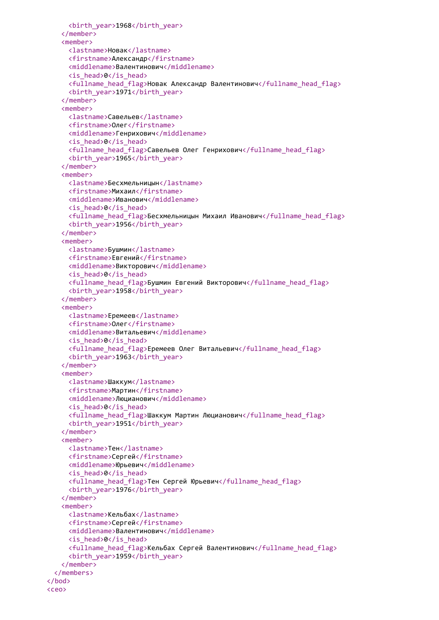```
<birth_year>1968</birth_year>
   </member>
   <member>
     <lastname>Новак</lastname>
     <firstname>Александр</firstname>
     <middlename>Валентинович</middlename>
     <is_head>0</is_head>
     <fullname_head_flag>Новак Александр Валентинович</fullname_head_flag>
     <birth_year>1971</birth_year>
   </member>
   <member>
     <lastname>Савельев</lastname>
     <firstname>Олег</firstname>
     <middlename>Генрихович</middlename>
     <is_head>0</is_head>
     <fullname_head_flag>Савельев Олег Генрихович</fullname_head_flag>
     <birth_year>1965</birth_year>
   </member>
   <member>
     <lastname>Бесхмельницын</lastname>
     <firstname>Михаил</firstname>
     <middlename>Иванович</middlename>
     <is_head>0</is_head>
     <fullname_head_flag>Бесхмельницын Михаил Иванович</fullname_head_flag>
     <birth_year>1956</birth_year>
   </member>
   <member>
     <lastname>Бушмин</lastname>
     <firstname>Евгений</firstname>
     <middlename>Викторович</middlename>
     <is_head>0</is_head>
     <fullname_head_flag>Бушмин Евгений Викторович</fullname_head_flag>
     <birth_year>1958</birth_year>
   </member>
   <member>
     <lastname>Еремеев</lastname>
     <firstname>Олег</firstname>
     <middlename>Витальевич</middlename>
     <is_head>0</is_head>
     <fullname_head_flag>Еремеев Олег Витальевич</fullname_head_flag>
     <birth_year>1963</birth_year>
   </member>
   <member>
     <lastname>Шаккум</lastname>
     <firstname>Мартин</firstname>
     <middlename>Люцианович</middlename>
     <is_head>0</is_head>
     <fullname_head_flag>Шаккум Мартин Люцианович</fullname_head_flag>
     <birth_year>1951</birth_year>
   </member>
   <member>
     <lastname>Тен</lastname>
     <firstname>Сергей</firstname>
     <middlename>Юрьевич</middlename>
     <is_head>0</is_head>
     <fullname_head_flag>Тен Сергей Юрьевич</fullname_head_flag>
     <birth_year>1976</birth_year>
   </member>
   <member>
     <lastname>Кельбах</lastname>
     <firstname>Сергей</firstname>
     <middlename>Валентинович</middlename>
     <is_head>0</is_head>
     <fullname_head_flag>Кельбах Сергей Валентинович</fullname_head_flag>
     <birth_year>1959</birth_year>
   </member>
 </members>
</bod>
<ceo>
```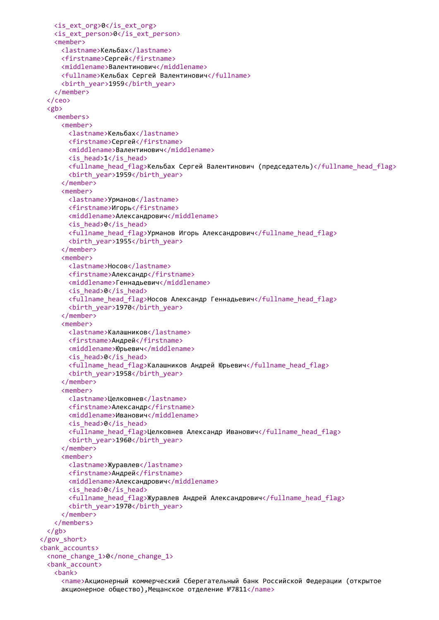```
<is_ext_org>0</is_ext_org>
   <is_ext_person>0</is_ext_person>
   <member>
     <lastname>Кельбах</lastname>
     <firstname>Сергей</firstname>
     <middlename>Валентинович</middlename>
     <fullname>Кельбах Сергей Валентинович</fullname>
     <birth_year>1959</birth_year>
   </member>
 </ceo>
 <gb>
   <members>
     <member>
       <lastname>Кельбах</lastname>
       <firstname>Сергей</firstname>
       <middlename>Валентинович</middlename>
       <is_head>1</is_head>
       <fullname_head_flag>Кельбах Сергей Валентинович (председатель)</fullname_head_flag>
       <birth_year>1959</birth_year>
     </member>
     <member>
       <lastname>Урманов</lastname>
       <firstname>Игорь</firstname>
       <middlename>Александрович</middlename>
       <is_head>0</is_head>
       <fullname_head_flag>Урманов Игорь Александрович</fullname_head_flag>
       <birth_year>1955</birth_year>
     </member>
     <member>
       <lastname>Носов</lastname>
       <firstname>Александр</firstname>
       <middlename>Геннадьевич</middlename>
       <is_head>0</is_head>
       <fullname_head_flag>Носов Александр Геннадьевич</fullname_head_flag>
       <birth_year>1970</birth_year>
     </member>
     <member>
       <lastname>Калашников</lastname>
       <firstname>Андрей</firstname>
       <middlename>Юрьевич</middlename>
       <is_head>0</is_head>
       <fullname_head_flag>Калашников Андрей Юрьевич</fullname_head_flag>
       <birth_year>1958</birth_year>
     </member>
     <member>
       <lastname>Целковнев</lastname>
       <firstname>Александр</firstname>
       <middlename>Иванович</middlename>
       <is_head>0</is_head>
       <fullname_head_flag>Целковнев Александр Иванович</fullname_head_flag>
       <birth_year>1960</birth_year>
     </member>
     <member>
       <lastname>Журавлев</lastname>
       <firstname>Андрей</firstname>
       <middlename>Александрович</middlename>
       <is_head>0</is_head>
       <fullname_head_flag>Журавлев Андрей Александрович</fullname_head_flag>
       <birth_year>1970</birth_year>
     </member>
   </members>
 </gb>
</gov_short>
<bank_accounts>
 <none_change_1>0</none_change_1>
 <bank_account>
   <bank>
     <name>Акционерный коммерческий Сберегательный банк Российской Федерации (открытое
     акционерное общество),Мещанское отделение №7811</name>
```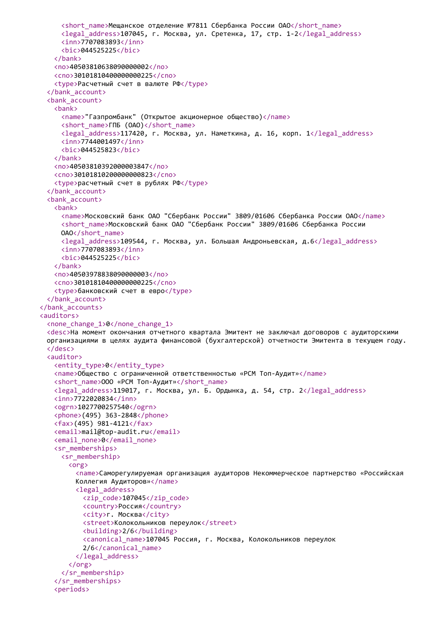```
<short_name>Мещанское отделение №7811 Сбербанка России ОАО</short_name>
     <legal_address>107045, г. Москва, ул. Сретенка, 17, стр. 1-2</legal_address>
     <inn>7707083893</inn>
     <bic>044525225</bic>
   </bank>
   <no>40503810638090000002</no>
   <cno>30101810400000000225</cno>
   <type>Расчетный счет в валюте РФ</type>
 </bank_account>
 <bank_account>
   <bank>
     <name>"Газпромбанк" (Открытое акционерное общество)</name>
     <short name>ГПБ (ОАО)</short name>
     <legal_address>117420, г. Москва, ул. Наметкина, д. 16, корп. 1</legal_address>
     <inn>7744001497</inn>
     <bic>044525823</bic>
   </bank>
   <no>40503810392000003847</no>
   <cno>30101810200000000823</cno>
   <type>расчетный счет в рублях РФ</type>
 </bank_account>
 <bank_account>
   <bank>
     <name>Московский банк ОАО "Сбербанк России" 3809/01606 Сбербанка России ОАО</name>
     <short_name>Московский банк ОАО "Сбербанк России" 3809/01606 Сбербанка России
     OAO</short_name>
     <legal_address>109544, г. Москва, ул. Большая Андроньевская, д.6</legal_address>
     <inn>7707083893</inn>
     <bic>044525225</bic>
   </bank>
   <no>40503978838090000003</no>
   <cno>30101810400000000225</cno>
   <type>банковский счет в евро</type>
 </bank_account>
</bank_accounts>
<auditors>
 <none_change_1>0</none_change_1>
 <desc>На момент окончания отчетного квартала Эмитент не заключал договоров с аудиторскими
 организациями в целях аудита финансовой (бухгалтерской) отчетности Эмитента в текущем году.
 </desc>
 <auditor>
   <entity_type>0</entity_type>
   <name>Общество с ограниченной ответственностью «РСМ Топ-Аудит»</name>
   <short_name>ООО «РСМ Топ-Аудит»</short_name>
   <legal_address>119017, г. Москва, ул. Б. Ордынка, д. 54, стр. 2</legal_address>
   <inn>7722020834</inn>
   <ogrn>1027700257540</ogrn>
   <phone>(495) 363-2848</phone>
   <fax>(495) 981-4121</fax>
   <email>mail@top-audit.ru</email>
   <email_none>0</email_none>
   <sr_memberships>
     <sr_membership>
       \langleorg\rangle<name>Саморегулируемая организация аудиторов Некоммерческое партнерство «Российская
         Коллегия Аудиторов»</name>
         <legal_address>
          <zip_code>107045</zip_code>
          <country>Россия</country>
           <city>г. Москва</city>
           <street>Колокольников переулок</street>
           <building>2/6</building>
           <canonical_name>107045 Россия, г. Москва, Колокольников переулок
           2/6</canonical_name>
         </legal_address>
       </org>
     </sr_membership>
   </sr_memberships>
   <periods>
```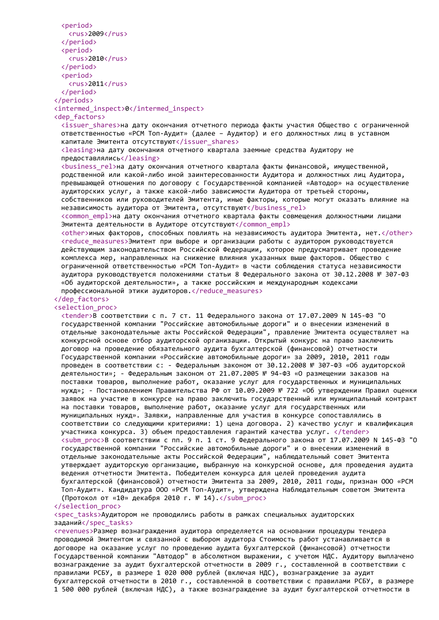```
<period>
   <rus>2009</rus>
 </period>
 <period>
   <rus>2010</rus>
 </period>
 <period>
   <rus>2011</rus>
 </period>
</periods>
<intermed_inspect>0</intermed_inspect>
<dep_factors>
 <issuer shares>на дату окончания отчетного периода факты участия Общество с ограниченной
 ответственностью «РСМ Топ-Аудит» (далее – Аудитор) и его должностных лиц в уставном
 капитале Эмитента отсутствуют</issuer_shares>
 <leasing>на дату окончания отчетного квартала заемные средства Аудитору не
 предоставлялись</leasing>
 <business rel>на дату окончания отчетного квартала факты финансовой, имущественной,
 родственной или какой-либо иной заинтересованности Аудитора и должностных лиц Аудитора,
 превышающей отношения по договору с Государственной компанией «Автодор» на осуществление
 аудиторских услуг, а также какой-либо зависимости Аудитора от третьей стороны,
 собственников или руководителей Эмитента, иные факторы, которые могут оказать влияние на
 независимость аудитора от Эмитента, отсутствуют</business rel><common empl>на дату окончания отчетного квартала факты совмещения должностными лицами
 Эмитента деятельности в Аудиторе отсутствуют</common_empl>
 <other>иных факторов, способных повлиять на независимость аудитора Эмитента, нет.</other>
 <reduce measures>Эмитент при выборе и организации работы с аудитором руководствуется
 действующим законодательством Российской Федерации, которое предусматривает проведение
 комплекса мер, направленных на снижение влияния указанных выше факторов. Общество с
 ограниченной ответственностью «РСМ Топ-Аудит» в части соблюдения статуса независимости
 аудитора руководствуется положениями статьи 8 Федерального закона от 30.12.2008 № 307-ФЗ
 «Об аудиторской деятельности», а также российским и международным кодексами
 профессиональной этики аудиторов.</reduce measures>
</dep_factors>
<selection_proc>
 <tender>В соответствии с п. 7 ст. 11 Федерального закона от 17.07.2009 N 145-ФЗ "О
 государственной компании "Российские автомобильные дороги" и о внесении изменений в
 отдельные законодательные акты Российской Федерации", правление Эмитента осуществляет на
 конкурсной основе отбор аудиторской организации. Открытый конкурс на право заключить
 договор на проведение обязательного аудита бухгалтерской (финансовой) отчетности
 Государственной компании «Российские автомобильные дороги» за 2009, 2010, 2011 годы
 проведен в соответствии с: - Федеральным законом от 30.12.2008 № 307-ФЗ «Об аудиторской
 деятельности»; - Федеральным законом от 21.07.2005 № 94-ФЗ «О размещении заказов на
 поставки товаров, выполнение работ, оказание услуг для государственных и муниципальных
 нужд»; - Постановлением Правительства РФ от 10.09.2009 № 722 «Об утверждении Правил оценки
 заявок на участие в конкурсе на право заключить государственный или муниципальный контракт
 на поставки товаров, выполнение работ, оказание услуг для государственных или
 муниципальных нужд». Заявки, направленные для участия в конкурсе сопоставлялись в
 соответствии со следующими критериями: 1) цена договора. 2) качество услуг и квалификация
 участника конкурса. 3) объем предоставления гарантий качества услуг. </tender>
 \lesubm proc>В соответствии с пп. 9 п. 1 ст. 9 Федерального закона от 17.07.2009 N 145-ФЗ "О
 государственной компании "Российские автомобильные дороги" и о внесении изменений в
 отдельные законодательные акты Российской Федерации", наблюдательный совет Эмитента
 утверждает аудиторскую организацию, выбранную на конкурсной основе, для проведения аудита
 ведения отчетности Эмитента. Победителем конкурса для целей проведения аудита
 бухгалтерской (финансовой) отчетности Эмитента за 2009, 2010, 2011 годы, признан ООО «РСМ
 Топ-Аудит». Кандидатура ООО «РСМ Топ-Аудит», утверждена Наблюдательным советом Эмитента
 (Протокол от «10» декабря 2010 г. № 14).\lt/subm_proc>
</selection_proc>
<spec_tasks>Аудитором не проводились работы в рамках специальных аудиторских
заданий</spec_tasks>
```
<revenues>Размер вознаграждения аудитора определяется на основании процедуры тендера проводимой Эмитентом и связанной с выбором аудитора Стоимость работ устанавливается в договоре на оказание услуг по проведению аудита бухгалтерской (финансовой) отчетности Государственной компании "Автодор" в абсолютном выражении, с учетом НДС. Аудитору выплачено вознаграждение за аудит бухгалтерской отчетности в 2009 г., составленной в соответствии с правилами РСБУ, в размере 1 020 000 рублей (включая НДС), вознаграждение за аудит бухгалтерской отчетности в 2010 г., составленной в соответствии с правилами РСБУ, в размере 1 500 000 рублей (включая НДС), а также вознаграждение за аудит бухгалтерской отчетности в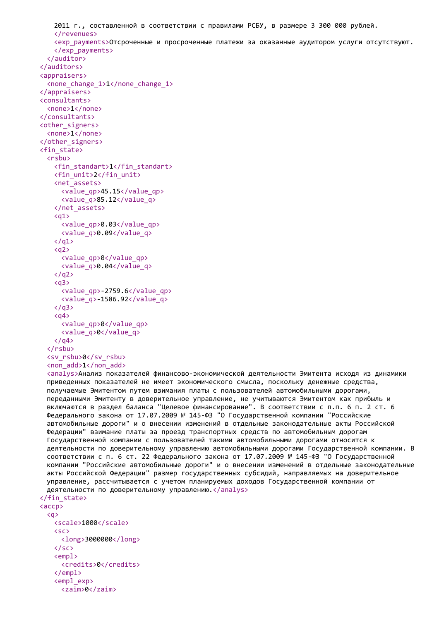```
2011 г., составленной в соответствии с правилами РСБУ, в размере 3 300 000 рублей.
    </revenues>
    <exp_payments>Отсроченные и просроченные платежи за оказанные аудитором услуги отсутствуют.
    </exp_payments>
  </auditor>
</auditors>
<appraisers>
  \langle none change 1>1\langle/none change 1></appraisers>
<consultants>
  <none>1</none>
</consultants>
<other_signers>
  <none>1</none>
</other_signers>
<fin_state>
  <rsbu>
   <fin_standart>1</fin_standart>
    <fin_unit>2</fin_unit>
   <net_assets>
     <value_qp>45.15</value_qp>
     <value_q>85.12</value_q>
    </net_assets>
    <sub>q1</sub></sub>
     <value_qp>0.03</value_qp>
     <value_q>0.09</value_q>
    \langle/q1>
    <a<sub>2</sub><value_qp>0</value_qp>
     <value_q>0.04</value_q>
    \langle/q2>
    <a<sub>3</sub><value_qp>-2759.6</value_qp>
     <value_q>-1586.92</value_q>
    \langle/q3>
    <sub>q4</sub></sub>
     <value_qp>0</value_qp>
     <value_q>0</value_q>
    \langle/q4>
  </rsbu>
  <sv_rsbu>0</sv_rsbu>
 <non_add>1</non_add>
  <analys>Анализ показателей финансово-экономической деятельности Эмитента исходя из динамики
  приведенных показателей не имеет экономического смысла, поскольку денежные средства,
  получаемые Эмитентом путем взимания платы с пользователей автомобильными дорогами,
  переданными Эмитенту в доверительное управление, не учитываются Эмитентом как прибыль и
  включаются в раздел баланса "Целевое финансирование". В соответствии с п.п. 6 п. 2 ст. 6
  Федерального закона от 17.07.2009 № 145-ФЗ "О Государственной компании "Российские
  автомобильные дороги" и о внесении изменений в отдельные законодательные акты Российской
  Федерации" взимание платы за проезд транспортных средств по автомобильным дорогам
  Государственной компании с пользователей такими автомобильными дорогами относится к
 деятельности по доверительному управлению автомобильными дорогами Государственной компании. В
  соответствии с п. 6 ст. 22 Федерального закона от 17.07.2009 № 145-ФЗ "О Государственной
  компании "Российские автомобильные дороги" и о внесении изменений в отдельные законодательные
  акты Российской Федерации" размер государственных субсидий, направляемых на доверительное
 управление, рассчитывается с учетом планируемых доходов Государственной компании от
 деятельности по доверительному управлению.</analys>
</fin_state>
<accp>
  \langlea>
   <scale>1000</scale>
    \langlesc\rangle<long>3000000</long>
   \langle/sc\rangle\le empl ><credits>0</credits>
    </empl>
```
<empl\_exp>

<zaim>0</zaim>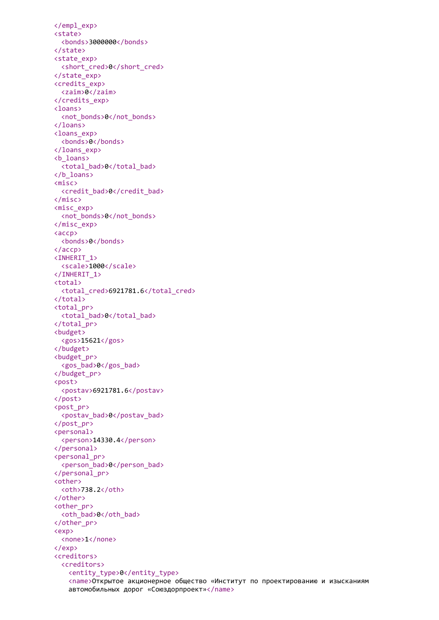</empl\_exp> <state> <bonds>3000000</bonds> </state> <state\_exp> <short\_cred>0</short\_cred> </state\_exp> <credits\_exp> <zaim>0</zaim> </credits\_exp> <loans> <not\_bonds>0</not\_bonds> </loans> <loans\_exp> <bonds>0</bonds> </loans\_exp> <b\_loans> <total bad>0</total bad> </b\_loans> <misc> <credit\_bad>0</credit\_bad> </misc> <misc\_exp> <not\_bonds>0</not\_bonds> </misc\_exp> <accp> <bonds>0</bonds> </accp> <INHERIT\_1> <scale>1000</scale> </INHERIT\_1> <total> <total\_cred>6921781.6</total\_cred> </total> <total\_pr> <total\_bad>0</total\_bad> </total\_pr> <budget> <gos>15621</gos> </budget> <budget\_pr> <gos\_bad>0</gos\_bad> </budget\_pr> <post> <postav>6921781.6</postav> </post> <post\_pr> <postav\_bad>0</postav\_bad> </post\_pr> <personal> <person>14330.4</person> </personal> <personal\_pr> <person\_bad>0</person\_bad> </personal\_pr> <other> <oth>738.2</oth> </other> <other\_pr> <oth\_bad>0</oth\_bad> </other\_pr> <exp> <none>1</none> </exp> <creditors> <creditors> <entity\_type>0</entity\_type> <name>Открытое акционерное общество «Институт по проектированию и изысканиям автомобильных дорог «Союздорпроект»</name>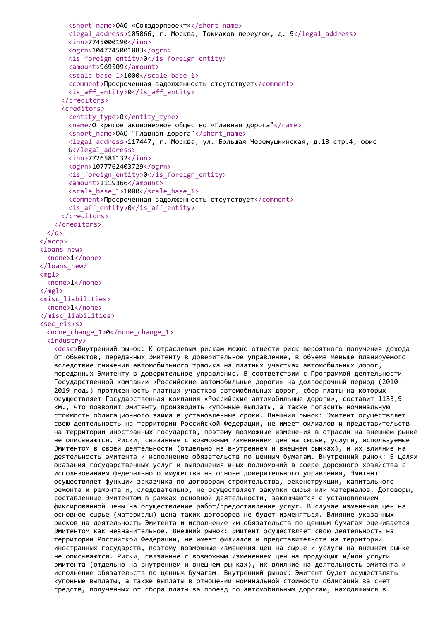```
<short_name>ОАО «Союздорпроект»</short_name>
       <legal_address>105066, г. Москва, Токмаков переулок, д. 9</legal_address>
       <inn>7745000190</inn>
       <ogrn>1047745001083</ogrn>
       <is_foreign_entity>0</is_foreign_entity>
       <amount>969509</amount>
       <scale_base_1>1000</scale_base_1>
       <comment>Просроченная задолженность отсутствует</comment>
       <is_aff_entity>0</is_aff_entity>
     </creditors>
     <creditors>
       <entity_type>0</entity_type>
       <name>Открытое акционерное общество «Главная дорога"</name>
       <short name>ОАО "Главная дорога"</short_name>
       <legal_address>117447, г. Москва, ул. Большая Черемушкинская, д.13 стр.4, офис
       G</legal_address>
       <inn>7726581132</inn>
       <ogrn>1077762403729</ogrn>
       <is_foreign_entity>0</is_foreign_entity>
       <amount>1119366</amount>
       <scale_base_1>1000</scale_base_1>
       <comment>Просроченная задолженность отсутствует</comment>
       \langle is aff entity>0\langle is aff entity>
     </creditors>
   </creditors>
  \langle/a>
</accp>
<loans_new>
 <none>1</none>
</loans_new>
<mgl<none>1</none>
\langle /mg1 \rangle<misc_liabilities>
 <none>1</none>
</misc_liabilities>
<sec_risks>
  <none_change_1>0</none_change_1>
```
<industry>

<desc>Внутренний рынок: К отраслевым рискам можно отнести риск вероятного получения дохода от объектов, переданных Эмитенту в доверительное управление, в объеме меньше планируемого вследствие снижения автомобильного трафика на платных участках автомобильных дорог, переданных Эмитенту в доверительное управление. В соответствии с Программой деятельности Государственной компании «Российские автомобильные дороги» на долгосрочный период (2010 – 2019 годы) протяженность платных участков автомобильных дорог, сбор платы на которых осуществляет Государственная компания «Российские автомобильные дороги», составит 1133,9 км., что позволит Эмитенту производить купонные выплаты, а также погасить номинальную стоимость облигационного займа в установленные сроки. Внешний рынок: Эмитент осуществляет свою деятельность на территории Российской Федерации, не имеет филиалов и представительств на территории иностранных государств, поэтому возможные изменения в отрасли на внешнем рынке не описываются. Риски, связанные с возможным изменением цен на сырье, услуги, используемые Эмитентом в своей деятельности (отдельно на внутреннем и внешнем рынках), и их влияние на деятельность эмитента и исполнение обязательств по ценным бумагам. Внутренний рынок: В целях оказания государственных услуг и выполнения иных полномочий в сфере дорожного хозяйства с использованием федерального имущества на основе доверительного управления, Эмитент осуществляет функции заказчика по договорам строительства, реконструкции, капитального ремонта и ремонта и, следовательно, не осуществляет закупки сырья или материалов. Договоры, составленные Эмитентом в рамках основной деятельности, заключаются с установлением фиксированной цены на осуществление работ/предоставление услуг. В случае изменения цен на основное сырье (материалы) цена таких договоров не будет изменяться. Влияние указанных рисков на деятельность Эмитента и исполнение им обязательств по ценным бумагам оценивается Эмитентом как незначительное. Внешний рынок: Эмитент осуществляет свою деятельность на территории Российской Федерации, не имеет филиалов и представительств на территории иностранных государств, поэтому возможные изменения цен на сырье и услуги на внешнем рынке не описываются. Риски, связанные с возможным изменением цен на продукцию и/или услуги эмитента (отдельно на внутреннем и внешнем рынках), их влияние на деятельность эмитента и исполнение обязательств по ценным бумагам: Внутренний рынок: Эмитент будет осуществлять купонные выплаты, а также выплаты в отношении номинальной стоимости облигаций за счет средств, полученных от сбора платы за проезд по автомобильным дорогам, находящимся в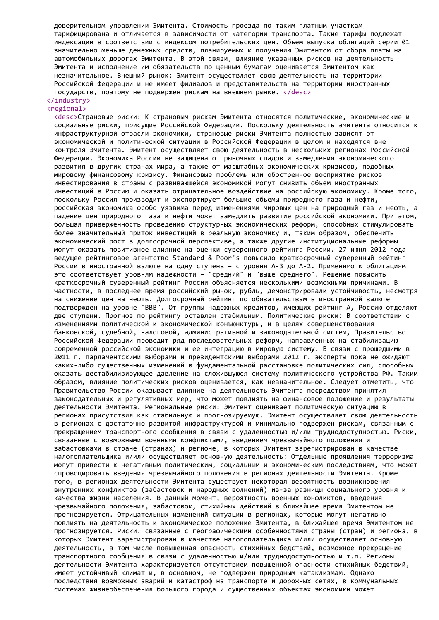доверительном управлении Эмитента. Стоимость проезда по таким платным участкам тарифицирована и отличается в зависимости от категории транспорта. Такие тарифы подлежат индексации в соответствии с индексом потребительских цен. Объем выпуска облигаций серии 01 значительно меньше денежных средств, планируемых к получению Эмитентом от сбора платы на автомобильных дорогах Эмитента. В этой связи, влияние указанных рисков на деятельность Эмитента и исполнение им обязательств по ценным бумагам оценивается Эмитентом как незначительное. Внешний рынок: Эмитент осуществляет свою деятельность на территории Российской Федерации и не имеет филиалов и представительств на территории иностранных государств, поэтому не подвержен рискам на внешнем рынке. </desc>

### </industry>

<regional>

<desc>Страновые риски: К страновым рискам Эмитента относятся политические, экономические и социальные риски, присущие Российской Федерации. Поскольку деятельность эмитента относится к инфраструктурной отрасли экономики, страновые риски Эмитента полностью зависят от экономической и политической ситуации в Российской Федерации в целом и находятся вне контроля Эмитента. Эмитент осуществляет свою деятельность в нескольких регионах Российской Федерации. Экономика России не защищена от рыночных спадов и замедления экономического развития в других странах мира, а также от масштабных экономических кризисов, подобных мировому финансовому кризису. Финансовые проблемы или обостренное восприятие рисков инвестирования в страны с развивающейся экономикой могут снизить объем иностранных инвестиций в Россию и оказать отрицательное воздействие на российскую экономику. Кроме того, поскольку Россия производит и экспортирует большие объемы природного газа и нефти, российская экономика особо уязвима перед изменениями мировых цен на природный газ и нефть, а падение цен природного газа и нефти может замедлить развитие российской экономики. При этом, большая приверженность проведению структурных экономических реформ, способных стимулировать более значительный приток инвестиций в реальную экономику и, таким образом, обеспечить экономический рост в долгосрочной перспективе, а также другие институциональные реформы могут оказать позитивное влияние на оценки суверенного рейтинга России. 27 июня 2012 года ведущее рейтинговое агентство Standard & Poor's повысило краткосрочный суверенный рейтинг России в иностранной валюте на одну ступень – с уровня А-3 до А-2. Применимо к облигациям это соответствует уровням надежности – "средний" и "выше среднего". Решение повысить краткосрочный суверенный рейтинг России объясняется несколькими возможными причинами. В частности, в последнее время российский рынок, рубль, демонстрировали устойчивость, несмотря на снижение цен на нефть. Долгосрочный рейтинг по обязательствам в иностранной валюте подтвержден на уровне "BBB". От группы надежных кредитов, имеющих рейтинг А, Россию отделяют две ступени. Прогноз по рейтингу оставлен стабильным. Политические риски: В соответствии с изменениями политической и экономической конъюнктуры, и в целях совершенствования банковской, судебной, налоговой, административной и законодательной систем, Правительство Российской Федерации проводит ряд последовательных реформ, направленных на стабилизацию современной российской экономики и ее интеграцию в мировую систему. В связи с прошедшими в 2011 г. парламентскими выборами и президентскими выборами 2012 г. эксперты пока не ожидают каких-либо существенных изменений в фундаментальной расстановке политических сил, способных оказать дестабилизирующее давление на сложившуюся систему политического устройства РФ. Таким образом, влияние политических рисков оценивается, как незначительное. Следует отметить, что Правительство России оказывает влияние на деятельность Эмитента посредством принятия законодательных и регулятивных мер, что может повлиять на финансовое положение и результаты деятельности Эмитента. Региональные риски: Эмитент оценивает политическую ситуацию в регионах присутствия как стабильную и прогнозируемую. Эмитент осуществляет свою деятельность в регионах с достаточно развитой инфраструктурой и минимально подвержен рискам, связанным с прекращением транспортного сообщения в связи с удаленностью и/или труднодоступностью. Риски, связанные с возможными военными конфликтами, введением чрезвычайного положения и забастовками в стране (странах) и регионе, в которых Эмитент зарегистрирован в качестве налогоплательщика и/или осуществляет основную деятельность: Отдельные проявления терроризма могут привести к негативным политическим, социальным и экономическим последствиям, что может спровоцировать введения чрезвычайного положения в регионах деятельности Эмитента. Кроме того, в регионах деятельности Эмитента существует некоторая вероятность возникновения внутренних конфликтов (забастовок и народных волнений) из-за разницы социального уровня и качества жизни населения. В данный момент, вероятность военных конфликтов, введения чрезвычайного положения, забастовок, стихийных действий в ближайшее время Эмитентом не прогнозируется. Отрицательных изменений ситуации в регионах, которые могут негативно повлиять на деятельность и экономическое положение Эмитента, в ближайшее время Эмитентом не прогнозируется. Риски, связанные с географическими особенностями страны (стран) и региона, в которых Эмитент зарегистрирован в качестве налогоплательщика и/или осуществляет основную деятельность, в том числе повышенная опасность стихийных бедствий, возможное прекращение транспортного сообщения в связи с удаленностью и/или труднодоступностью и т.п. Регионы деятельности Эмитента характеризуется отсутствием повышенной опасности стихийных бедствий, имеет устойчивый климат и, в основном, не подвержен природным катаклизмам. Однако последствия возможных аварий и катастроф на транспорте и дорожных сетях, в коммунальных системах жизнеобеспечения большого города и существенных объектах экономики может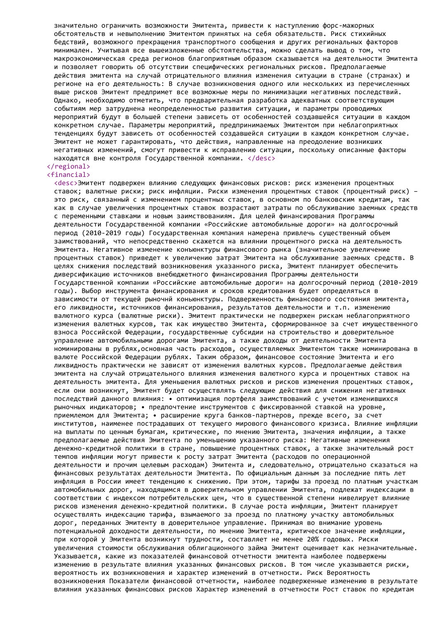значительно ограничить возможности Эмитента, привести к наступлению форс-мажорных обстоятельств и невыполнению Эмитентом принятых на себя обязательств. Риск стихийных бедствий, возможного прекращения транспортного сообщения и других региональных факторов минимален. Учитывая все вышеизложенные обстоятельства, можно сделать вывод о том, что макроэкономическая среда регионов благоприятным образом сказывается на деятельности Эмитента и позволяет говорить об отсутствии специфических региональных рисков. Предполагаемые действия эмитента на случай отрицательного влияния изменения ситуации в стране (странах) и регионе на его деятельность: В случае возникновения одного или нескольких из перечисленных выше рисков Эмитент предпримет все возможные меры по минимизации негативных последствий. Однако, необходимо отметить, что предварительная разработка адекватных соответствующим событиям мер затруднена неопределенностью развития ситуации, и параметры проводимых мероприятий будут в большей степени зависеть от особенностей создавшейся ситуации в каждом конкретном случае. Параметры мероприятий, предпринимаемых Эмитентом при неблагоприятных тенденциях будут зависеть от особенностей создавшейся ситуации в каждом конкретном случае. Эмитент не может гарантировать, что действия, направленные на преодоление возникших негативных изменений, смогут привести к исправлению ситуации, поскольку описанные факторы находятся вне контроля Государственной компании. </desc>

#### </regional> <financial>

<desc>Эмитент подвержен влиянию следующих финансовых рисков: риск изменения процентных ставок; валютные риски; риск инфляции. Риски изменения процентных ставок (процентный риск) – это риск, связанный с изменением процентных ставок, в основном по банковским кредитам, так как в случае увеличения процентных ставок возрастают затраты по обслуживанию заемных средств с переменными ставками и новым заимствованиям. Для целей финансирования Программы деятельности Государственной компании «Российские автомобильные дороги» на долгосрочный период (2010-2019 годы) Государственная компания намерена привлечь существенный объем заимствований, что непосредственно скажется на влиянии процентного риска на деятельность Эмитента. Негативное изменение конъюнктуры финансового рынка (значительное увеличение процентных ставок) приведет к увеличению затрат Эмитента на обслуживание заемных средств. В целях снижения последствий возникновения указанного риска, Эмитент планирует обеспечить диверсификацию источников внебюджетного финансирования Программы деятельности Государственной компании «Российские автомобильные дороги» на долгосрочный период (2010-2019 годы). Выбор инструмента финансирования и сроков кредитования будет определяться в зависимости от текущей рыночнй коньюнктуры. Подверженность финансового состояния эмитента, его ликвидности, источников финансирования, результатов деятельности и т.п. изменению валютного курса (валютные риски). Эмитент практически не подвержен рискам неблагоприятного изменения валютных курсов, так как имущество Эмитента, сформированное за счет имущественного взноса Российской Федерации, государственные субсидии на строительство и доверительное управление автомобильными дорогами Эмитента, а также доходы от деятельности Эмитента номинированы в рублях,основная часть расходов, осуществляемых Эмитентом также номинирована в валюте Российской Федерации рублях. Таким образом, финансовое состояние Эмитента и его ликвидность практически не зависят от изменения валютных курсов. Предполагаемые действия эмитента на случай отрицательного влияния изменения валютного курса и процентных ставок на деятельность эмитента. Для уменьшения валютных рисков и рисков изменения процентных ставок, если они возникнут, Эмитент будет осуществлять следующие действия для снижения негативных последствий данного влияния: • оптимизация портфеля заимствований с учетом изменившихся рыночных индикаторов; • предпочтение инструментов с фиксированной ставкой на уровне, приемлемом для Эмитента; • расширение круга банков-партнеров, прежде всего, за счет институтов, наименее пострадавших от текущего мирового финансового кризиса. Влияние инфляции на выплаты по ценным бумагам, критические, по мнению Эмитента, значения инфляции, а также предполагаемые действия Эмитента по уменьшению указанного риска: Негативные изменения денежно-кредитной политики в стране, повышение процентных ставок, а также значительный рост темпов инфляции могут привести к росту затрат Эмитента (расходов по операционной деятельности и прочим целевым расходам) Эмитента и, следовательно, отрицательно сказаться на финансовых результатах деятельности Эмитента. По официальным данным за последние пять лет инфляция в России имеет тенденцию к снижению. При этом, тарифы за проезд по платным участкам автомобильных дорог, находящимся в доверительном управлении Эмитента, подлежат индексации в соответствии с индексом потребительских цен, что в существенной степени нивелирует влияние рисков изменения денежно-кредитной политики. В случае роста инфляции, Эмитент планирует осуществлять индексацию тарифа, взымаемого за проезд по платному участку автомобильных дорог, переданных Эмитенту в доверительное управление. Принимая во внимание уровень потенциальной доходности деятельности, по мнению Эмитента, критическое значение инфляции, при которой у Эмитента возникнут трудности, составляет не менее 20% годовых. Риски увеличения стоимости обслуживания облигационного займа Эмитент оценивает как незначительные. Указывается, какие из показателей финансовой отчетности эмитента наиболее подвержены изменению в результате влияния указанных финансовых рисков. В том числе указываются риски, вероятность их возникновения и характер изменений в отчетности. Риск Вероятность возникновения Показатели финансовой отчетности, наиболее подверженные изменению в результате влияния указанных финансовых рисков Характер изменений в отчетности Рост ставок по кредитам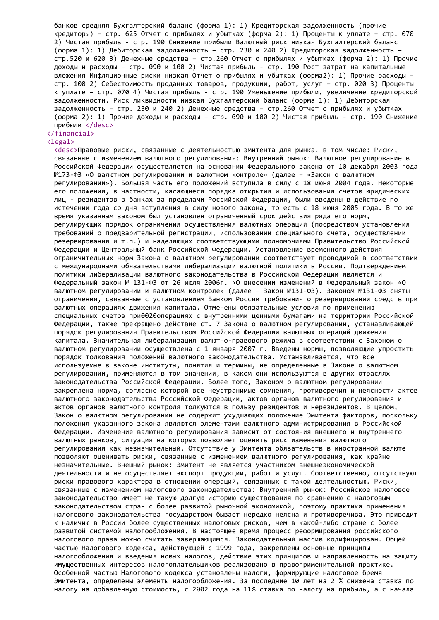банков средняя Бухгалтерский баланс (форма 1): 1) Кредиторская задолженность (прочие кредиторы) – стр. 625 Отчет о прибылях и убытках (форма 2): 1) Проценты к уплате – стр. 070 2) Чистая прибыль - стр. 190 Снижение прибыли Валютный риск низкая Бухгалтерский баланс (форма 1): 1) Дебиторская задолженность – стр. 230 и 240 2) Кредиторская задолженность – стр.520 и 620 3) Денежные средства – стр.260 Отчет о прибылях и убытках (форма 2): 1) Прочие доходы и расходы – стр. 090 и 100 2) Чистая прибыль - стр. 190 Рост затрат на капитальные вложения Инфляционные риски низкая Отчет о прибылях и убытках (форма2): 1) Прочие расходы – стр. 100 2) Себестоимость проданных товаров, продукции, работ, услуг – стр. 020 3) Проценты к уплате – стр. 070 4) Чистая прибыль - стр. 190 Уменьшение прибыли, увеличение кредиторской задолженности. Риск ликвидности низкая Бухгалтерский баланс (форма 1): 1) Дебиторская задолженность – стр. 230 и 240 2) Денежные средства – стр.260 Отчет о прибылях и убытках (форма 2): 1) Прочие доходы и расходы – стр. 090 и 100 2) Чистая прибыль - стр. 190 Снижение прибыли </desc>

# </financial>

## <legal>

<desc>Правовые риски, связанные с деятельностью эмитента для рынка, в том числе: Риски, связанные с изменением валютного регулирования: Внутренний рынок: Валютное регулирование в Российской Федерации осуществляется на основании Федерального закона от 10 декабря 2003 года №173-ФЗ «О валютном регулировании и валютном контроле» (далее - «Закон о валютном регулировании»). Большая часть его положений вступила в силу с 18 июня 2004 года. Некоторые его положения, в частности, касающиеся порядка открытия и использования счетов юридических лиц - резидентов в банках за пределами Российской Федерации, были введены в действие по истечении года со дня вступления в силу нового закона, то есть с 18 июня 2005 года. В то же время указанным законом был установлен ограниченный срок действия ряда его норм, регулирующих порядок ограничения осуществления валютных операций (посредством установления требований о предварительной регистрации, использовании специального счета, осуществлении резервирования и т.п.) и наделяющих соответствующими полномочиями Правительство Российской Федерации и Центральный банк Российской Федерации. Установление временного действия ограничительных норм Закона о валютном регулировании соответствует проводимой в соответствии с международными обязательствами либерализации валютной политики в России. Подтверждением политики либерализации валютного законодательства в Российской Федерации является и Федеральный закон № 131-ФЗ от 26 июля 2006г. «О внесении изменений в Федеральный закон «О валютном регулировании и валютном контроле» (далее – Закон №131-ФЗ). Законом №131-ФЗ сняты ограничения, связанные с установлением Банком России требования о резервировании средств при валютных операциях движения капитала. Отменены обязательные условия по применению специальных счетов при0020операциях с внутренними ценными бумагами на территории Российской Федерации, также прекращено действие ст. 7 Закона о валютном регулировании, устанавливающей порядок регулирования Правительством Российской Федерации валютных операций движения капитала. Значительная либерализация валютно-правового режима в соответствии с Законом о валютном регулировании осуществлена с 1 января 2007 г. Введены нормы, позволяющие упростить порядок толкования положений валютного законодательства. Устанавливается, что все используемые в законе институты, понятия и термины, не определенные в Законе о валютном регулировании, применяются в том значении, в каком они используются в других отраслях законодательства Российской Федерации. Более того, Законом о валютном регулировании закреплена норма, согласно которой все неустранимые сомнения, противоречия и неясности актов валютного законодательства Российской Федерации, актов органов валютного регулирования и актов органов валютного контроля толкуются в пользу резидентов и нерезидентов. В целом, Закон о валютном регулировании не содержит ухудшающих положение Эмитента факторов, поскольку положения указанного закона являются элементами валютного администрирования в Российской Федерации. Изменение валютного регулирования зависит от состояния внешнего и внутреннего валютных рынков, ситуация на которых позволяет оценить риск изменения валютного регулирования как незначительный. Отсутствие у Эмитента обязательств в иностранной валюте позволяют оценивать риски, связанные с изменением валютного регулирования, как крайне незначительные. Внешний рынок: Эмитент не является участником внешнеэкономической деятельности и не осуществляет экспорт продукции, работ и услуг. Соответственно, отсутствуют риски правового характера в отношении операций, связанных с такой деятельностью. Риски, связанные с изменением налогового законодательства: Внутренний рынок: Российское налоговое законодательство имеет не такую долгую историю существования по сравнению с налоговым законодательством стран с более развитой рыночной экономикой, поэтому практика применения налогового законодательства государством бывает нередко неясна и противоречива. Это приводит к наличию в России более существенных налоговых рисков, чем в какой-либо стране с более развитой системой налогообложения. В настоящее время процесс реформирования российского налогового права можно считать завершающимся. Законодательный массив кодифицирован. Общей частью Налогового кодекса, действующей с 1999 года, закреплены основные принципы налогообложения и введения новых налогов, действие этих принципов и направленность на защиту имущественных интересов налогоплательщиков реализовано в правоприменительной практике. Особенной частью Налогового кодекса установлены налоги, формирующие налоговое бремя Эмитента, определены элементы налогообложения. За последние 10 лет на 2 % снижена ставка по налогу на добавленную стоимость, с 2002 года на 11% ставка по налогу на прибыль, а с начала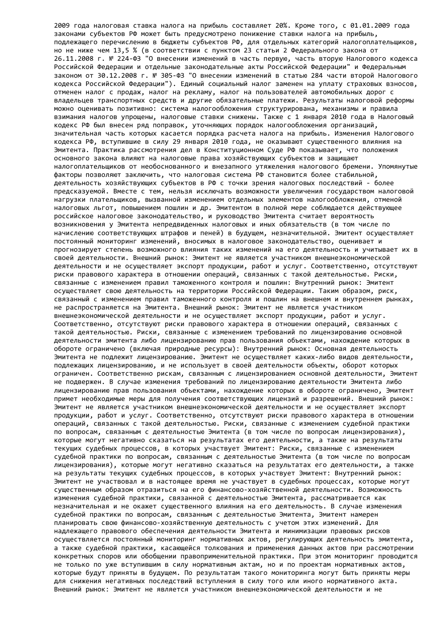2009 года налоговая ставка налога на прибыль составляет 20%. Кроме того, с 01.01.2009 года законами субъектов РФ может быть предусмотрено понижение ставки налога на прибыль, подлежащего перечислению в бюджеты субъектов РФ, для отдельных категорий налогоплательщиков, но не ниже чем 13,5 % (в соответствии с пунктом 23 статьи 2 Федерального закона от 26.11.2008 г. № 224-ФЗ "О внесении изменений в часть первую, часть вторую Налогового кодекса Российской Федерации и отдельные законодательные акты Российской Федерации" и Федеральным законом от 30.12.2008 г. № 305-ФЗ "О внесении изменений в статью 284 части второй Налогового кодекса Российской Федерации"). Единый социальный налог заменен на уплату страховых взносов, отменен налог с продаж, налог на рекламу, налог на пользователей автомобильных дорог с владельцев транспортных средств и другие обязательные платежи. Результаты налоговой реформы можно оценивать позитивно: система налогообложения структурирована, механизмы и правила взимания налогов упрощены, налоговые ставки снижены. Также с 1 января 2010 года в Налоговый кодекс РФ был внесен ряд поправок, уточняющих порядок налогообложения организаций, значительная часть которых касается порядка расчета налога на прибыль. Изменения Налогового кодекса РФ, вступившие в силу 29 января 2010 года, не оказывают существенного влияния на Эмитента. Практика рассмотрения дел в Конституционном Суде РФ показывает, что положения основного закона влияют на налоговые права хозяйствующих субъектов и защищают налогоплательщиков от необоснованного и внезапного утяжеления налогового бремени. Упомянутые факторы позволяют заключить, что налоговая система РФ становится более стабильной, деятельность хозяйствующих субъектов в РФ с точки зрения налоговых последствий - более предсказуемой. Вместе с тем, нельзя исключать возможности увеличения государством налоговой нагрузки плательщиков, вызванной изменением отдельных элементов налогообложения, отменой налоговых льгот, повышением пошлин и др. Эмитентом в полной мере соблюдается действующее российское налоговое законодательство, и руководство Эмитента считает вероятность возникновения у Эмитента непредвиденных налоговых и иных обязательств (в том числе по начислению соответствующих штрафов и пеней) в будущем, незначительной. Эмитент осуществляет постоянный мониторинг изменений, вносимых в налоговое законодательство, оценивает и прогнозирует степень возможного влияния таких изменений на его деятельность и учитывает их в своей деятельности. Внешний рынок: Эмитент не является участником внешнеэкономической деятельности и не осуществляет экспорт продукции, работ и услуг. Соответственно, отсутствуют риски правового характера в отношении операций, связанных с такой деятельностью. Риски, связанные с изменением правил таможенного контроля и пошлин: Внутренний рынок: Эмитент осуществляет свою деятельность на территории Российской Федерации. Таким образом, риск, связанный с изменением правил таможенного контроля и пошлин на внешнем и внутреннем рынках, не распространяется на Эмитента. Внешний рынок: Эмитент не является участником внешнеэкономической деятельности и не осуществляет экспорт продукции, работ и услуг. Соответственно, отсутствуют риски правового характера в отношении операций, связанных с такой деятельностью. Риски, связанные с изменением требований по лицензированию основной деятельности эмитента либо лицензированию прав пользования объектами, нахождение которых в обороте ограничено (включая природные ресурсы): Внутренний рынок: Основная деятельность Эмитента не подлежит лицензированию. Эмитент не осуществляет каких-либо видов деятельности, подлежащих лицензированию, и не использует в своей деятельности объекты, оборот которых ограничен. Соответственно рискам, связанным с лицензированием основной деятельности, Эмитент не подвержен. В случае изменения требований по лицензированию деятельности Эмитента либо лицензированию прав пользования объектами, нахождение которых в обороте ограничено, Эмитент примет необходимые меры для получения соответствующих лицензий и разрешений. Внешний рынок: Эмитент не является участником внешнеэкономической деятельности и не осуществляет экспорт продукции, работ и услуг. Соответственно, отсутствуют риски правового характера в отношении операций, связанных с такой деятельностью. Риски, связанные с изменением судебной практики по вопросам, связанным с деятельностью Эмитента (в том числе по вопросам лицензирования), которые могут негативно сказаться на результатах его деятельности, а также на результаты текущих судебных процессов, в которых участвует Эмитент: Риски, связанные с изменением судебной практики по вопросам, связанным с деятельностью Эмитента (в том числе по вопросам лицензирования), которые могут негативно сказаться на результатах его деятельности, а также на результаты текущих судебных процессов, в которых участвует Эмитент: Внутренний рынок: Эмитент не участвовал и в настоящее время не участвует в судебных процессах, которые могут существенным образом отразиться на его финансово-хозяйственной деятельности. Возможность изменения судебной практики, связанной с деятельностью Эмитента, рассматривается как незначительная и не окажет существенного влияния на его деятельность. В случае изменения судебной практики по вопросам, связанным с деятельностью Эмитента, Эмитент намерен планировать свою финансово-хозяйственную деятельность с учетом этих изменений. Для надлежащего правового обеспечения деятельности Эмитента и минимизации правовых рисков осуществляется постоянный мониторинг нормативных актов, регулирующих деятельность эмитента, а также судебной практики, касающейся толкования и применения данных актов при рассмотрении конкретных споров или обобщении правоприменительной практики. При этом мониторинг проводится не только по уже вступившим в силу нормативным актам, но и по проектам нормативных актов, которые будут приняты в будущем. По результатам такого мониторинга могут быть приняты меры для снижения негативных последствий вступления в силу того или иного нормативного акта. Внешний рынок: Эмитент не является участником внешнеэкономической деятельности и не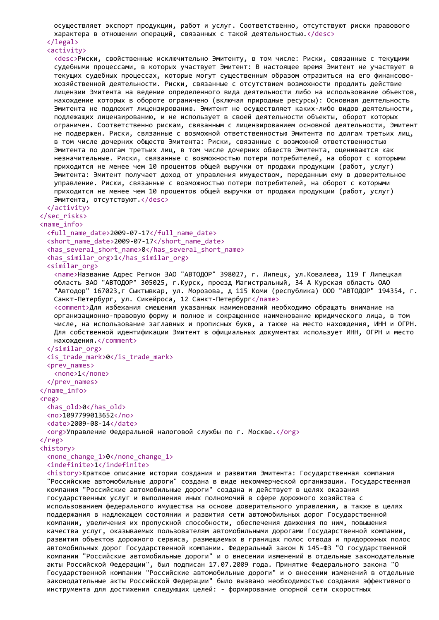осуществляет экспорт продукции, работ и услуг. Соответственно, отсутствуют риски правового характера в отношении операций, связанных с такой деятельностью.</desc> </legal>

#### <activity>

<desc>Риски, свойственные исключительно Эмитенту, в том числе: Риски, связанные с текущими судебными процессами, в которых участвует Эмитент: В настоящее время Эмитент не участвует в текущих судебных процессах, которые могут существенным образом отразиться на его финансовохозяйственной деятельности. Риски, связанные с отсутствием возможности продлить действие лицензии Эмитента на ведение определенного вида деятельности либо на использование объектов, нахождение которых в обороте ограничено (включая природные ресурсы): Основная деятельность Эмитента не подлежит лицензированию. Эмитент не осуществляет каких-либо видов деятельности, подлежащих лицензированию, и не использует в своей деятельности объекты, оборот которых ограничен. Соответственно рискам, связанным с лицензированием основной деятельности, Эмитент не подвержен. Риски, связанные с возможной ответственностью Эмитента по долгам третьих лиц, в том числе дочерних обществ Эмитента: Риски, связанные с возможной ответственностью Эмитента по долгам третьих лиц, в том числе дочерних обществ Эмитента, оцениваются как незначительные. Риски, связанные с возможностью потери потребителей, на оборот с которыми приходится не менее чем 10 процентов общей выручки от продажи продукции (работ, услуг) Эмитента: Эмитент получает доход от управления имуществом, переданным ему в доверительное управление. Риски, связанные с возможностью потери потребителей, на оборот с которыми приходится не менее чем 10 процентов общей выручки от продажи продукции (работ, услуг) Эмитента, отсутствуют.</desc> </activity> </sec\_risks> <name\_info> <full\_name\_date>2009-07-17</full\_name\_date>

<short\_name\_date>2009-07-17</short\_name\_date> <has several short name>0</has several short name> <has\_similar\_org>1</has\_similar\_org>

### <similar\_org>

<name>Название Адрес Регион ЗАО "АВТОДОР" 398027, г. Липецк, ул.Ковалева, 119 Г Липецкая область ЗАО "АВТОДОР" 305025, г.Курск, проезд Магистральный, 34 А Курская область ОАО "Автодор" 167023,г Сыктывкар, ул. Морозова, д 115 Коми (республика) ООО "АВТОДОР" 194354, г. Санкт-Петербург, ул. Сикейроса, 12 Санкт-Петербург</name>

<comment>Для избежания смешения указанных наименований необходимо обращать внимание на организационно-правовую форму и полное и сокращенное наименование юридического лица, в том числе, на использование заглавных и прописных букв, а также на место нахождения, ИНН и ОГРН. Для собственной идентификации Эмитент в официальных документах использует ИНН, ОГРН и место нахождения.</comment>

</similar\_org> <is\_trade\_mark>0</is\_trade\_mark> <prev\_names> <none>1</none> </prev\_names> </name\_info> <reg> <has\_old>0</has\_old> <no>1097799013652</no> <date>2009-08-14</date> <org>Управление Федеральной налоговой службы по г. Москве.</org>  $\langle$ /reg $\rangle$ <history>

<none\_change\_1>0</none\_change\_1> <indefinite>1</indefinite>

<history>Краткое описание истории создания и развития Эмитента: Государственная компания "Российские автомобильные дороги" создана в виде некоммерческой организации. Государственная компания "Российские автомобильные дороги" создана и действует в целях оказания государственных услуг и выполнения иных полномочий в сфере дорожного хозяйства с использованием федерального имущества на основе доверительного управления, а также в целях поддержания в надлежащем состоянии и развития сети автомобильных дорог Государственной компании, увеличения их пропускной способности, обеспечения движения по ним, повышения качества услуг, оказываемых пользователям автомобильными дорогами Государственной компании, развития объектов дорожного сервиса, размещаемых в границах полос отвода и придорожных полос автомобильных дорог Государственной компании. Федеральный закон N 145-ФЗ "О государственной компании "Российские автомобильные дороги" и о внесении изменений в отдельные законодательные акты Российской Федерации", был подписан 17.07.2009 года. Принятие Федерального закона "О Государственной компании "Российские автомобильные дороги" и о внесении изменений в отдельные законодательные акты Российской Федерации" было вызвано необходимостью создания эффективного инструмента для достижения следующих целей: - формирование опорной сети скоростных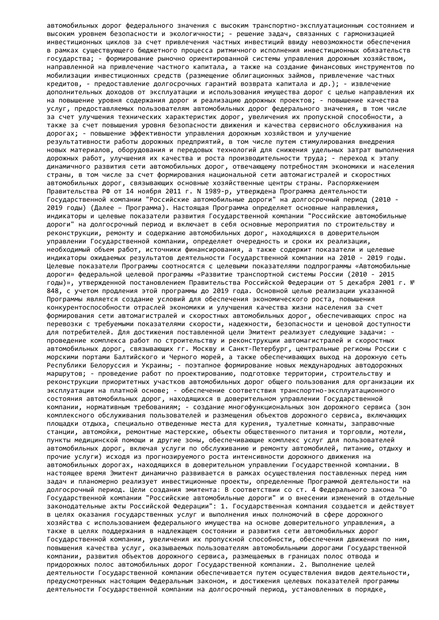автомобильных дорог федерального значения с высоким транспортно-эксплуатационным состоянием и высоким уровнем безопасности и экологичности; - решение задач, связанных с гармонизацией инвестиционных циклов за счет привлечения частных инвестиций ввиду невозможности обеспечения в рамках существующего бюджетного процесса ритмичного исполнения инвестиционных обязательств государства; - формирование рыночно ориентированной системы управления дорожным хозяйством, направленной на привлечение частного капитала, а также на создание финансовых инструментов по мобилизации инвестиционных средств (размещение облигационных займов, привлечение частных кредитов, - предоставление долгосрочных гарантий возврата капитала и др.); - извлечение дополнительных доходов от эксплуатации и использования имущества дорог с целью направления их на повышение уровня содержания дорог и реализацию дорожных проектов; - повышение качества услуг, предоставляемых пользователям автомобильных дорог федерального значения, в том числе за счет улучшения технических характеристик дорог, увеличения их пропускной способности, а также за счет повышения уровня безопасности движения и качества сервисного обслуживания на дорогах; - повышение эффективности управления дорожным хозяйством и улучшение результативности работы дорожных предприятий, в том числе путем стимулирования внедрения новых материалов, оборудования и передовых технологий для снижения удельных затрат выполнения дорожных работ, улучшения их качества и роста производительности труда; - переход к этапу динамичного развития сети автомобильных дорог, отвечающему потребностям экономики и населения страны, в том числе за счет формирования национальной сети автомагистралей и скоростных автомобильных дорог, связывающих основные хозяйственные центры страны. Распоряжением Правительства РФ от 14 ноября 2011 г. N 1989-р, утверждена Программа деятельности Государственной компании "Российские автомобильные дороги" на долгосрочный период (2010 - 2019 годы) (Далее – Программа). Настоящая Программа определяет основные направления, индикаторы и целевые показатели развития Государственной компании "Российские автомобильные дороги" на долгосрочный период и включает в себя основные мероприятия по строительству и реконструкции, ремонту и содержанию автомобильных дорог, находящихся в доверительном управлении Государственной компании, определяет очередность и сроки их реализации, необходимый объем работ, источники финансирования, а также содержит показатели и целевые индикаторы ожидаемых результатов деятельности Государственной компании на 2010 - 2019 годы. Целевые показатели Программы соотносятся с целевыми показателями подпрограммы «Автомобильные дороги» федеральной целевой программы «Развитие транспортной системы России (2010 - 2015 годы)», утвержденной постановлением Правительства Российской Федерации от 5 декабря 2001 г. № 848, с учетом продления этой программы до 2019 года. Основной целью реализации указанной Программы является создание условий для обеспечения экономического роста, повышения конкурентоспособности отраслей экономики и улучшения качества жизни населения за счет формирования сети автомагистралей и скоростных автомобильных дорог, обеспечивающих спрос на перевозки с требуемыми показателями скорости, надежности, безопасности и ценовой доступности для потребителей. Для достижения поставленной цели Эмитент реализует следующие задачи: проведение комплекса работ по строительству и реконструкции автомагистралей и скоростных автомобильных дорог, связывающих гг. Москву и Санкт-Петербург, центральные регионы России с морскими портами Балтийского и Черного морей, а также обеспечивающих выход на дорожную сеть Республики Белоруссия и Украины; - поэтапное формирование новых международных автодорожных маршрутов; - проведение работ по проектированию, подготовке территории, строительству и реконструкции приоритетных участков автомобильных дорог общего пользования для организации их эксплуатации на платной основе; - обеспечение соответствия транспортно-эксплуатационного состояния автомобильных дорог, находящихся в доверительном управлении Государственной компании, нормативным требованиям; - создание многофункциональных зон дорожного сервиса (зон комплексного обслуживания пользователей и размещения объектов дорожного сервиса, включающих площадки отдыха, специально отведенные места для курения, туалетные комнаты, заправочные станции, автомойки, ремонтные мастерские, объекты общественного питания и торговли, мотели, пункты медицинской помощи и другие зоны, обеспечивающие комплекс услуг для пользователей автомобильных дорог, включая услуги по обслуживанию и ремонту автомобилей, питанию, отдыху и прочие услуги) исходя из прогнозируемого роста интенсивности дорожного движения на автомобильных дорогах, находящихся в доверительном управлении Государственной компании. В настоящее время Эмитент динамично развивается в рамках осуществления поставленных перед ним задач и планомерно реализует инвестиционные проекты, определенные Программой деятельности на долгосрочный период. Цели создания эмитента: В соответствии со ст. 4 Федерального закона "О Государственной компании "Российские автомобильные дороги" и о внесении изменений в отдельные законодательные акты Российской Федерации": 1. Государственная компания создается и действует в целях оказания государственных услуг и выполнения иных полномочий в сфере дорожного хозяйства с использованием федерального имущества на основе доверительного управления, а также в целях поддержания в надлежащем состоянии и развития сети автомобильных дорог Государственной компании, увеличения их пропускной способности, обеспечения движения по ним, повышения качества услуг, оказываемых пользователям автомобильными дорогами Государственной компании, развития объектов дорожного сервиса, размещаемых в границах полос отвода и придорожных полос автомобильных дорог Государственной компании. 2. Выполнение целей деятельности Государственной компании обеспечивается путем осуществления видов деятельности, предусмотренных настоящим Федеральным законом, и достижения целевых показателей программы деятельности Государственной компании на долгосрочный период, установленных в порядке,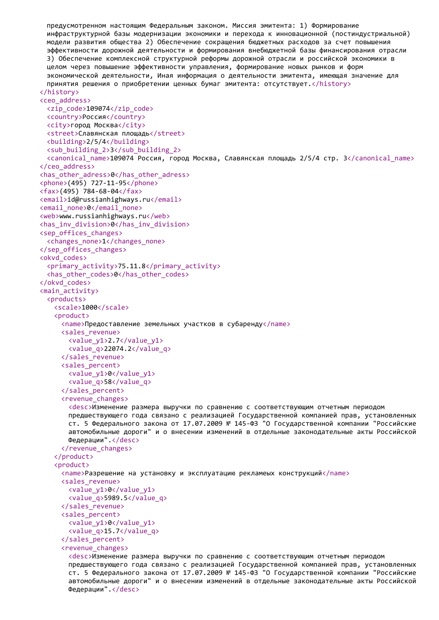предусмотренном настоящим Федеральным законом. Миссия эмитента: 1) Формирование инфраструктурной базы модернизации экономики и перехода к инновационной (постиндустриальной) модели развития общества 2) Обеспечение сокращения бюджетных расходов за счет повышения эффективности дорожной деятельности и формирования внебюджетной базы финансирования отрасли 3) Обеспечение комплексной структурной реформы дорожной отрасли и российской экономики в целом через повышение эффективности управления, формирование новых рынков и форм экономической деятельности, Иная информация о деятельности эмитента, имеющая значение для принятия решения о приобретении ценных бумаг эмитента: отсутствует.</history> </history> <ceo\_address> <zip\_code>109074</zip\_code> <country>Россия</country> <city>город Москва</city> <street>Славянская площадь</street> <building>2/5/4</building> <sub\_building\_2>3</sub\_building\_2> <canonical\_name>109074 Россия, город Москва, Славянская площадь 2/5/4 стр. 3</canonical\_name> </ceo\_address> <has\_other\_adress>0</has\_other\_adress> <phone>(495) 727-11-95</phone> <fax>(495) 784-68-04</fax> <email>id@russianhighways.ru</email> <email\_none>0</email\_none> <web>www.russianhighways.ru</web> <has\_inv\_division>0</has\_inv\_division> <sep\_offices\_changes> <changes\_none>1</changes\_none> </sep\_offices\_changes> <okvd\_codes> <primary\_activity>75.11.8</primary\_activity> <has other codes>0</has other codes> </okvd\_codes> <main\_activity> <products> <scale>1000</scale> <product> <name>Предоставление земельных участков в субаренду</name> <sales\_revenue> <value\_y1>2.7</value\_y1> <value\_q>22074.2</value\_q> </sales\_revenue> <sales\_percent> <value\_y1>0</value\_y1> <value\_q>58</value\_q> </sales\_percent> <revenue\_changes> <desc>Изменение размера выручки по сравнению с соответствующим отчетным периодом предшествующего года связано с реализацией Государственной компанией прав, установленных ст. 5 Федерального закона от 17.07.2009 № 145-ФЗ "О Государственной компании "Российские автомобильные дороги" и о внесении изменений в отдельные законодательные акты Российской Федерации".</desc> </revenue\_changes> </product> <product> <name>Разрешение на установку и эксплуатацию рекламеых конструкций</name> <sales\_revenue> <value\_y1>0</value\_y1> <value\_q>5989.5</value\_q> </sales\_revenue> <sales\_percent> <value\_y1>0</value\_y1> <value\_q>15.7</value\_q> </sales\_percent> <revenue\_changes> <desc>Изменение размера выручки по сравнению с соответствующим отчетным периодом предшествующего года связано с реализацией Государственной компанией прав, установленных ст. 5 Федерального закона от 17.07.2009 № 145-ФЗ "О Государственной компании "Российские автомобильные дороги" и о внесении изменений в отдельные законодательные акты Российской Федерации".</desc>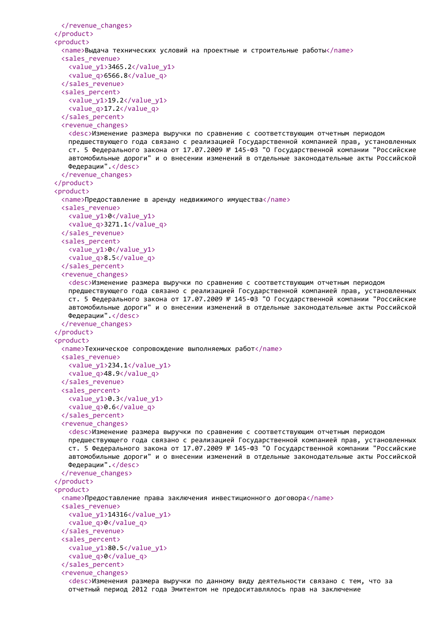```
</revenue_changes>
</product>
<product>
 <name>Выдача технических условий на проектные и строительные работы</name>
 <sales_revenue>
   <value_y1>3465.2</value_y1>
   <value_q>6566.8</value_q>
 </sales_revenue>
 <sales_percent>
   <value_y1>19.2</value_y1>
   <value_q>17.2</value_q>
 </sales_percent>
 <revenue_changes>
   <desc>Изменение размера выручки по сравнению с соответствующим отчетным периодом
   предшествующего года связано с реализацией Государственной компанией прав, установленных
   ст. 5 Федерального закона от 17.07.2009 № 145-ФЗ "О Государственной компании "Российские
   автомобильные дороги" и о внесении изменений в отдельные законодательные акты Российской
   Федерации".</desc>
 </revenue_changes>
</product>
<product>
 <name>Предоставление в аренду недвижимого имущества</name>
 <sales_revenue>
   <value_y1>0</value_y1>
   <value_q>3271.1</value_q>
 </sales_revenue>
 <sales_percent>
   <value_y1>0</value_y1>
   <value_q>8.5</value_q>
 </sales_percent>
 <revenue_changes>
   <desc>Изменение размера выручки по сравнению с соответствующим отчетным периодом
   предшествующего года связано с реализацией Государственной компанией прав, установленных
   ст. 5 Федерального закона от 17.07.2009 № 145-ФЗ "О Государственной компании "Российские
   автомобильные дороги" и о внесении изменений в отдельные законодательные акты Российской
   Федерации".</desc>
 </revenue_changes>
</product>
<product>
 <name>Техническое сопровождение выполняемых работ</name>
 <sales_revenue>
   <value_y1>234.1</value_y1>
   <value_q>48.9</value_q>
 </sales_revenue>
 <sales_percent>
   <value_y1>0.3</value_y1>
   <value_q>0.6</value_q>
 </sales_percent>
 <revenue_changes>
   <desc>Изменение размера выручки по сравнению с соответствующим отчетным периодом
   предшествующего года связано с реализацией Государственной компанией прав, установленных
   ст. 5 Федерального закона от 17.07.2009 № 145-ФЗ "О Государственной компании "Российские
   автомобильные дороги" и о внесении изменений в отдельные законодательные акты Российской
   Федерации".</desc>
 </revenue_changes>
</product>
<product>
 <name>Предоставление права заключения инвестиционного договора</name>
 <sales_revenue>
   <value_y1>14316</value_y1>
   <value_q>0</value_q>
 </sales_revenue>
 <sales_percent>
   <value_y1>80.5</value_y1>
   <value_q>0</value_q>
 </sales_percent>
 <revenue_changes>
   <desc>Изменения размера выручки по данному виду деятельности связано с тем, что за
   отчетный период 2012 года Эмитентом не предоситавлялось прав на заключение
```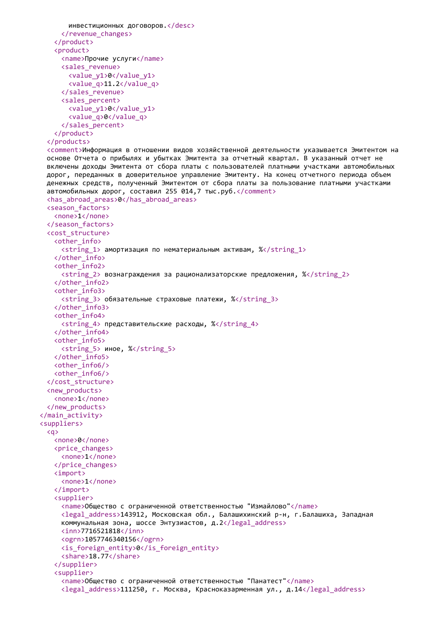```
инвестиционных договоров.</desc>
     </revenue_changes>
   </product>
   <product>
     <name>Прочие услуги</name>
     <sales_revenue>
       <value_y1>0</value_y1>
       <value_q>11.2</value_q>
     </sales_revenue>
     <sales_percent>
       <value_y1>0</value_y1>
       <value_q>0</value_q>
     </sales_percent>
   </product>
 </products>
 <comment>Информация в отношении видов хозяйственной деятельности указывается Эмитентом на
 основе Отчета о прибылях и убытках Эмитента за отчетный квартал. В указанный отчет не
 включены доходы Эмитента от сбора платы с пользователей платными участками автомобильных
 дорог, переданных в доверительное управление Эмитенту. На конец отчетного периода объем
 денежных средств, полученный Эмитентом от сбора платы за пользование платными участками
 автомобильных дорог, составил 255 014,7 тыс.руб.</comment>
 <has_abroad_areas>0</has_abroad_areas>
 <season_factors>
   <none>1</none>
 </season_factors>
 <cost_structure>
   <other_info>
     \lestring 1> амортизация по нематериальным активам, \frac{2}{3}tring 1>
   </other_info>
   <other_info2>
     \langlestring 2> вознаграждения за рационализаторские предложения, %\langle/string 2>
   </other_info2>
   <other_info3>
     <string_3> обязательные страховые платежи, %</string_3>
   </other_info3>
   <other_info4>
     <string_4> представительские расходы, %</string_4>
   </other_info4>
   <other_info5>
     <string 5> иное, %</string 5>
   </other_info5>
   <other_info6/>
   <other_info6/>
 </cost_structure>
 <new_products>
   <none>1</none>
 </new_products>
</main_activity>
<suppliers>
 \langlea>
   <none>0</none>
   <price_changes>
     <none>1</none>
   </price_changes>
   <import>
     <none>1</none>
   </import>
   <supplier>
     <name>Общество с ограниченной ответственностью "Измайлово"</name>
     <legal_address>143912, Московская обл., Балашихинский р-н, г.Балашиха, Западная
     коммунальная зона, шоссе Энтузиастов, д.2</legal_address>
     <inn>7716521818</inn>
     <ogrn>1057746340156</ogrn>
     <is_foreign_entity>0</is_foreign_entity>
     <share>18.77</share>
   </supplier>
   <supplier>
     <name>Общество с ограниченной ответственностью "Панатест"</name>
     <legal_address>111250, г. Москва, Красноказарменная ул., д.14</legal_address>
```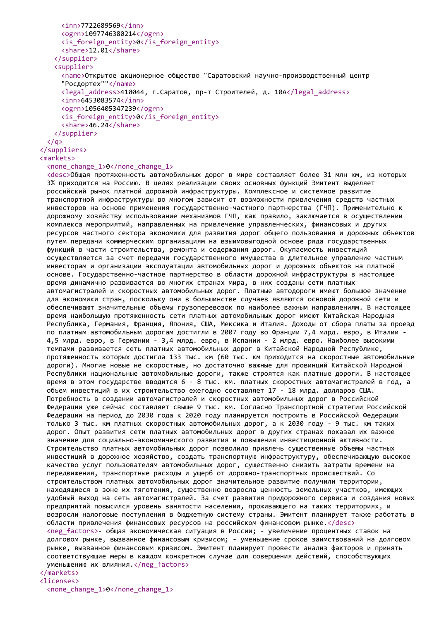```
<inn>7722689569</inn>
     <ogrn>1097746380214</ogrn>
     <is_foreign_entity>0</is_foreign_entity>
     <share>12.01</share>
   </supplier>
   <supplier>
     <name>Открытое акционерное общество "Саратовский научно-производственный центр
     "Росдортех""</name>
     <legal_address>410044, г.Саратов, пр-т Строителей, д. 10А</legal_address>
     <inn>6453083574</inn>
     <ogrn>1056405347239</ogrn>
     <is_foreign_entity>0</is_foreign_entity>
     <share>46.24</share>
   </supplier>
 \langle/q>
</suppliers>
<markets>
```
<none\_change\_1>0</none\_change\_1>

<desc>Общая протяженность автомобильных дорог в мире составляет более 31 млн км, из которых 3% приходится на Россию. В целях реализации своих основных функций Эмитент выделяет российский рынок платной дорожной инфраструктуры. Комплексное и системное развитие транспортной инфраструктуры во многом зависит от возможности привлечения средств частных инвесторов на основе применения государственно-частного партнерства (ГЧП). Применительно к дорожному хозяйству использование механизмов ГЧП, как правило, заключается в осуществлении комплекса мероприятий, направленных на привлечение управленческих, финансовых и других ресурсов частного сектора экономики для развития дорог общего пользования и дорожных объектов путем передачи коммерческим организациям на взыимовыгодной основе ряда государственных функций в части строительства, ремонта и содержания дорог. Окупаемость инвестиций осуществляется за счет передачи государственного имущества в длительное управление частным инвесторам и организации эксплуатации автомобильных дорог и дорожных объектов на платной основе. Государственно-частное партнерство в области дорожной инфраструктуры в настоящее время динамично развивается во многих странах мира, в них созданы сети платных автомагистралей и скоростных автомобильных дорог. Платные автодороги имеют большое значение для экономики стран, поскольку они в большинстве случаев являются основой дорожной сети и обеспечивают значительные объемы грузоперевозок по наиболее важным направлениям. В настоящее время наибольшую протяженность сети платных автомобильных дорог имеют Китайская Народная Республика, Германия, Франция, Япония, США, Мексика и Италия. Доходы от сбора платы за проезд по платным автомобильным дорогам достигли в 2007 году во Франции 7,4 млрд. евро, в Италии - 4,5 млрд. евро, в Германии - 3,4 млрд. евро, в Испании - 2 млрд. евро. Наиболее высокими темпами развивается сеть платных автомобильных дорог в Китайской Народной Республике, протяженность которых достигла 133 тыс. км (60 тыс. км приходится на скоростные автомобильные дороги). Многие новые не скоростные, но достаточно важные для провинций Китайской Народной Республики национальные автомобильные дороги, также строятся как платные дороги. В настоящее время в этом государстве вводится 6 - 8 тыс. км. платных скоростных автомагистралей в год, а объем инвестиций в их строительство ежегодно составляет 17 - 18 млрд. долларов США. Потребность в создании автомагистралей и скоростных автомобильных дорог в Российской Федерации уже сейчас составляет свыше 9 тыс. км. Согласно Транспортной стратегии Российской Федерации на период до 2030 года к 2020 году планируется построить в Российской Федерации только 3 тыс. км платных скоростных автомобильных дорог, а к 2030 году - 9 тыс. км таких дорог. Опыт развития сети платных автомобильных дорог в других странах показал их важное значение для социально-экономического развития и повышения инвестиционной активности. Строительство платных автомобильных дорог позволило привлечь существенные объемы частных инвестиций в дорожное хозяйство, создать транспортную инфраструктуру, обеспечивающую высокое качество услуг пользователям автомобильных дорог, существенно снизить затраты времени на передвижения, транспортные расходы и ущерб от дорожно-транспортных происшествий. Со строительством платных автомобильных дорог значительное развитие получили территории, находящиеся в зоне их тяготения, существенно возросла ценность земельных участков, имеющих удобный выход на сеть автомагистралей. За счет развития придорожного сервиса и создания новых предприятий повысился уровень занятости населения, проживающего на таких территориях, и возросли налоговые поступления в бюджетную систему страны. Эмитент планирует также работать в области привлечения финансовых ресурсов на российском финансовом рынке.</desc> <neg\_factors>- общая экономическая ситуация в России; - увеличение процентных ставок на долговом рынке, вызванное финансовым кризисом; - уменьшение сроков заимствований на долговом рынке, вызванное финансовым кризисом. Эмитент планирует провести анализ факторов и принять соответствующие меры в каждом конкретном случае для совершения действий, способствующих уменьшению их влияния.</neg\_factors> </markets>

# <licenses>

<none\_change\_1>0</none\_change\_1>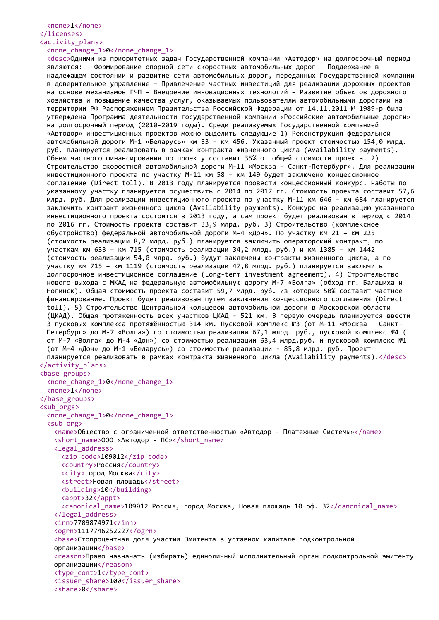<none>1</none> </licenses>

## <activity\_plans>

<none\_change\_1>0</none\_change\_1>

<desc>Одними из приоритетных задач Государственной компании «Автодор» на долгосрочный период являются: – Формирование опорной сети скоростных автомобильных дорог – Поддержание в надлежащем состоянии и развитие сети автомобильных дорог, переданных Государственной компании в доверительное управление – Привлечение частных инвестиций для реализации дорожных проектов на основе механизмов ГЧП – Внедрение инновационных технологий – Развитие объектов дорожного хозяйства и повышение качества услуг, оказываемых пользователям автомобильными дорогами на территории РФ Распоряжением Правительства Российской Федерации от 14.11.2011 № 1989-р была утверждена Программа деятельности государственной компании «Российские автомобильные дороги» на долгосрочный период (2010-2019 годы). Среди реализуемых Государственной компанией «Автодор» инвестиционных проектов можно выделить следующие 1) Реконструкция федеральной автомобильной дороги М-1 «Беларусь» км 33 – км 456. Указанный проект стоимостью 154,0 млрд. руб. планируется реализовать в рамках контракта жизненного цикла (Availability payments). Объем частного финансирования по проекту составит 35% от общей стоимости проекта. 2) Строительство скоростной автомобильной дороги М-11 «Москва – Санкт-Петербург». Для реализации инвестиционного проекта по участку М-11 км 58 – км 149 будет заключено концессионное соглашение (Direct toll). В 2013 году планируется провести концессионный конкурс. Работы по указанному участку планируется осуществить с 2014 по 2017 гг. Стоимость проекта составит 57,6 млрд. руб. Для реализации инвестиционного проекта по участку М-11 км 646 – км 684 планируется заключить контракт жизненного цикла (Availability payments). Конкурс на реализацию указанного инвестиционного проекта состоится в 2013 году, а сам проект будет реализован в период с 2014 по 2016 гг. Стоимость проекта составит 33,9 млрд. руб. 3) Строительство (комплексное обустройство) федеральной автомобильной дороги M-4 «Дон». По участку км 21 – км 225 (стоимость реализации 8,2 млрд. руб.) планируется заключить операторский контракт, по участкам км 633 – км 715 (стоимость реализации 34,2 млрд. руб.) и км 1385 – км 1442 (стоимость реализации 54,0 млрд. руб.) будут заключены контракты жизненного цикла, а по участку км 715 – км 1119 (стоимость реализации 47,8 млрд. руб.) планируется заключить долгосрочное инвестиционное соглашение (Long-term investment agreement). 4) Строительство нового выхода с МКАД на федеральную автомобильную дорогу М-7 «Волга» (обход гг. Балашиха и Ногинск). Общая стоимость проекта составит 59,7 млрд. руб. из которых 50% составит частное финансирование. Проект будет реализован путем заключения концессионного соглашения (Direct toll). 5) Строительство Центральной кольцевой автомобильной дороги в Московской области (ЦКАД). Общая протяженность всех участков ЦКАД - 521 км. В первую очередь планируется ввести 3 пусковых комплекса протяжённостью 314 км. Пусковой комплекс №3 (от М-11 «Москва – Санкт-Петербург» до М-7 «Волга») со стоимостью реализации 67,1 млрд. руб., пусковой комплекс №4 ( от М-7 «Волга» до М-4 «Дон») со стоимостью реализации 63,4 млрд.руб. и пусковой комплекс №1 (от М-4 «Дон» до М-1 «Беларусь») со стоимостью реализации - 85,8 млрд. руб. Проект планируется реализовать в рамках контракта жизненного цикла (Availability payments).</desc> </activity\_plans> <base\_groups> <none\_change\_1>0</none\_change\_1> <none>1</none> </base\_groups> <sub\_orgs> <none\_change\_1>0</none\_change\_1> <sub\_org> <name>Общество с ограниченной ответственностью «Автодор - Платежные Системы»</name> <short\_name>ООО «Автодор - ПС»</short\_name> <legal\_address> <zip\_code>109012</zip\_code> <country>Россия</country> <city>город Москва</city> <street>Новая площадь</street> <building>10</building> <appt>32</appt> <canonical\_name>109012 Россия, город Москва, Новая площадь 10 оф. 32</canonical\_name> </legal\_address> <inn>7709874971</inn> <ogrn>1117746252227</ogrn> <base>Стопроцентная доля участия Эмитента в уставном капитале подконтрольной организации</base> <reason>Право назначать (избирать) единоличный исполнительный орган подконтрольной эмитенту организации</reason> <type\_cont>1</type\_cont> <issuer\_share>100</issuer\_share> <share>0</share>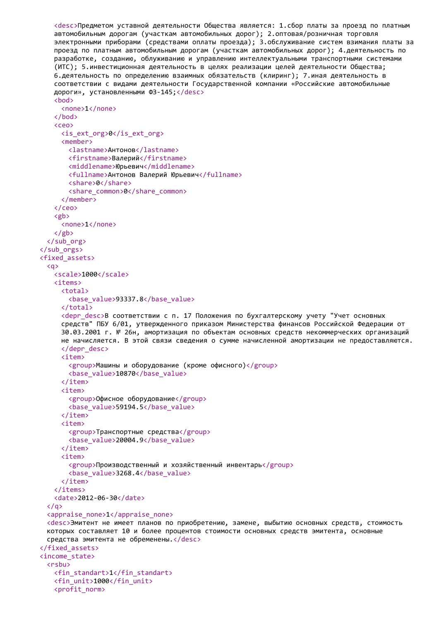```
<desc>Предметом уставной деятельности Общества является: 1.сбор платы за проезд по платным
   автомобильным дорогам (участкам автомобильных дорог); 2.оптовая/розничная торговля
   электронными приборами (средствами оплаты проезда); 3.обслуживание систем взимания платы за
   проезд по платным автомобильным дорогам (участкам автомобильных дорог); 4.деятельность по
   разработке, созданию, облуживанию и управлению интеллектуальными транспортными системами
   (ИТС); 5.инвестиционная деятельность в целях реализации целей деятельности Общества;
   6.деятельность по определению взаимных обязательств (клиринг); 7.иная деятельность в
   соответствии с видами деятельности Государственной компании «Российские автомобильные
   дороги», установленными ФЗ-145;</desc>
   <bod>
     <none>1</none>
   </bod>
   <ceo>
     <is_ext_org>0</is_ext_org>
     <member>
       <lastname>Антонов</lastname>
       <firstname>Валерий</firstname>
       <middlename>Юрьевич</middlename>
       <fullname>Антонов Валерий Юрьевич</fullname>
       <share>0</share>
       <share common>0</share common>
     </member>
   </ceo>
   <gb>
     <none>1</none>
   </gb>
  </sub_org>
</sub_orgs>
<fixed_assets>
  <q>
   <scale>1000</scale>
   <items>
     <total>
       <base_value>93337.8</base_value>
     </total>
     <depr_desc>В соответствии с п. 17 Положения по бухгалтерскому учету "Учет основных
     средств" ПБУ 6/01, утвержденного приказом Министерства финансов Российской Федерации от
     30.03.2001 г. № 26н, амортизация по объектам основных средств некоммерческих организаций
     не начисляется. В этой связи сведения о сумме начисленной амортизации не предоставляются.
     </depr_desc>
     <item>
       <group>Машины и оборудование (кроме офисного)</group>
       <base_value>10870</base_value>
     </item>
     <item>
       <group>Офисное оборудование</group>
       <base_value>59194.5</base_value>
     </item>
     <item>
       <group>Транспортные средства</group>
       <base_value>20004.9</base_value>
     </item>
     <item>
       <group>Производственный и хозяйственный инвентарь</group>
       <base_value>3268.4</base_value>
     </item>
   </items>
   <date>2012-06-30</date>
  \langle/a>
  <appraise_none>1</appraise_none>
  <desc>Эмитент не имеет планов по приобретению, замене, выбытию основных средств, стоимость
  которых составляет 10 и более процентов стоимости основных средств эмитента, основные
  средства эмитента не обременены.</desc>
</fixed_assets>
<income_state>
  <rsbu>
   <fin_standart>1</fin_standart>
   <fin_unit>1000</fin_unit>
   <profit_norm>
```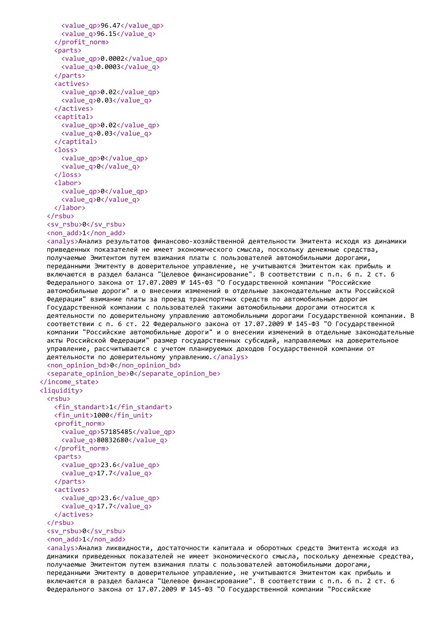```
<value_qp>96.47</value_qp>
     <value_q>96.15</value_q>
   </profit_norm>
   <parts>
     <value_qp>0.0002</value_qp>
     <value_q>0.0003</value_q>
   </parts>
   <actives>
     <value_qp>0.02</value_qp>
     <value_q>0.03</value_q>
   </actives>
   <captital>
     <value_qp>0.02</value_qp>
     <value_q>0.03</value_q>
   </captital>
   <loss>
     <value_qp>0</value_qp>
     <value_q>0</value_q>
   </loss>
   <labor>
     <value_qp>0</value_qp>
     <value_q>0</value_q>
   </labor>
 </rsbu>
 <sv_rsbu>0</sv_rsbu>
 <non_add>1</non_add>
 <analys>Анализ результатов финансово-хозяйственной деятельности Эмитента исходя из динамики
 приведенных показателей не имеет экономического смысла, поскольку денежные средства,
 получаемые Эмитентом путем взимания платы с пользователей автомобильными дорогами,
 переданными Эмитенту в доверительное управление, не учитываются Эмитентом как прибыль и
 включаются в раздел баланса "Целевое финансирование". В соответствии с п.п. 6 п. 2 ст. 6
 Федерального закона от 17.07.2009 № 145-ФЗ "О Государственной компании "Российские
 автомобильные дороги" и о внесении изменений в отдельные законодательные акты Российской
 Федерации" взимание платы за проезд транспортных средств по автомобильным дорогам
 Государственной компании с пользователей такими автомобильными дорогами относится к
 деятельности по доверительному управлению автомобильными дорогами Государственной компании. В
 соответствии с п. 6 ст. 22 Федерального закона от 17.07.2009 № 145-ФЗ "О Государственной
 компании "Российские автомобильные дороги" и о внесении изменений в отдельные законодательные
 акты Российской Федерации" размер государственных субсидий, направляемых на доверительное
 управление, рассчитывается с учетом планируемых доходов Государственной компании от
 деятельности по доверительному управлению. </analys>
 <non_opinion_bd>0</non_opinion_bd>
 <separate_opinion_be>0</separate_opinion_be>
</income_state>
<liquidity>
 <rsbu>
   <fin_standart>1</fin_standart>
   <fin_unit>1000</fin_unit>
   <profit_norm>
     <value_qp>57185485</value_qp>
     <value_q>80832680</value_q>
   </profit_norm>
   \langlenarts\rangle<value_qp>23.6</value_qp>
     <value_q>17.7</value_q>
   </parts>
   <actives>
     <value_qp>23.6</value_qp>
     <value_q>17.7</value_q>
   </actives>
 \epsilon/rshus
 <sv_rsbu>0</sv_rsbu>
 <non_add>1</non_add>
 <analys>Анализ ликвидности, достаточности капитала и оборотных средств Эмитента исходя из
 динамики приведенных показателей не имеет экономического смысла, поскольку денежные средства,
```
получаемые Эмитентом путем взимания платы с пользователей автомобильными дорогами, переданными Эмитенту в доверительное управление, не учитываются Эмитентом как прибыль и включаются в раздел баланса "Целевое финансирование". В соответствии с п.п. 6 п. 2 ст. 6 Федерального закона от 17.07.2009 № 145-ФЗ "О Государственной компании "Российские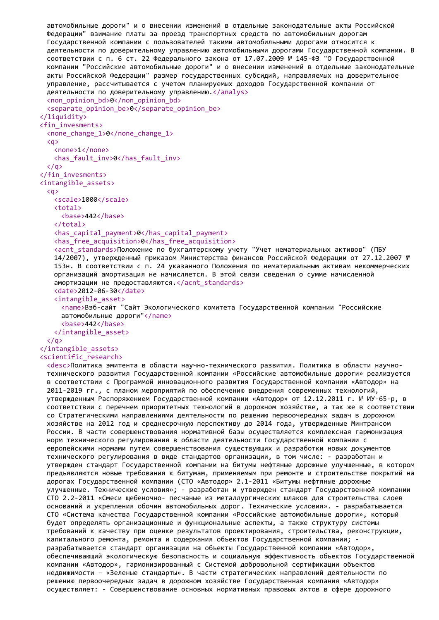```
автомобильные дороги" и о внесении изменений в отдельные законодательные акты Российской
 Федерации" взимание платы за проезд транспортных средств по автомобильным дорогам
 Государственной компании с пользователей такими автомобильными дорогами относится к
 деятельности по доверительному управлению автомобильными дорогами Государственной компании. В
 соответствии с п. 6 ст. 22 Федерального закона от 17.07.2009 № 145-ФЗ "О Государственной
 компании "Российские автомобильные дороги" и о внесении изменений в отдельные законодательные
 акты Российской Федерации" размер государственных субсидий, направляемых на доверительное
 управление, рассчитывается с учетом планируемых доходов Государственной компании от
 деятельности по доверительному управлению.</analys>
 <non_opinion_bd>0</non_opinion_bd>
 <separate_opinion_be>0</separate_opinion_be>
</liquidity>
<fin_invesments>
 <none_change_1>0</none_change_1>
 <q>
   <none>1</none>
   <has_fault_inv>0</has_fault_inv>
 \langle/a>
</fin_invesments>
<intangible_assets>
 \langlea>
   <scale>1000</scale>
   <total>
     <base>442</base>
   </total>
   <has_capital_payment>0</has_capital_payment>
   <has_free_acquisition>0</has_free_acquisition>
   <acnt_standards>Положение по бухгалтерскому учету "Учет нематериальных активов" (ПБУ
   14/2007), утвержденный приказом Министерства финансов Российской Федерации от 27.12.2007 №
   153н. В соответствии с п. 24 указанного Положения по нематериальным активам некоммерческих
   организаций амортизация не начисляется. В этой связи сведения о сумме начисленной
   амортизации не предоставляются.</acnt_standards>
   <date>2012-06-30</date>
   <intangible_asset>
     <name>Вэб-сайт "Сайт Экологического комитета Государственной компании "Российские
     автомобильные дороги"</name>
     <base>442</base>
   </intangible_asset>
 \langle/q>
</intangible_assets>
<scientific_research>
 <desc>Политика эмитента в области научно-технического развития. Политика в области научно-
 технического развития Государственной компании «Российские автомобильные дороги» реализуется
 в соответствии с Программой инновационного развития Государственной компании «Автодор» на
 2011-2019 гг., с планом мероприятий по обеспечению внедрения современных технологий,
 утвержденным Распоряжением Государственной компании «Автодор» от 12.12.2011 г. № ИУ-65-р, в
 соответствии с перечнем приоритетных технологий в дорожном хозяйстве, а так же в соответствии
 со Стратегическими направлениями деятельности по решению первоочередных задач в дорожном
 хозяйстве на 2012 год и среднесрочную перспективу до 2014 года, утвержденные Минтрансом
 России. В части совершенствования нормативной базы осуществляется комплексная гармонизация
 норм технического регулирования в области деятельности Государственной компании с
 европейскими нормами путем совершенствования существующих и разработки новых документов
 технического регулирования в виде стандартов организации, в том числе: - разработан и
 утвержден стандарт Государственной компании на битумы нефтяные дорожные улучшенные, в котором
 предъявляются новые требования к битумам, применяемым при ремонте и строительстве покрытий на
 дорогах Государственной компании (СТО «Автодор» 2.1-2011 «Битумы нефтяные дорожные
 улучшенные. Технические условия»; - разработан и утвержден стандарт Государственной компании
 СТО 2.2-2011 «Смеси щебеночно- песчаные из металлургических шлаков для строительства слоев
 оснований и укрепления обочин автомобильных дорог. Технические условия». - разрабатывается
 СТО «Система качества Государственной компании «Российские автомобильные дороги», который
 будет определять организационные и функциональные аспекты, а также структуру системы
 требований к качеству при оценке результатов проектирования, строительства, реконструкции,
 капитального ремонта, ремонта и содержания объектов Государственной компании; -
 разрабатывается стандарт организации на объекты Государственной компании «Автодор»,
 обеспечивающий экологическую безопасность и социальную эффективность объектов Государственной
 компании «Автодор», гармонизированный с Системой добровольной сертификации объектов
 недвижимости – «Зеленые стандарты». В части стратегических направлений деятельности по
 решению первоочередных задач в дорожном хозяйстве Государственная компания «Автодор»
 осуществляет: - Совершенствование основных нормативных правовых актов в сфере дорожного
```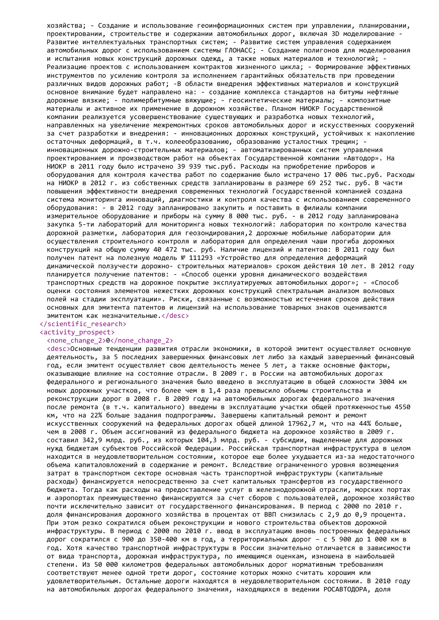хозяйства; - Создание и использование геоинформационных систем при управлении, планировании, проектировании, строительстве и содержании автомобильных дорог, включая 3D моделирование - Развитие интеллектуальных транспортных систем; - Развитие систем управления содержанием автомобильных дорог с использованием системы ГЛОНАСС; - Создание полигонов для моделирования и испытания новых конструкций дорожных одежд, а также новых материалов и технологий; - Реализацию проектов с использованием контрактов жизненного цикла; - Формирование эффективных инструментов по усилению контроля за исполнением гарантийных обязательств при проведении различных видов дорожных работ; -В области внедрения эффективных материалов и конструкций основное внимание будет направлено на: - создание комплекса стандартов на битумы нефтяные дорожные вязкие; - полимербитумные вяжущие; - геосинтетические материалы; - композитные материалы и активное их применение в дорожном хозяйстве. Планом НИОКР Государственной компании реализуется усовершенствование существующих и разработка новых технологий, направленных на увеличение межремонтных сроков автомобильных дорог и искусственных сооружений за счет разработки и внедрения: - инновационных дорожных конструкций, устойчивых к накоплению остаточных деформаций, в т.ч. колееобразованию, образованию усталостных трещин; инновационных дорожно-строительных материалов; - автоматизированных систем управления проектированием и производством работ на объектах Государственной компании «Автодор». На НИОКР в 2011 году было истрачено 39 939 тыс.руб. Расходы на приобретение приборов и оборудования для контроля качества работ по содержанию было истрачено 17 006 тыс.руб. Расходы на НИОКР в 2012 г. из собственных средств запланированы в размере 69 252 тыс. руб. В части повышения эффективности внедрения современных технологий Государственной компанией создана система мониторинга инноваций, диагностики и контроля качества с использованием современного оборудования: - в 2012 году запланировано закупить и поставить в филиалы компании измерительное оборудование и приборы на сумму 8 000 тыс. руб. - в 2012 году запланирована закупка 5-ти лабораторий для мониторинга новых технологий: лаборатория по контролю качества дорожной разметки, лаборатория для геозондирования,2 дорожные мобильные лаборатории для осуществления строительного контроля и лаборатория для определения чаши прогиба дорожных конструкций на общую сумму 40 472 тыс. руб. Наличие лицензий и патентов: В 2011 году был получен патент на полезную модель № 111293 «Устройство для определения деформаций динамической ползучести дорожно- строительных материалов» сроком действия 10 лет. В 2012 году планируется получение патентов: - «Способ оценки уровня динамического воздействия транспортных средств на дорожное покрытие эксплуатируемых автомобильных дорог»; - «Способ оценки состояния элементов нежестких дорожных конструкций спектральным анализом волновых полей на стадии эксплуатации». Риски, связанные с возможностью истечения сроков действия основных для эмитента патентов и лицензий на использование товарных знаков оцениваются эмитентом как незначительные.</desc>

# </scientific\_research>

# <activity\_prospect>

## <none\_change\_2>0</none\_change\_2>

<desc>Основные тенденции развития отрасли экономики, в которой эмитент осуществляет основную деятельность, за 5 последних завершенных финансовых лет либо за каждый завершенный финансовый год, если эмитент осуществляет свою деятельность менее 5 лет, а также основные факторы, оказывающие влияние на состояние отрасли. В 2009 г. в России на автомобильных дорогах федерального и регионального значения было введено в эксплуатацию в общей сложности 3004 км новых дорожных участков, что более чем в 1,4 раза превысило объемы строительства и реконструкции дорог в 2008 г. В 2009 году на автомобильных дорогах федерального значения после ремонта (в т.ч. капитального) введены в эксплуатацию участки общей протяженностью 4550 км, что на 22% больше задания подпрограммы. Завершены капитальный ремонт и ремонт искусственных сооружений на федеральных дорогах общей длиной 17962,7 м, что на 44% больше, чем в 2008 г. Объем ассигнований из федерального бюджета на дорожное хозяйство в 2009 г. составил 342,9 млрд. руб., из которых 104,3 млрд. руб. - субсидии, выделенные для дорожных нужд бюджетам субъектов Российской Федерации. Российская транспортная инфраструктура в целом находится в неудовлетворительном состоянии, которое еще более ухудшается из-за недостаточного объема капиталовложений в содержание и ремонт. Вследствие ограниченного уровня возмещения затрат в транспортном секторе основная часть транспортной инфраструктуры (капитальные расходы) финансируется непосредственно за счет капитальных трансфертов из государственного бюджета. Тогда как расходы на предоставление услуг в железнодорожной отрасли, морских портах и аэропортах преимущественно финансируются за счет сборов с пользователей, дорожное хозяйство почти исключительно зависит от государственного финансирования. В период с 2000 по 2010 г. доля финансирования дорожного хозяйства в процентах от ВВП снизилась с 2,9 до 0,9 процента. При этом резко сократился объем реконструкции и нового строительства объектов дорожной инфраструктуры. В период с 2000 по 2010 г. ввод в эксплуатацию вновь построенных федеральных дорог сократился с 900 до 350-400 км в год, а территориальных дорог – с 5 900 до 1 000 км в год. Хотя качество транспортной инфраструктуры в России значительно отличается в зависимости от вида транспорта, дорожная инфраструктура, по имеющимся оценкам, изношена в наибольшей степени. Из 50 000 километров федеральных автомобильных дорог нормативным требованиям соответствуют менее одной трети дорог, состояние которых можно считать хорошим или удовлетворительным. Остальные дороги находятся в неудовлетворительном состоянии. В 2010 году на автомобильных дорогах федерального значения, находящихся в ведении РОСАВТОДОРА, доля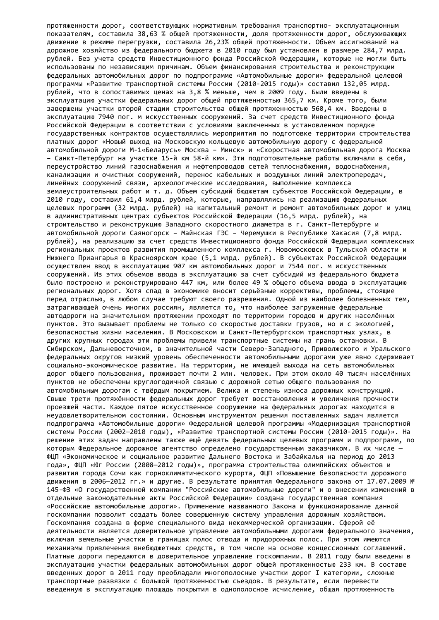протяженности дорог, соответствующих нормативным требования транспортно- эксплуатационным показателям, составила 38,63 % общей протяженности, доля протяженности дорог, обслуживающих движение в режиме перегрузки, составила 26,23% общей протяженности. Объем ассигнований на дорожное хозяйство из федерального бюджета в 2010 году был установлен в размере 284,7 млрд. рублей. Без учета средств Инвестиционного фонда Российской Федерации, которые не могли быть использованы по независящим причинам. Объем финансирования строительства и реконструкции федеральных автомобильных дорог по подпрограмме «Автомобильные дороги» федеральной целевой программы «Развитие транспортной системы России (2010-2015 годы)» составил 132,05 млрд. рублей, что в сопоставимых ценах на 3,8 % меньше, чем в 2009 году. Были введены в эксплуатацию участки федеральных дорог общей протяженностью 365,7 км. Кроме того, были завершены участки второй стадии строительства общей протяженностью 560,4 км. Введены в эксплуатацию 7940 пог. м искусственных сооружений. За счет средств Инвестиционного фонда Российской Федерации в соответствии с условиями заключенных в установленном порядке государственных контрактов осуществлялись мероприятия по подготовке территории строительства платных дорог «Новый выход на Московскую кольцевую автомобильную дорогу с федеральной автомобильной дороги М-1«Беларусь» Москва – Минск» и «Скоростная автомобильная дорога Москва – Санкт-Петербург на участке 15-й км 58-й км». Эти подготовительные работы включали в себя, переустройство линий газоснабжения и нефтепроводов сетей теплоснабжения, водоснабжения, канализации и очистных сооружений, перенос кабельных и воздушных линий электропередач, линейных сооружений связи, археологические исследования, выполнение комплекса землеустроительных работ и т. д. Объем субсидий бюджетам субъектов Российской Федерации, в 2010 году, составил 61,4 млрд. рублей, которые, направлялись на реализацию федеральных целевых программ (32 млрд. рублей) на капитальный ремонт и ремонт автомобильных дорог и улиц в административных центрах субъектов Российской Федерации (16,5 млрд. рублей), на строительство и реконструкцию Западного скоростного диаметра в г. Санкт-Петербурге и автомобильной дороги Саяногорск – Майнская ГЭС – Черемушки в Республике Хакасия (7,8 млрд. рублей), на реализацию за счет средств Инвестиционного фонда Российской Федерации комплексных региональных проектов развития промышленного комплекса г. Новомосковск в Тульской области и Нижнего Приангарья в Красноярском крае (5,1 млрд. рублей). В субъектах Российской Федерации осуществлен ввод в эксплуатацию 907 км автомобильных дорог и 7544 пог. м искусственных сооружений. Из этих объемов ввода в эксплуатацию за счет субсидий из федерального бюджета было построено и реконструировано 447 км, или более 49 % общего объема ввода в эксплуатацию региональных дорог. Хотя спад в экономике вносит серьёзные коррективы, проблемы, стоящие перед отраслью, в любом случае требуют своего разрешения. Одной из наиболее болезненных тем, затрагивающей очень многих россиян, является то, что наиболее загруженные федеральные автодороги на значительном протяжении проходят по территории городов и других населённых пунктов. Это вызывает проблемы не только со скоростью доставки грузов, но и с экологией, безопасностью жизни населения. В Московском и Санкт-Петербургском транспортных узлах, в других крупных городах эти проблемы привели транспортные системы на грань остановки. В Сибирском, Дальневосточном, в значительной части Северо-Западного, Приволжского и Уральского федеральных округов низкий уровень обеспеченности автомобильными дорогами уже явно сдерживает социально-экономическое развитие. На территории, не имеющей выхода на сеть автомобильных дорог общего пользования, проживает почти 2 млн. человек. При этом около 40 тысяч населённых пунктов не обеспечены круглогодичной связью с дорожной сетью общего пользования по автомобильным дорогам с твёрдым покрытием. Велика и степень износа дорожных конструкций. Свыше трети протяжённости федеральных дорог требует восстановления и увеличения прочности проезжей части. Каждое пятое искусственное сооружение на федеральных дорогах находится в неудовлетворительном состоянии. Основным инструментом решения поставленных задач является подпрограмма «Автомобильные дороги» Федеральной целевой программы «Модернизация транспортной системы России (2002—2010 годы), «Развитие транспортной системы России (2010-2015 годы)». На решение этих задач направлены также ещё девять федеральных целевых программ и подпрограмм, по которым Федеральное дорожное агентство определено государственным заказчиком. В их числе — ФЦП «Экономическое и социальное развитие Дальнего Востока и Забайкалья на период до 2013 года», ФЦП «Юг России (2008—2012 годы)», программа строительства олимпийских объектов и развития города Сочи как горноклиматического курорта, ФЦП «Повышение безопасности дорожного движения в 2006—2012 гг.» и другие. В результате принятия Федерального закона от 17.07.2009 № 145-ФЗ «О государственной компании "Российские автомобильные дороги" и о внесении изменений в отдельные законодательные акты Российской Федерации» создана государственная компания «Российские автомобильные дороги». Применение названного Закона и функционирование данной госкомпании позволит создать более совершенную систему управления дорожным хозяйством. Госкомпания создана в форме специального вида некоммерческой организации. Сферой её деятельности является доверительное управление автомобильными дорогами федерального значения, включая земельные участки в границах полос отвода и придорожных полос. При этом имеются механизмы привлечения внебюджетных средств, в том числе на основе концессионных соглашений. Платные дороги передаются в доверительное управление госкомпании. В 2011 году были введены в эксплуатацию участки федеральных автомобильных дорог общей протяженностью 233 км. В составе введенных дорог в 2011 году преобладали многополосные участки дорог I категории, сложные транспортные развязки с большой протяженностью съездов. В результате, если перевести введенную в эксплуатацию площадь покрытия в однополосное исчисление, общая протяженность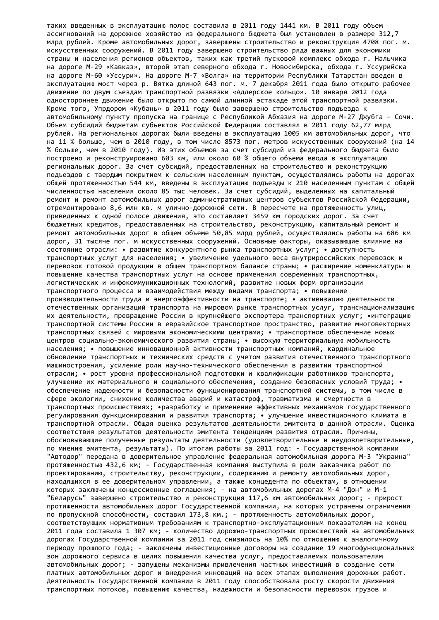таких введенных в эксплуатацию полос составила в 2011 году 1441 км. В 2011 году объем ассигнований на дорожное хозяйство из федерального бюджета был установлен в размере 312,7 млрд рублей. Кроме автомобильных дорог, завершены строительство и реконструкция 4708 пог. м. искусственных сооружений. В 2011 году завершено строительство ряда важных для экономики страны и населения регионов объектов, таких как третий пусковой комплекс обхода г. Нальчика на дороге М-29 «Кавказ», второй этап северного обхода г. Новосибирска, обхода г. Уссурийска на дороге М-60 «Уссури». На дороге М-7 «Волга» на территории Республики Татарстан введен в эксплуатацию мост через р. Вятка длиной 643 пог. м. 7 декабря 2011 года было открыто рабочее движение по двум съездам транспортной развязки «Адлерское кольцо». 10 января 2012 года одностороннее движение было открыто по самой длинной эстакаде этой транспортной развязки. Кроме того, Упрдором «Кубань» в 2011 году было завершено строительство подъезда к автомобильному пункту пропуска на границе с Республикой Абхазия на дороге М-27 Джубга – Сочи. Объем субсидий бюджетам субъектов Российской Федерации составлял в 2011 году 62,77 млрд рублей. На региональных дорогах были введены в эксплуатацию 1005 км автомобильных дорог, что на 11 % больше, чем в 2010 году, в том числе 8573 пог. метров искусственных сооружений (на 14 % больше, чем в 2010 году). Из этих объемов за счет субсидий из федерального бюджета было построено и реконструировано 603 км, или около 60 % общего объема ввода в эксплуатацию региональных дорог. За счет субсидий, предоставленных на строительство и реконструкцию подъездов с твердым покрытием к сельским населенным пунктам, осуществлялись работы на дорогах общей протяженностью 544 км, введены в эксплуатацию подъезды к 210 населенным пунктам с общей численностью населения около 85 тыс человек. За счет субсидий, выделенных на капитальный ремонт и ремонт автомобильных дорог административных центров субъектов Российской Федерации, отремонтировано 8,6 млн кв. м улично-дорожной сети. В пересчете на протяженность улиц, приведенных к одной полосе движения, это составляет 3459 км городских дорог. За счет бюджетных кредитов, предоставленных на строительство, реконструкцию, капитальный ремонт и ремонт автомобильных дорог в общем объеме 50,85 млрд рублей, осуществлялись работы на 686 км дорог, 31 тысяче пог. м искусственных сооружений. Основные факторы, оказывающие влияние на состояние отрасли: • развитие конкурентного рынка транспортных услуг; • доступность транспортных услуг для населения; • увеличение удельного веса внутрироссийских перевозок и перевозок готовой продукции в общем транспортном балансе страны; • расширение номенклатуры и повышение качества транспортных услуг на основе применения современных транспортных, логистических и инфокоммуникационных технологий, развитие новых форм организации транспортного процесса и взаимодействия между видами транспорта; • повышение производительности труда и энергоэффективности на транспорте; • активизацию деятельности отечественных организаций транспорта на мировом рынке транспортных услуг, транснационализацию их деятельности, превращение России в крупнейшего экспортера транспортных услуг; •интеграцию транспортной системы России в евразийское транспортное пространство, развитие многовекторных транспортных связей с мировыми экономическими центрами; • транспортное обеспечение новых центров социально-экономического развития страны; • высокую территориальную мобильность населения; • повышение инновационной активности транспортных компаний, кардинальное обновление транспортных и технических средств с учетом развития отечественного транспортного машиностроения, усиление роли научно-технического обеспечения в развитии транспортной отрасли; • рост уровня профессиональной подготовки и квалификации работников транспорта, улучшение их материального и социального обеспечения, создание безопасных условий труда; • обеспечение надежности и безопасности функционирования транспортной системы, в том числе в сфере экологии, снижение количества аварий и катастроф, травматизма и смертности в транспортных происшествиях; •разработку и применение эффективных механизмов государственного регулирования функционирования и развития транспорта; • улучшение инвестиционного климата в транспортной отрасли. Общая оценка результатов деятельности эмитента в данной отрасли. Оценка соответствия результатов деятельности эмитента тенденциям развития отрасли. Причины, обосновывающие полученные результаты деятельности (удовлетворительные и неудовлетворительные, по мнению эмитента, результаты). По итогам работы за 2011 год: - Государственной компании "Автодор" передана в доверительное управление федеральная автомобильная дорога М-3 "Украина" протяженностью 432,6 км; - Государственная компания выступила в роли заказчика работ по проектированию, строительству, реконструкции, содержанию и ремонту автомобильных дорог, находящихся в ее доверительном управлении, а также концедента по объектам, в отношении которых заключены концессионные соглашения; - на автомобильных дорогах М-4 "Дон" и М-1 "Беларусь" завершено строительство и реконструкция 117,6 км автомобильных дорог; - прирост протяженности автомобильных дорог Государственной компании, на которых устранены ограничения по пропускной способности, составил 173,8 км.; - протяженность автомобильных дорог, соответствующих нормативным требованиям к транспортно-эксплуатационным показателям на конец 2011 года составила 1 307 км; - количество дорожно-транспортных происшествий на автомобильных дорогах Государственной компании за 2011 год снизилось на 10% по отношению к аналогичному периоду прошлого года; - заключены инвестиционные договоры на создание 19 многофункциональных зон дорожного сервиса в целях повышения качества услуг, предоставляемых пользователям автомобильных дорог; - запущены механизмы привлечения частных инвестиций в создание сети платных автомобильных дорог и внедрения инноваций на всех этапах выполнения дорожных работ. Деятельность Государственной компании в 2011 году способствовала росту скорости движения транспортных потоков, повышению качества, надежности и безопасности перевозок грузов и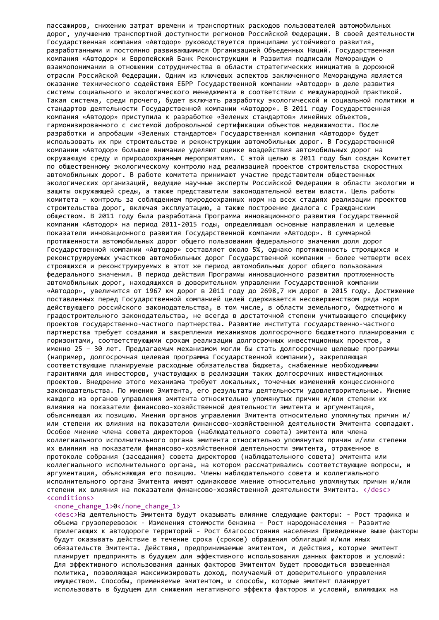пассажиров, снижению затрат времени и транспортных расходов пользователей автомобильных дорог, улучшению транспортной доступности регионов Российской Федерации. В своей деятельности Государственная компания «Автодор» руководствуется принципами устойчивого развития, разработанными и постоянно развивающимися Организацией Объеденных Наций. Государственная компания «Автодор» и Европейский Банк Реконструкции и Развития подписали Меморандум о взаимопонимании в отношении сотрудничества в области стратегических инициатив в дорожной отрасли Российской Федерации. Одним из ключевых аспектов заключенного Меморандума является оказание технического содействия ЕБРР Государственной компании «Автодор» в деле развития системы социального и экологического менеджмента в соответствии с международной практикой. Такая система, среди прочего, будет включать разработку экологической и социальной политики и стандартов деятельности Государственной компании «Автодор». В 2011 году Государственная компания «Автодор» приступила к разработке «Зеленых стандартов» линейных объектов, гармонизированного с системой добровольной сертификации объектов недвижимости. После разработки и апробации «Зеленых стандартов» Государственная компания «Автодор» будет использовать их при строительстве и реконструкции автомобильных дорог. В Государственной компании «Автодор» большое внимание уделяют оценке воздействия автомобильных дорог на окружающую среду и природоохранным мероприятиям. С этой целью в 2011 году был создан Комитет по общественному экологическому контролю над реализацией проектов строительства скоростных автомобильных дорог. В работе комитета принимают участие представители общественных экологических организаций, ведущие научные эксперты Российской Федерации в области экологии и защиты окружающей среды, а также представители законодательной ветви власти. Цель работы комитета – контроль за соблюдением природоохранных норм на всех стадиях реализации проектов строительства дорог, включая эксплуатацию, а также построение диалога с Гражданским обществом. В 2011 году была разработана Программа инновационного развития Государственной компании «Автодор» на период 2011-2015 годы, определяющая основные направления и целевые показатели инновационного развития Государственной компании «Автодор». В суммарной протяженности автомобильных дорог общего пользования федерального значения доля дорог Государственной компании «Автодор» составляет около 5%, однако протяженность строящихся и реконструируемых участков автомобильных дорог Государственной компании - более четверти всех строящихся и реконструируемых в этот же период автомобильных дорог общего пользования федерального значения. В период действия Программы инновационного развития протяженность автомобильных дорог, находящихся в доверительном управлении Государственной компании «Автодор», увеличится от 1967 км дорог в 2011 году до 2698,7 км дорог в 2015 году. Достижение поставленных перед Государственной компанией целей сдерживается несовершенством ряда норм действующего российского законодательства, в том числе, в области земельного, бюджетного и градостроительного законодательства, не всегда в достаточной степени учитывающего специфику проектов государственно-частного партнерства. Развитие института государственно-частного партнерства требует создания и закрепления механизмов долгосрочного бюджетного планирования с горизонтами, соответствующими срокам реализации долгосрочных инвестиционных проектов, а именно 25 – 30 лет. Предлагаемым механизмом могли бы стать долгосрочные целевые программы (например, долгосрочная целевая программа Государственной компании), закрепляющая соответствующие планируемые расходные обязательства бюджета, снабженные необходимыми гарантиями для инвесторов, участвующих в реализации таких долгосрочных инвестиционных проектов. Внедрение этого механизма требует локальных, точечных изменений концессионного законодательства. По мнению Эмитента, его результаты деятельности удовлетворительные. Мнение каждого из органов управления эмитента относительно упомянутых причин и/или степени их влияния на показатели финансово-хозяйственной деятельности эмитента и аргументация, объясняющая их позицию. Мнения органов управления Эмитента относительно упомянутых причин и/ или степени их влияния на показатели финансово-хозяйственной деятельности Эмитента совпадают. Особое мнение члена совета директоров (наблюдательного совета) эмитента или члена коллегиального исполнительного органа эмитента относительно упомянутых причин и/или степени их влияния на показатели финансово-хозяйственной деятельности эмитента, отраженное в протоколе собрания (заседания) совета директоров (наблюдательного совета) эмитента или коллегиального исполнительного органа, на котором рассматривались соответствующие вопросы, и аргументация, объясняющая его позицию. Члены наблюдательного совета и коллегиального исполнительного органа Эмитента имеют одинаковое мнение относительно упомянутых причин и/или степени их влияния на показатели финансово-хозяйственной деятельности Эмитента. </desc> <conditions>

## <none\_change\_1>0</none\_change\_1>

<desc>На деятельность Эмитента будут оказывать влияние следующие факторы: - Рост трафика и объема грузоперевозок - Изменения стоимости бензина - Рост народонаселения - Развитие прилегающих к автодороге территорий - Рост благосостояния населения Приведенные выше факторы будут оказывать действие в течение срока (сроков) обращения облигаций и/или иных обязательств Эмитента. Действия, предпринимаемые эмитентом, и действия, которые эмитент планирует предпринять в будущем для эффективного использования данных факторов и условий: Для эффективного использования данных факторов Эмитентом будет проводиться взвешенная политика, позволяющая максимизировать доход, получаемый от доверительного управления имуществом. Способы, применяемые эмитентом, и способы, которые эмитент планирует использовать в будущем для снижения негативного эффекта факторов и условий, влияющих на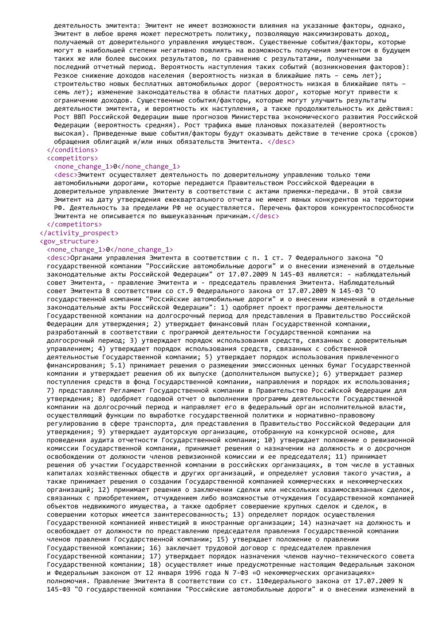деятельность эмитента: Эмитент не имеет возможности влияния на указанные факторы, однако, Эмитент в любое время может пересмотреть политику, позволяющую максимизировать доход, получаемый от доверительного управления имуществом. Существенные события/факторы, которые могут в наибольшей степени негативно повлиять на возможность получения эмитентом в будущем таких же или более высоких результатов, по сравнению с результатами, полученными за последний отчетный период. Вероятность наступления таких событий (возникновения факторов): Резкое снижение доходов населения (вероятность низкая в ближайшие пять – семь лет); строительство новых бесплатных автомобильных дорог (вероятность низкая в ближайшие пять – семь лет); изменение законодательства в области платных дорог, которые могут привести к ограничению доходов. Существенные события/факторы, которые могут улучшить результаты деятельности эмитента, и вероятность их наступления, а также продолжительность их действия: Рост ВВП Российской Федерации выше прогнозов Министерства экономического развития Российской Федерации (вероятность средняя). Рост трафика выше плановых показателей (вероятность высокая). Приведенные выше события/факторы будут оказывать действие в течение срока (сроков) обращения облигаций и/или иных обязательств Эмитента. </desc>

### </conditions>

## <competitors>

### <none\_change\_1>0</none\_change\_1>

<desc>Эмитент осуществляет деятельность по доверительному управлению только теми автомобильными дорогами, которые передаются Правительством Российской Фдереации в доверительное управление Эмитенту в соответствии с актами приемки-передачи. В этой связи Эмитент на дату утверждения ежеквартального отчета не имеет явных конкурентов на территории РФ. Деятельность за пределами РФ не осуществляется. Перечень факторов конкурентоспособности Эмитента не описывается по вышеуказанным причинам.</desc>

#### </competitors>

#### </activity\_prospect>

#### <gov\_structure>

#### <none\_change\_1>0</none\_change\_1>

<desc>Органами управления Эмитента в соответствии с п. 1 ст. 7 Федерального закона "О государственной компании "Российские автомобильные дороги" и о внесении изменений в отдельные законодательные акты Российской Федерации" от 17.07.2009 N 145-ФЗ являются: - наблюдательный совет Эмитента, - правление Эмитента и - председатель правления Эмитента. Наблюдательный совет Эмитента В соответствии со ст.9 Федерального закона от 17.07.2009 N 145-ФЗ "О государственной компании "Российские автомобильные дороги" и о внесении изменений в отдельные законодательные акты Российской Федерации": 1) одобряет проект программы деятельности Государственной компании на долгосрочный период для представления в Правительство Российской Федерации для утверждения; 2) утверждает финансовый план Государственной компании, разработанный в соответствии с программой деятельности Государственной компании на долгосрочный период; 3) утверждает порядок использования средств, связанных с доверительным управлением; 4) утверждает порядок использования средств, связанных с собственной деятельностью Государственной компании; 5) утверждает порядок использования привлеченного финансирования; 5.1) принимает решения о размещении эмиссионных ценных бумаг Государственной компании и утверждает решения об их выпуске (дополнительном выпуске); 6) утверждает размер поступления средств в фонд Государственной компании, направления и порядок их использования; 7) представляет Регламент Государственной компании в Правительство Российской Федерации для утверждения; 8) одобряет годовой отчет о выполнении программы деятельности Государственной компании на долгосрочный период и направляет его в федеральный орган исполнительной власти, осуществляющий функции по выработке государственной политики и нормативно-правовому регулированию в сфере транспорта, для представления в Правительство Российской Федерации для утверждения; 9) утверждает аудиторскую организацию, отобранную на конкурсной основе, для проведения аудита отчетности Государственной компании; 10) утверждает положение о ревизионной комиссии Государственной компании, принимает решения о назначении на должность и о досрочном освобождении от должности членов ревизионной комиссии и ее председателя; 11) принимает решения об участии Государственной компании в российских организациях, в том числе в уставных капиталах хозяйственных обществ и других организаций, и определяет условия такого участия, а также принимает решения о создании Государственной компанией коммерческих и некоммерческих организаций; 12) принимает решения о заключении сделки или нескольких взаимосвязанных сделок, связанных с приобретением, отчуждением либо возможностью отчуждения Государственной компанией объектов недвижимого имущества, а также одобряет совершение крупных сделок и сделок, в совершении которых имеется заинтересованность; 13) определяет порядок осуществления Государственной компанией инвестиций в иностранные организации; 14) назначает на должность и освобождает от должности по представлению председателя правления Государственной компании членов правления Государственной компании; 15) утверждает положение о правлении Государственной компании; 16) заключает трудовой договор с председателем правления Государственной компании; 17) утверждает порядок назначения членов научно-технического совета Государственной компании; 18) осуществляет иные предусмотренные настоящим Федеральным законом и Федеральным законом от 12 января 1996 года N 7-ФЗ «О некоммерческих организациях» полномочия. Правление Эмитента В соответствии со ст. 11Федерального закона от 17.07.2009 N 145-ФЗ "О государственной компании "Российские автомобильные дороги" и о внесении изменений в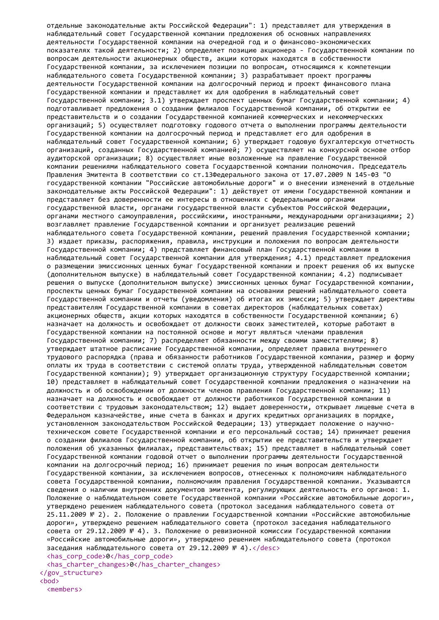отдельные законодательные акты Российской Федерации": 1) представляет для утверждения в наблюдательный совет Государственной компании предложения об основных направлениях деятельности Государственной компании на очередной год и о финансово-экономических показателях такой деятельности; 2) определяет позицию акционера - Государственной компании по вопросам деятельности акционерных обществ, акции которых находятся в собственности Государственной компании, за исключением позиции по вопросам, относящимся к компетенции наблюдательного совета Государственной компании; 3) разрабатывает проект программы деятельности Государственной компании на долгосрочный период и проект финансового плана Государственной компании и представляет их для одобрения в наблюдательный совет Государственной компании; 3.1) утверждает проспект ценных бумаг Государственной компании; 4) подготавливает предложения о создании филиалов Государственной компании, об открытии ее представительств и о создании Государственной компанией коммерческих и некоммерческих организаций; 5) осуществляет подготовку годового отчета о выполнении программы деятельности Государственной компании на долгосрочный период и представляет его для одобрения в наблюдательный совет Государственной компании; 6) утверждает годовую бухгалтерскую отчетность организаций, созданных Государственной компанией; 7) осуществляет на конкурсной основе отбор аудиторской организации; 8) осуществляет иные возложенные на правление Государственной компании решениями наблюдательного совета Государственной компании полномочия. Председатель Правления Эмитента В соответствии со ст.13Федерального закона от 17.07.2009 N 145-ФЗ "О государственной компании "Российские автомобильные дороги" и о внесении изменений в отдельные законодательные акты Российской Федерации": 1) действует от имени Государственной компании и представляет без доверенности ее интересы в отношениях с федеральными органами государственной власти, органами государственной власти субъектов Российской Федерации, органами местного самоуправления, российскими, иностранными, международными организациями; 2) возглавляет правление Государственной компании и организует реализацию решений наблюдательного совета Государственной компании, решений правления Государственной компании; 3) издает приказы, распоряжения, правила, инструкции и положения по вопросам деятельности Государственной компании; 4) представляет финансовый план Государственной компании в наблюдательный совет Государственной компании для утверждения; 4.1) представляет предложения о размещении эмиссионных ценных бумаг Государственной компании и проект решения об их выпуске (дополнительном выпуске) в наблюдательный совет Государственной компании; 4.2) подписывает решения о выпуске (дополнительном выпуске) эмиссионных ценных бумаг Государственной компании, проспекты ценных бумаг Государственной компании на основании решений наблюдательного совета Государственной компании и отчеты (уведомления) об итогах их эмиссии; 5) утверждает директивы представителям Государственной компании в советах директоров (наблюдательных советах) акционерных обществ, акции которых находятся в собственности Государственной компании; 6) назначает на должность и освобождает от должности своих заместителей, которые работают в Государственной компании на постоянной основе и могут являться членами правления Государственной компании; 7) распределяет обязанности между своими заместителями; 8) утверждает штатное расписание Государственной компании, определяет правила внутреннего трудового распорядка (права и обязанности работников Государственной компании, размер и форму оплаты их труда в соответствии с системой оплаты труда, утвержденной наблюдательным советом Государственной компании); 9) утверждает организационную структуру Государственной компании; 10) представляет в наблюдательный совет Государственной компании предложения о назначении на должность и об освобождении от должности членов правления Государственной компании; 11) назначает на должность и освобождает от должности работников Государственной компании в соответствии с трудовым законодательством; 12) выдает доверенности, открывает лицевые счета в Федеральном казначействе, иные счета в банках и других кредитных организациях в порядке, установленном законодательством Российской Федерации; 13) утверждает положение о научнотехническом совете Государственной компании и его персональный состав; 14) принимает решения о создании филиалов Государственной компании, об открытии ее представительств и утверждает положения об указанных филиалах, представительствах; 15) представляет в наблюдательный совет Государственной компании годовой отчет о выполнении программы деятельности Государственной компании на долгосрочный период; 16) принимает решения по иным вопросам деятельности Государственной компании, за исключением вопросов, отнесенных к полномочиям наблюдательного совета Государственной компании, полномочиям правления Государственной компании. Указываются сведения о наличии внутренних документов эмитента, регулирующих деятельность его органов: 1. Положение о наблюдательном совете Государственной компании «Российские автомобильные дороги», утверждено решением наблюдательного совета (протокол заседания наблюдательного совета от 25.11.2009 № 2). 2. Положение о правлении Государственной компании «Российские автомобильные дороги», утверждено решением наблюдательного совета (протокол заседания наблюдательного совета от 29.12.2009 № 4). 3. Положение о ревизионной комиссии Государственной компании «Российские автомобильные дороги», утверждено решением наблюдательного совета (протокол заседания наблюдательного совета от 29.12.2009 № 4).</desc> <has\_corp\_code>0</has\_corp\_code>

<has\_charter\_changes>0</has\_charter\_changes> </gov\_structure>

<bod>

```
<members>
```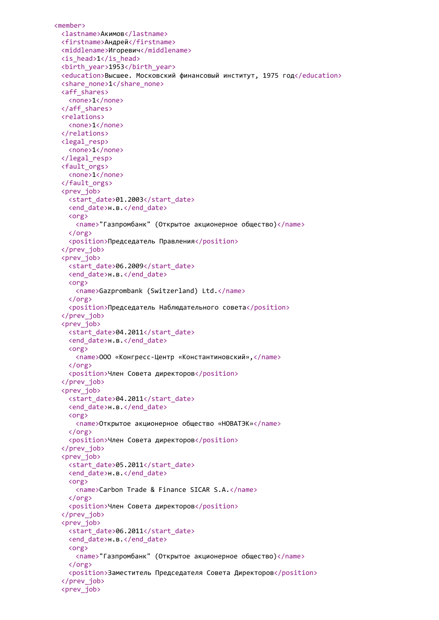```
<member>
 <lastname>Акимов</lastname>
 <firstname>Андрей</firstname>
 <middlename>Игоревич</middlename>
 <is_head>1</is_head>
 <birth_year>1953</birth_year>
 <education>Высшее. Московский финансовый институт, 1975 год</education>
 <share_none>1</share_none>
 <aff_shares>
   <none>1</none>
 </aff_shares>
 <relations>
   <none>1</none>
 </relations>
 <legal_resp>
   <none>1</none>
 </legal_resp>
 <fault_orgs>
   <none>1</none>
 </fault_orgs>
 <prev_job>
   <start_date>01.2003</start_date>
   <end date>н.в.</end date>
   <org>
     <name>"Газпромбанк" (Открытое акционерное общество)</name>
   </org>
   <position>Председатель Правления</position>
 </prev_job>
 <prev_job>
   <start_date>06.2009</start_date>
   <end date>н.в.</end date>
   <org>
     <name>Gazprombank (Switzerland) Ltd.</name>
   </org>
   <position>Председатель Наблюдательного совета</position>
 </prev_job>
 <prev_job>
   <start_date>04.2011</start_date>
   <end date>н.в.</end date>
   <org>
     <name>ООО «Конгресс-Центр «Константиновский»,</name>
   </org>
   <position>Член Совета директоров</position>
 </prev_job>
 <prev_job>
   <start_date>04.2011</start_date>
   <end date>н.в.</end date>
   <org>
     <name>Открытое акционерное общество «НОВАТЭК»</name>
   \langle/org\rangle<position>Член Совета директоров</position>
 </prev_job>
 <prev_iob>
   <start_date>05.2011</start_date>
   <end date>н.в.</end date>
   <org>
     <name>Carbon Trade & Finanсe SICAR S.A.</name>
   </org>
   <position>Член Совета директоров</position>
 </prev_job>
 <prev_iob>
   <start_date>06.2011</start_date>
   <end date>н.в.</end date>
   <org>
     <name>"Газпромбанк" (Открытое акционерное общество)</name>
   </org>
   <position>Заместитель Председателя Совета Директоров</position>
 </prev_job>
 <prev_job>
```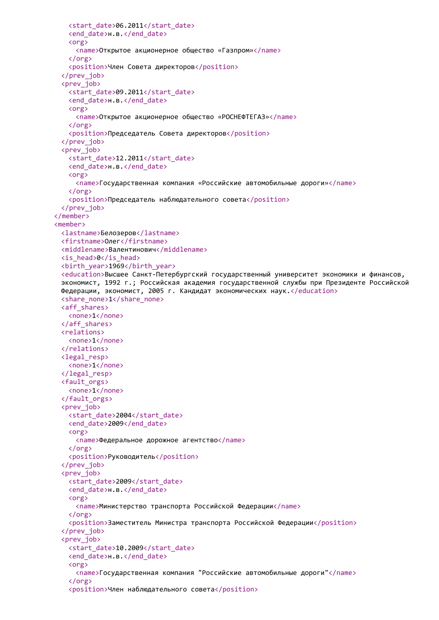```
<start_date>06.2011</start_date>
   <end_date>н.в.</end_date>
   <org>
     <name>Открытое акционерное общество «Газпром»</name>
   </org>
   <position>Член Совета директоров</position>
 </prev_job>
 <prev_job>
   <start_date>09.2011</start_date>
   <end_date>н.в.</end_date>
   <org>
     <name>Открытое акционерное общество «РОСНЕФТЕГАЗ»</name>
   </org>
   <position>Председатель Совета директоров</position>
 </prev_job>
 <prev_job>
   <start_date>12.2011</start_date>
   <end date>н.в.</end date>
   <org>
     <name>Государственная компания «Российские автомобильные дороги»</name>
   </org>
   <position>Председатель наблюдательного совета</position>
 </prev_job>
</member>
<member>
 <lastname>Белозеров</lastname>
 <firstname>Олег</firstname>
 <middlename>Валентинович</middlename>
 <is_head>0</is_head>
 <birth_year>1969</birth_year>
 <education>Высшее Санкт-Петербургский государственный университет экономики и финансов,
 экономист, 1992 г.; Российская академия государственной службы при Президенте Российской
 Федерации, экономист, 2005 г. Кандидат экономических наук.</education>
 <share_none>1</share_none>
 <aff_shares>
   <none>1</none>
 </aff_shares>
 <relations>
   <none>1</none>
 </relations>
 <legal_resp>
   <none>1</none>
 </legal_resp>
 <fault_orgs>
   <none>1</none>
 </fault_orgs>
 <prev_job>
   <start_date>2004</start_date>
   <end_date>2009</end_date>
   <org>
     <name>Федеральное дорожное агентство</name>
   \langle/org\rangle<position>Руководитель</position>
 </prev_job>
 <prev_iob>
   <start_date>2009</start_date>
   <end date>н.в.</end date>
   <org>
     <name>Министерство транспорта Российской Федерации</name>
   </org>
   <position>Заместитель Министра транспорта Российской Федерации</position>
 </prev_job>
 <prev_iob>
   <start_date>10.2009</start_date>
   <end_date>н.в.</end_date>
   <org>
     <name>Государственная компания "Российские автомобильные дороги"</name>
   </org>
   <position>Член наблюдательного совета</position>
```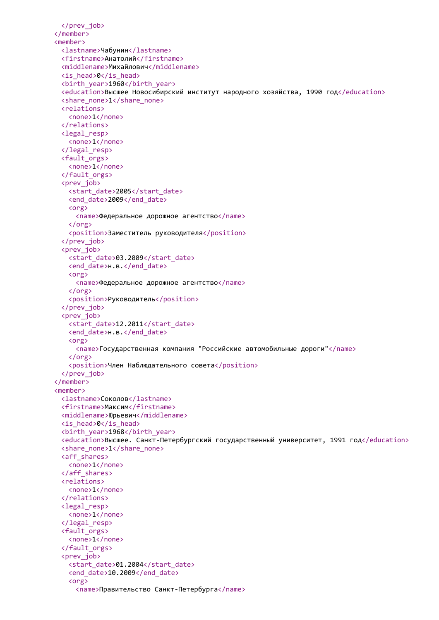```
</prev_job>
</member>
<member>
 <lastname>Чабунин</lastname>
 <firstname>Анатолий</firstname>
 <middlename>Михайлович</middlename>
 <is_head>0</is_head>
 <birth_year>1960</birth_year>
 <education>Высшее Новосибирский институт народного хозяйства, 1990 год</education>
 <share_none>1</share_none>
 <relations>
   <none>1</none>
 </relations>
 <legal_resp>
   <none>1</none>
 </legal_resp>
 <fault_orgs>
   <none>1</none>
 </fault_orgs>
 <prev_job>
   <start_date>2005</start_date>
   <end_date>2009</end_date>
   <org>
     <name>Федеральное дорожное агентство</name>
   </org>
   <position>Заместитель руководителя</position>
 </prev_job>
 <prev_job>
   <start_date>03.2009</start_date>
   <end_date>н.в.</end_date>
   <org>
     <name>Федеральное дорожное агентство</name>
   </org>
   <position>Руководитель</position>
 </prev_job>
 <prev_job>
   <start_date>12.2011</start_date>
   <end date>н.в.</end date>
   <org>
     <name>Государственная компания "Российские автомобильные дороги"</name>
   </org>
   <position>Член Наблюдательного совета</position>
 </prev_job>
</member>
<member>
 <lastname>Соколов</lastname>
 <firstname>Максим</firstname>
 <middlename>Юрьевич</middlename>
 <is_head>0</is_head>
 <birth_year>1968</birth_year>
 <education>Высшее. Санкт-Петербургский государственный университет, 1991 год</education>
 <share_none>1</share_none>
 <aff_shares>
   <none>1</none>
 </aff_shares>
 <relations>
   <none>1</none>
 </relations>
 <legal_resp>
   <none>1</none>
 </legal_resp>
 <fault_orgs>
   <none>1</none>
 </fault_orgs>
 <prev_job>
   <start_date>01.2004</start_date>
   <end_date>10.2009</end_date>
   <org>
     <name>Правительство Санкт-Петербурга</name>
```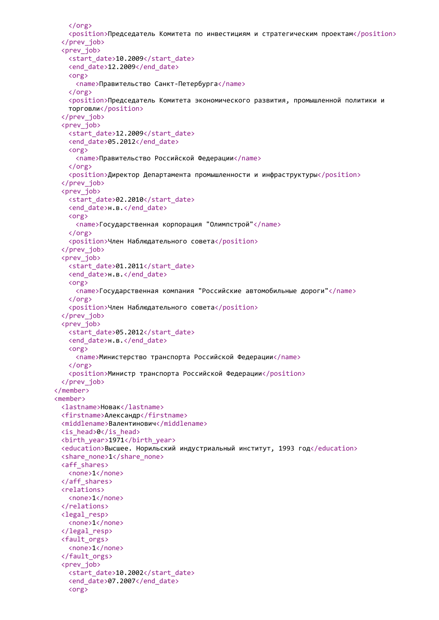```
</org>
   <position>Председатель Комитета по инвестициям и стратегическим проектам</position>
 </prev_job>
 <prev_job>
   <start_date>10.2009</start_date>
   <end date>12.2009</end date>
   <org>
     <name>Правительство Санкт-Петербурга</name>
   </org>
   <position>Председатель Комитета экономического развития, промышленной политики и
   торговли</position>
 </prev_job>
 <prev_job>
   <start_date>12.2009</start_date>
   <end_date>05.2012</end_date>
   <org>
     <name>Правительство Российской Федерации</name>
   </org>
   <position>Директор Департамента промышленности и инфраструктуры</position>
 </prev_job>
 <prev_job>
   <start_date>02.2010</start_date>
   <end date>н.в.</end date>
   <org>
     <name>Государственная корпорация "Олимпстрой"</name>
   </org>
   <position>Член Наблюдательного совета</position>
 </prev_job>
 <prev_job>
   <start_date>01.2011</start_date>
   <end date>н.в.</end date>
   <org>
     <name>Государственная компания "Российские автомобильные дороги"</name>
   </org>
   <position>Член Наблюдательного совета</position>
 </prev_job>
 <prev_job>
   <start date>05.2012</start date>
   <end date>н.в.</end date>
   <org>
     <name>Министерство транспорта Российской Федерации</name>
   </org>
   <position>Министр транспорта Российской Федерации</position>
 </prev_job>
</member>
<member>
 <lastname>Новак</lastname>
 <firstname>Александр</firstname>
 <middlename>Валентинович</middlename>
 <is_head>0</is_head>
 <birth_year>1971</birth_year>
 <education>Высшее. Норильский индустриальный институт, 1993 год</education>
 <share_none>1</share_none>
 <aff_shares>
   <none>1</none>
 </aff_shares>
 <relations>
   <none>1</none>
 </relations>
 <legal_resp>
   <none>1</none>
 </legal_resp>
 <fault_orgs>
   <none>1</none>
 </fault_orgs>
 <prev_job>
   <start_date>10.2002</start_date>
   <end_date>07.2007</end_date>
   <org>
```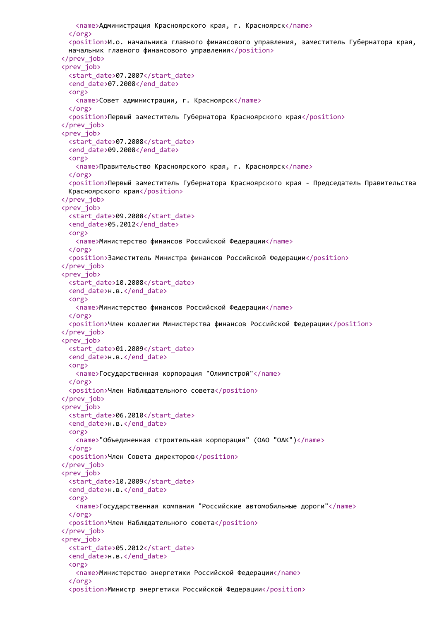```
<name>Администрация Красноярского края, г. Красноярск</name>
 </org>
 <position>И.о. начальника главного финансового управления, заместитель Губернатора края,
 начальник главного финансового управления</position>
</prev_job>
<prev_job>
 <start_date>07.2007</start_date>
 <end_date>07.2008</end_date>
 <org>
   <name>Совет администрации, г. Красноярск</name>
 </org>
 <position>Первый заместитель Губернатора Красноярского края</position>
</prev_job>
<prev_iob>
 <start_date>07.2008</start_date>
 <end_date>09.2008</end_date>
 <org>
   <name>Правительство Красноярского края, г. Красноярск</name>
 </org>
 <position>Первый заместитель Губернатора Красноярского края - Председатель Правительства
 Красноярского края</position>
</prev_job>
<prev_job>
 <start_date>09.2008</start_date>
 <end_date>05.2012</end_date>
 <org>
   <name>Министерство финансов Российской Федерации</name>
 </org>
 <position>Заместитель Министра финансов Российской Федерации</position>
</prev_job>
<prev_job>
 <start_date>10.2008</start_date>
 <end_date>н.в.</end_date>
 <org>
   <name>Министерство финансов Российской Федерации</name>
 </org>
 <position>Член коллегии Министерства финансов Российской Федерации</position>
</prev_job>
<prev_job>
 <start_date>01.2009</start_date>
 <end date>н.в.</end date>
 <org>
   <name>Государственная корпорация "Олимпстрой"</name>
 </org>
 <position>Член Наблюдательного совета</position>
</prev_job>
<prev_job>
 <start_date>06.2010</start_date>
 <end date>н.в.</end date>
 <org>
   <name>"Объединенная строительная корпорация" (ОАО "ОАК")</name>
 \langle/org\rangle<position>Член Совета директоров</position>
</prev_job>
<prev_iob>
 <start_date>10.2009</start_date>
 <end_date>н.в.</end_date>
 <org>
   <name>Государственная компания "Российские автомобильные дороги"</name>
 </org>
 <position>Член Наблюдательного совета</position>
</prev_job>
<prev_iob>
 <start_date>05.2012</start_date>
 <end_date>н.в.</end_date>
 <org>
   <name>Министерство энергетики Российской Федерации</name>
 </org>
 <position>Министр энергетики Российской Федерации</position>
```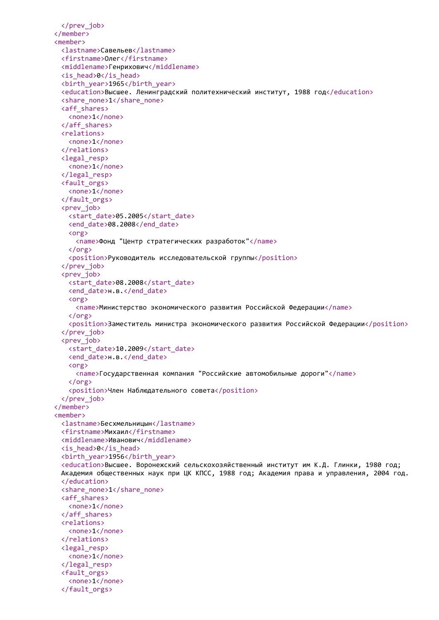```
</prev_job>
</member>
<member>
 <lastname>Савельев</lastname>
 <firstname>Олег</firstname>
 <middlename>Генрихович</middlename>
 <is_head>0</is_head>
 <birth_year>1965</birth_year>
 <education>Высшее. Ленинградский политехнический институт, 1988 год</education>
 <share_none>1</share_none>
 <aff_shares>
   <none>1</none>
 </aff_shares>
 <relations>
   <none>1</none>
 </relations>
 <legal_resp>
   <none>1</none>
 </legal_resp>
 <fault_orgs>
   <none>1</none>
 </fault_orgs>
 <prev_job>
   <start_date>05.2005</start_date>
   <end_date>08.2008</end_date>
   <org>
     <name>Фонд "Центр стратегических разработок"</name>
   </org>
   <position>Руководитель исследовательской группы</position>
 </prev_job>
 <prev_job>
   <start_date>08.2008</start_date>
   <end_date>н.в.</end_date>
   <org>
     <name>Министерство экономического развития Российской Федерации</name>
   </org>
   <position>Заместитель министра экономического развития Российской Федерации</position>
 </prev_job>
 <prev_job>
   <start_date>10.2009</start_date>
   <end date>н.в.</end date>
   <org>
     <name>Государственная компания "Российские автомобильные дороги"</name>
   </org>
   <position>Член Наблюдательного совета</position>
 </prev_job>
</member>
<member>
 <lastname>Бесхмельницын</lastname>
 <firstname>Михаил</firstname>
 <middlename>Иванович</middlename>
 <is_head>0</is_head>
 <birth_year>1956</birth_year>
 <education>Высшее. Воронежский сельскохозяйственный институт им К.Д. Глинки, 1980 год;
 Академия общественных наук при ЦК КПСС, 1988 год; Академия права и управления, 2004 год.
 </education>
 <share_none>1</share_none>
 <aff_shares>
   <none>1</none>
 </aff_shares>
 <relations>
   <none>1</none>
 </relations>
 <legal_resp>
   <none>1</none>
 </legal_resp>
 <fault_orgs>
   <none>1</none>
 </fault_orgs>
```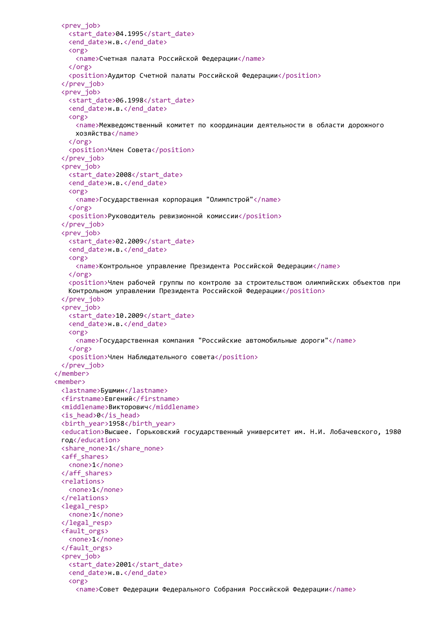```
<prev_job>
   <start_date>04.1995</start_date>
   <end_date>н.в.</end_date>
   <org>
     <name>Счетная палата Российской Федерации</name>
   </org>
   <position>Аудитор Счетной палаты Российской Федерации</position>
 </prev_job>
 <prev_job>
   <start_date>06.1998</start_date>
   <end_date>н.в.</end_date>
   <org>
     <name>Межведомственный комитет по координации деятельности в области дорожного
     хозяйства</name>
   </org>
   <position>Член Совета</position>
 </prev_job>
 <prev_job>
   <start_date>2008</start_date>
   <end date>н.в.</end date>
   <org>
     <name>Государственная корпорация "Олимпстрой"</name>
   </org>
   <position>Руководитель ревизионной комиссии</position>
 </prev_job>
 <prev_job>
   <start_date>02.2009</start_date>
   <end date>н.в.</end date>
   <org>
     <name>Контрольное управление Президента Российской Федерации</name>
   </org>
   <position>Член рабочей группы по контролю за строительством олимпийских объектов при
   Контрольном управлении Президента Российской Федерации</position>
 </prev_job>
 <prev_job>
   <start_date>10.2009</start_date>
   <end_date>н.в.</end_date>
   <org>
     <name>Государственная компания "Российские автомобильные дороги"</name>
   </org>
   <position>Член Наблюдательного совета</position>
 </prev_job>
</member>
<member>
 <lastname>Бушмин</lastname>
 <firstname>Евгений</firstname>
 <middlename>Викторович</middlename>
 <is_head>0</is_head>
 <birth_year>1958</birth_year>
 <education>Высшее. Горьковский государственный университет им. Н.И. Лобачевского, 1980
 год</education>
 <share_none>1</share_none>
 <aff_shares>
   <none>1</none>
 </aff_shares>
 <relations>
   <none>1</none>
 </relations>
 <legal_resp>
   <none>1</none>
 </legal_resp>
 <fault_orgs>
   <none>1</none>
 </fault_orgs>
 <prev_job>
   <start_date>2001</start_date>
   <end_date>н.в.</end_date>
   <org>
     <name>Совет Федерации Федерального Собрания Российской Федерации</name>
```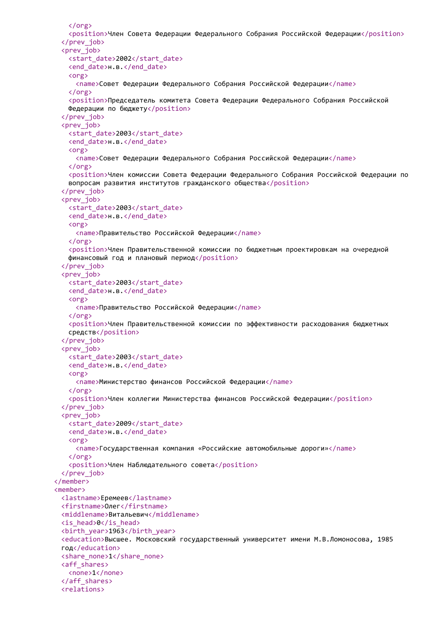```
</org>
   <position>Член Совета Федерации Федерального Собрания Российской Федерации</position>
 </prev_job>
 <prev_job>
   <start_date>2002</start_date>
   <end date>н.в.</end date>
   <org>
     <name>Совет Федерации Федерального Собрания Российской Федерации</name>
   </org>
   <position>Председатель комитета Совета Федерации Федерального Собрания Российской
   Федерации по бюджету</position>
 </prev_job>
 <prev_job>
   <start_date>2003</start_date>
   <end_date>н.в.</end_date>
   <org>
     <name>Совет Федерации Федерального Собрания Российской Федерации</name>
   </org>
   <position>Член комиссии Совета Федерации Федерального Собрания Российской Федерации по
   вопросам развития институтов гражданского общества</position>
 </prev_job>
 <prev_job>
   <start_date>2003</start_date>
   <end date>н.в.</end date>
   <org>
     <name>Правительство Российской Федерации</name>
   </org>
   <position>Член Правительственной комиссии по бюджетным проектировкам на очередной
   финансовый год и плановый период</position>
 </prev_job>
 <prev_job>
   <start_date>2003</start_date>
   <end date>н.в.</end date>
   <org>
     <name>Правительство Российской Федерации</name>
   </org>
   <position>Член Правительственной комиссии по эффективности расходования бюджетных
   средств</position>
 </prev_job>
 <prev_job>
   <start date>2003</start date>
   <end_date>н.в.</end_date>
   <org>
     <name>Министерство финансов Российской Федерации</name>
   \langle/org\rangle<position>Член коллегии Министерства финансов Российской Федерации</position>
 </prev_job>
 <prev_job>
   <start_date>2009</start_date>
   <end date>н.в.</end date>
   <org>
     <name>Государственная компания «Российские автомобильные дороги»</name>
   \langle/org\rangle<position>Член Наблюдательного совета</position>
 </prev_job>
</member>
<member>
 <lastname>Еремеев</lastname>
 <firstname>Олег</firstname>
 <middlename>Витальевич</middlename>
 <is_head>0</is_head>
 <birth_year>1963</birth_year>
 <education>Высшее. Московский государственный университет имени М.В.Ломоносова, 1985
 год</education>
 <share_none>1</share_none>
 <aff_shares>
   <none>1</none>
 </aff_shares>
 <relations>
```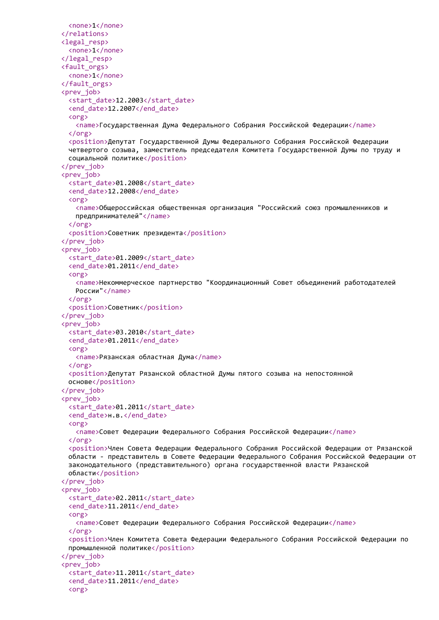```
<none>1</none>
</relations>
<legal_resp>
 <none>1</none>
</legal_resp>
<fault_orgs>
 <none>1</none>
</fault_orgs>
<prev_job>
 <start_date>12.2003</start_date>
 <end_date>12.2007</end_date>
 <org>
   <name>Государственная Дума Федерального Собрания Российской Федерации</name>
 </org>
 <position>Депутат Государственной Думы Федерального Собрания Российской Федерации
 четвертого созыва, заместитель председателя Комитета Государственной Думы по труду и
 социальной политике</position>
</prev_job>
<prev_job>
 <start_date>01.2008</start_date>
 <end_date>12.2008</end_date>
 <org>
   <name>Общероссийская общественная организация "Российский союз промышленников и
   предпринимателей"</name>
 </org>
 <position>Советник президента</position>
</prev_job>
<prev_job>
 <start_date>01.2009</start_date>
 <end_date>01.2011</end_date>
 <org>
   <name>Некоммерческое партнерство "Координационный Совет объединений работодателей
   России"</name>
 </org>
 <position>Советник</position>
</prev_job>
<prev_job>
 <start_date>03.2010</start_date>
 <end date>01.2011</end date>
 <org>
   <name>Рязанская областная Дума</name>
 </org>
 <position>Депутат Рязанской областной Думы пятого созыва на непостоянной
 основе</position>
</prev_job>
<prev_job>
 <start_date>01.2011</start_date>
 <end date>н.в.</end date>
 <org>
   <name>Совет Федерации Федерального Собрания Российской Федерации</name>
 </org>
 <position>Член Совета Федерации Федерального Собрания Российской Федерации от Рязанской
 области - представитель в Совете Федерации Федерального Собрания Российской Федерации от
 законодательного (представительного) органа государственной власти Рязанской
 области</position>
</prev_job>
<prev_iob>
 <start_date>02.2011</start_date>
 <end date>11.2011</end date>
 <org>
   <name>Совет Федерации Федерального Собрания Российской Федерации</name>
 </org>
 <position>Член Комитета Совета Федерации Федерального Собрания Российской Федерации по
 промышленной политике</position>
</prev_job>
<prev_job>
 <start_date>11.2011</start_date>
 <end_date>11.2011</end_date>
 <org>
```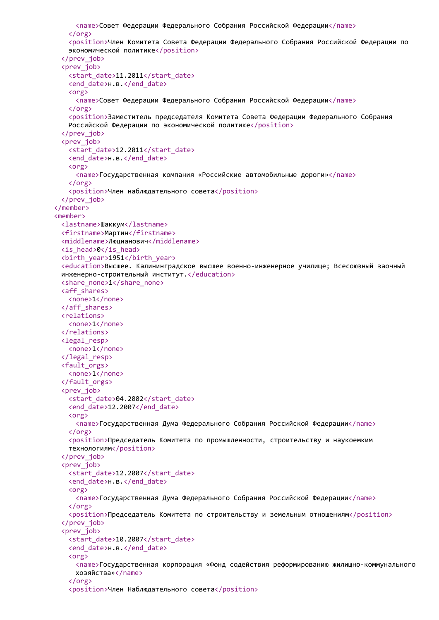```
<name>Совет Федерации Федерального Собрания Российской Федерации</name>
   </org>
   <position>Член Комитета Совета Федерации Федерального Собрания Российской Федерации по
   экономической политике</position>
 </prev_job>
 <prev_job>
   <start_date>11.2011</start_date>
   <end date>н.в.</end date>
   <org>
     <name>Совет Федерации Федерального Собрания Российской Федерации</name>
   </org>
   <position>Заместитель председателя Комитета Совета Федерации Федерального Собрания
   Российской Федерации по экономической политике</position>
 </prev_job>
 <prev_job>
   <start_date>12.2011</start_date>
   <end date>н.в.</end date>
   <org>
     <name>Государственная компания «Российские автомобильные дороги»</name>
   </org>
   <position>Член наблюдательного совета</position>
 </prev_job>
</member>
<member>
 <lastname>Шаккум</lastname>
 <firstname>Мартин</firstname>
 <middlename>Люцианович</middlename>
 <is_head>0</is_head>
 <birth_year>1951</birth_year>
 <education>Высшее. Калининградское высшее военно-инженерное училище; Всесоюзный заочный
 инженерно-строительный институт.</education>
 <share_none>1</share_none>
 <aff_shares>
   <none>1</none>
 </aff_shares>
 <relations>
   <none>1</none>
 </relations>
 <legal_resp>
   <none>1</none>
 </legal_resp>
 <fault_orgs>
   <none>1</none>
 </fault_orgs>
 <prev_job>
   <start_date>04.2002</start_date>
   <end_date>12.2007</end_date>
   <org>
     <name>Государственная Дума Федерального Собрания Российской Федерации</name>
   \langle/org\rangle<position>Председатель Комитета по промышленности, строительству и наукоемким
   технологиям</position>
 </prev_job>
 <prev_iob>
   <start_date>12.2007</start_date>
   <end date>н.в.</end date>
   <org>
     <name>Государственная Дума Федерального Собрания Российской Федерации</name>
   </org>
   <position>Председатель Комитета по строительству и земельным отношениям</position>
 </prev_job>
 <prev_iob>
   <start_date>10.2007</start_date>
   <end_date>н.в.</end_date>
   <org>
     <name>Государственная корпорация «Фонд содействия реформированию жилищно-коммунального
     хозяйства»</name>
   </org>
   <position>Член Наблюдательного совета</position>
```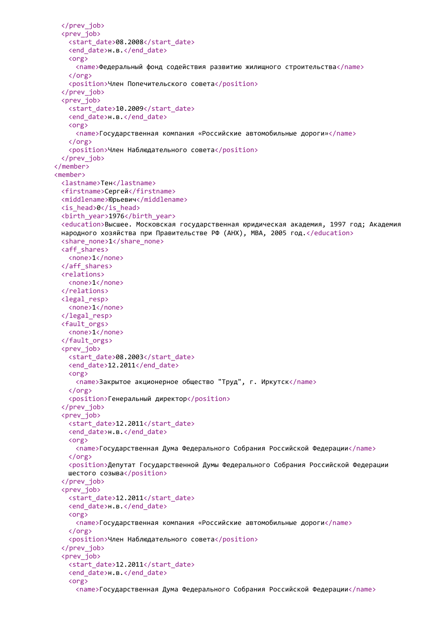```
</prev_job>
 <prev_job>
   <start_date>08.2008</start_date>
   <end_date>н.в.</end_date>
   <org>
     <name>Федеральный фонд содействия развитию жилищного строительства</name>
   </org>
   <position>Член Попечительского совета</position>
 </prev_job>
 <prev_job>
   <start_date>10.2009</start_date>
   <end_date>н.в.</end_date>
   <org>
     <name>Государственная компания «Российские автомобильные дороги»</name>
   </org>
   <position>Член Наблюдательного совета</position>
 </prev_job>
</member>
<member>
 <lastname>Тен</lastname>
 <firstname>Сергей</firstname>
 <middlename>Юрьевич</middlename>
 <is_head>0</is_head>
 <birth_year>1976</birth_year>
 <education>Высшее. Московская государственная юридическая академия, 1997 год; Академия
 народного хозяйства при Правительстве РФ (АНХ), MBA, 2005 год.</education>
 <share_none>1</share_none>
 <aff_shares>
   <none>1</none>
 </aff_shares>
 <relations>
   <none>1</none>
 </relations>
 <legal_resp>
   <none>1</none>
 </legal_resp>
 <fault_orgs>
   <none>1</none>
 </fault_orgs>
 <prev_job>
   <start_date>08.2003</start_date>
   <end_date>12.2011</end_date>
   <org>
     <name>Закрытое акционерное общество "Труд", г. Иркутск</name>
   \langle/org\rangle<position>Генеральный директор</position>
 </prev_job>
 <prev_job>
   <start_date>12.2011</start_date>
   <end date>н.в.</end date>
   <org>
     <name>Государственная Дума Федерального Собрания Российской Федерации</name>
   \langle/org\rangle<position>Депутат Государственной Думы Федерального Собрания Российской Федерации
   шестого созыва</position>
 </prev_job>
 <prev_iob>
   <start_date>12.2011</start_date>
   <end date>н.в.</end date>
   <org>
     <name>Государственная компания «Российские автомобильные дороги</name>
   </org>
   <position>Член Наблюдательного совета</position>
 </prev_job>
 <prev_job>
   <start_date>12.2011</start_date>
   <end_date>н.в.</end_date>
   <org>
     <name>Государственная Дума Федерального Собрания Российской Федерации</name>
```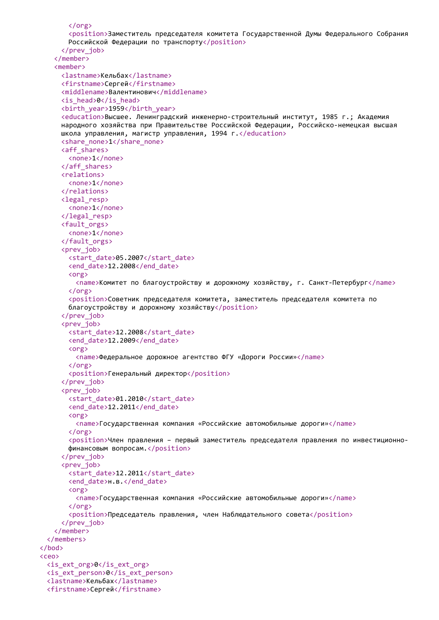```
</org>
       <position>Заместитель председателя комитета Государственной Думы Федерального Собрания
       Российской Федерации по транспорту</position>
     </prev_job>
   </member>
   <member>
     <lastname>Кельбах</lastname>
     <firstname>Сергей</firstname>
     <middlename>Валентинович</middlename>
     <is_head>0</is_head>
     <birth_year>1959</birth_year>
     <education>Высшее. Ленинградский инженерно-строительный институт, 1985 г.; Академия
     народного хозяйства при Правительстве Российской Федерации, Российско-немецкая высшая
     школа управления, магистр управления, 1994 г.</education>
     <share_none>1</share_none>
     <aff_shares>
       <none>1</none>
     </aff_shares>
     <relations>
       <none>1</none>
     </relations>
     <legal_resp>
       <none>1</none>
     </legal_resp>
     <fault_orgs>
       <none>1</none>
     </fault_orgs>
     <prev_job>
       <start_date>05.2007</start_date>
       <end_date>12.2008</end_date>
       <org>
         <name>Комитет по благоустройству и дорожному хозяйству, г. Санкт-Петербург</name>
       </org>
       <position>Советник председателя комитета, заместитель председателя комитета по
       благоустройству и дорожному хозяйству</position>
     </prev_job>
     <prev_job>
       <start_date>12.2008</start_date>
       <end_date>12.2009</end_date>
       <org>
         <name>Федеральное дорожное агентство ФГУ «Дороги России»</name>
       </org>
       <position>Генеральный директор</position>
     </prev_job>
     <prev_job>
       <start_date>01.2010</start_date>
       <end date>12.2011</end date>
       <org>
         <name>Государственная компания «Российские автомобильные дороги»</name>
       \langle/org\rangle<position>Член правления – первый заместитель председателя правления по инвестиционно-
       финансовым вопросам.</position>
     </prev_job>
     <prev_job>
       <start_date>12.2011</start_date>
       <end date>н.в.</end date>
       <org>
         <name>Государственная компания «Российские автомобильные дороги»</name>
       </org>
       <position>Председатель правления, член Наблюдательного совета</position>
     </prev_job>
   </member>
  </members>
</bod>
<ceo>
  <is_ext_org>0</is_ext_org>
 <is_ext_person>0</is_ext_person>
  <lastname>Кельбах</lastname>
  <firstname>Сергей</firstname>
```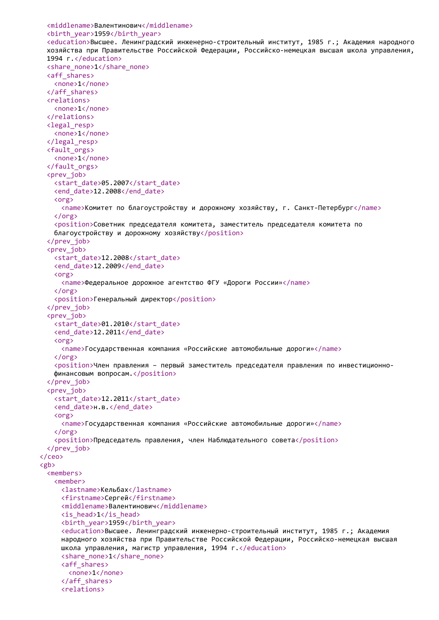```
<middlename>Валентинович</middlename>
 <birth_year>1959</birth_year>
 <education>Высшее. Ленинградский инженерно-строительный институт, 1985 г.; Академия народного
 хозяйства при Правительстве Российской Федерации, Российско-немецкая высшая школа управления,
 1994 г.</education>
 <share_none>1</share_none>
 <aff_shares>
   <none>1</none>
 </aff_shares>
 <relations>
   <none>1</none>
 </relations>
 <legal_resp>
   <none>1</none>
 </legal_resp>
 <fault_orgs>
   <none>1</none>
 </fault_orgs>
 <prev_job>
   <start_date>05.2007</start_date>
   <end date>12.2008</end date>
   <org>
     <name>Комитет по благоустройству и дорожному хозяйству, г. Санкт-Петербург</name>
   </org>
   <position>Советник председателя комитета, заместитель председателя комитета по
   благоустройству и дорожному хозяйству</position>
 </prev_job>
 <prev_job>
   <start_date>12.2008</start_date>
   <end_date>12.2009</end_date>
   <org>
     <name>Федеральное дорожное агентство ФГУ «Дороги России»</name>
   </org>
   <position>Генеральный директор</position>
 </prev_job>
 <prev_job>
   <start_date>01.2010</start_date>
   <end date>12.2011</end date>
   <org>
     <name>Государственная компания «Российские автомобильные дороги»</name>
   </org>
   <position>Член правления – первый заместитель председателя правления по инвестиционно-
   финансовым вопросам.</position>
 </prev_job>
 <prev_job>
   <start_date>12.2011</start_date>
   <end date>н.в.</end date>
   <org>
     <name>Государственная компания «Российские автомобильные дороги»</name>
   \langle/org\rangle<position>Председатель правления, член Наблюдательного совета</position>
 </prev_job>
</ceo>
<gb>
 <members>
   <member>
     <lastname>Кельбах</lastname>
     <firstname>Сергей</firstname>
     <middlename>Валентинович</middlename>
     <is_head>1</is_head>
     <birth_year>1959</birth_year>
     <education>Высшее. Ленинградский инженерно-строительный институт, 1985 г.; Академия
     народного хозяйства при Правительстве Российской Федерации, Российско-немецкая высшая
     школа управления, магистр управления, 1994 г.</education>
     <share_none>1</share_none>
     <aff_shares>
       <none>1</none>
     </aff_shares>
     <relations>
```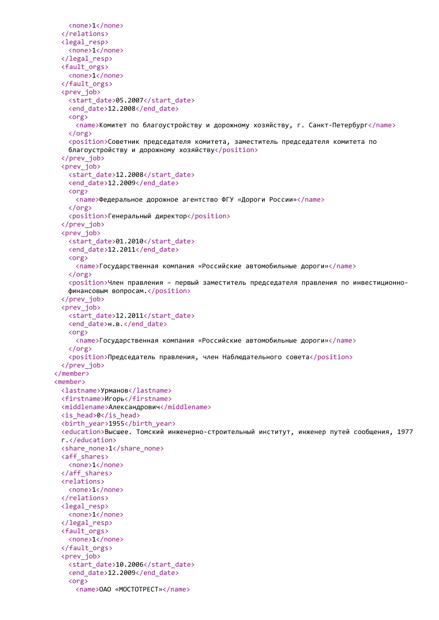```
<none>1</none>
 </relations>
 <legal_resp>
   <none>1</none>
 </legal_resp>
 <fault_orgs>
   <none>1</none>
 </fault_orgs>
 <prev_job>
   <start_date>05.2007</start_date>
   <end date>12.2008</end date>
   <org>
     <name>Комитет по благоустройству и дорожному хозяйству, г. Санкт-Петербург</name>
   </org>
   <position>Советник председателя комитета, заместитель председателя комитета по
   благоустройству и дорожному хозяйству</position>
 </prev_job>
 <prev_job>
   <start_date>12.2008</start_date>
   <end_date>12.2009</end_date>
   <org>
     <name>Федеральное дорожное агентство ФГУ «Дороги России»</name>
   </org>
   <position>Генеральный директор</position>
 </prev_job>
 <prev_job>
   <start_date>01.2010</start_date>
   <end date>12.2011</end date>
   <org>
     <name>Государственная компания «Российские автомобильные дороги»</name>
   </org>
   <position>Член правления – первый заместитель председателя правления по инвестиционно-
   финансовым вопросам.</position>
 </prev_job>
 <prev_job>
   <start_date>12.2011</start_date>
   <end_date>н.в.</end_date>
   <org>
     <name>Государственная компания «Российские автомобильные дороги»</name>
   </org>
   <position>Председатель правления, член Наблюдательного совета</position>
 </prev_job>
</member>
<member>
 <lastname>Урманов</lastname>
 <firstname>Игорь</firstname>
 <middlename>Александрович</middlename>
 <is_head>0</is_head>
 <birth_year>1955</birth_year>
 <education>Высшее. Томский инженерно-строительный институт, инженер путей сообщения, 1977
 г.</education>
 <share_none>1</share_none>
 <aff_shares>
   <none>1</none>
 </aff_shares>
 <relations>
   <none>1</none>
 </relations>
 <legal_resp>
   <none>1</none>
 </legal_resp>
 <fault_orgs>
   <none>1</none>
 </fault_orgs>
 <prev_job>
   <start_date>10.2006</start_date>
   <end_date>12.2009</end_date>
   <org>
     <name>ОАО «МОСТОТРЕСТ»</name>
```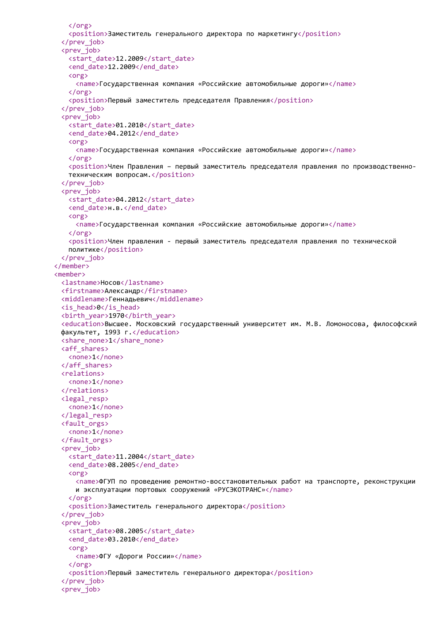```
</org>
   <position>Заместитель генерального директора по маркетингу</position>
 </prev_job>
 <prev_job>
   <start_date>12.2009</start_date>
   <end_date>12.2009</end_date>
   <org>
     <name>Государственная компания «Российские автомобильные дороги»</name>
   </org>
   <position>Первый заместитель председателя Правления</position>
 </prev_job>
 <prev_job>
   <start_date>01.2010</start_date>
   <end_date>04.2012</end_date>
   <org>
     <name>Государственная компания «Российские автомобильные дороги»</name>
   </org>
   <position>Член Правления - первый заместитель председателя правления по производственно-
   техническим вопросам.</position>
 </prev_job>
 <prev_job>
   <start_date>04.2012</start_date>
   <end date>н.в.</end date>
   <org>
     <name>Государственная компания «Российские автомобильные дороги»</name>
   </org>
   <position>Член правления - первый заместитель председателя правления по технической
   политике</position>
 </prev_job>
</member>
<member>
 <lastname>Носов</lastname>
 <firstname>Александр</firstname>
 <middlename>Геннадьевич</middlename>
 <is_head>0</is_head>
 <birth_year>1970</birth_year>
 <education>Высшее. Московский государственный университет им. М.В. Ломоносова, философский
 факультет, 1993 г.</education>
 <share_none>1</share_none>
 <aff_shares>
   <none>1</none>
 </aff_shares>
 <relations>
   <none>1</none>
 </relations>
 <legal_resp>
   <none>1</none>
 </legal_resp>
 <fault_orgs>
   <none>1</none>
 </fault_orgs>
 <prev_iob>
   <start_date>11.2004</start_date>
   <end_date>08.2005</end_date>
   <org>
     <name>ФГУП по проведению ремонтно-восстановительных работ на транспорте, реконструкции
     и эксплуатации портовых сооружений «РУСЭКОТРАНС»</name>
   </org>
   <position>Заместитель генерального директора</position>
 </prev_job>
 <prev_iob>
   <start_date>08.2005</start_date>
   <end date>03.2010</end date>
   <org>
     <name>ФГУ «Дороги России»</name>
   </org>
   <position>Первый заместитель генерального директора</position>
 </prev_job>
 <prev_job>
```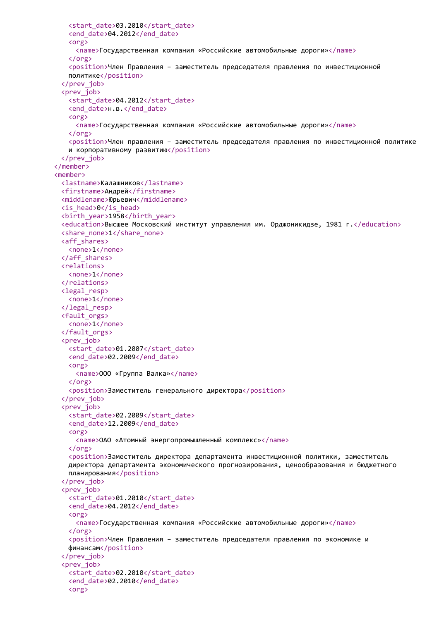```
<start_date>03.2010</start_date>
   <end_date>04.2012</end_date>
   <org>
     <name>Государственная компания «Российские автомобильные дороги»</name>
   </org>
   <position>Член Правления – заместитель председателя правления по инвестиционной
   политике</position>
 </prev_job>
 <prev_job>
   <start_date>04.2012</start_date>
   <end_date>н.в.</end_date>
   <org>
     <name>Государственная компания «Российские автомобильные дороги»</name>
   </org>
   <position>Член правления – заместитель председателя правления по инвестиционной политике
   и корпоративному развитию</position>
 </prev_job>
</member>
<member>
 <lastname>Калашников</lastname>
 <firstname>Андрей</firstname>
 <middlename>Юрьевич</middlename>
 <is_head>0</is_head>
 <birth_year>1958</birth_year>
 <education>Высшее Московский институт управления им. Орджоникидзе, 1981 г.</education>
 <share_none>1</share_none>
 <aff_shares>
   <none>1</none>
 </aff_shares>
 <relations>
   <none>1</none>
 </relations>
 <legal_resp>
   <none>1</none>
 </legal_resp>
 <fault_orgs>
   <none>1</none>
 </fault_orgs>
 <prev_job>
   <start_date>01.2007</start_date>
   <end date>02.2009</end date>
   <org>
     <name>ООО «Группа Валка»</name>
   </org>
   <position>Заместитель генерального директора</position>
 </prev_job>
 <prev_job>
   <start_date>02.2009</start_date>
   <end_date>12.2009</end_date>
   <org>
     <name>ОАО «Атомный энергопромышленный комплекс»</name>
   </org>
   <position>Заместитель директора департамента инвестиционной политики, заместитель
   директора департамента экономического прогнозирования, ценообразования и бюджетного
   планирования</position>
 </prev_job>
 <prev_iob>
   <start_date>01.2010</start_date>
   <end_date>04.2012</end_date>
   <org>
     <name>Государственная компания «Российские автомобильные дороги»</name>
   </org>
   <position>Член Правления – заместитель председателя правления по экономике и
   финансам</position>
 </prev_job>
 <prev_job>
   <start_date>02.2010</start_date>
   <end_date>02.2010</end_date>
   <org>
```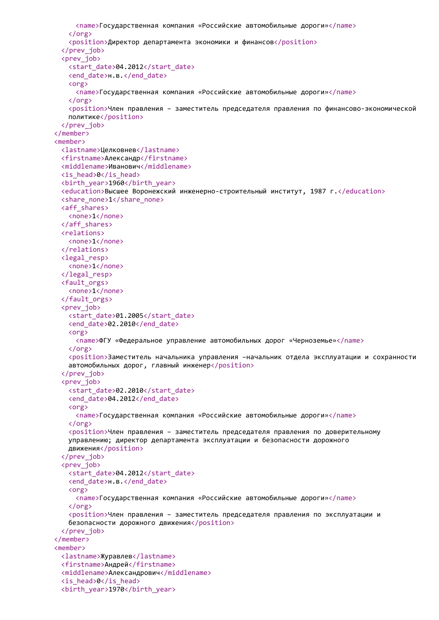```
<name>Государственная компания «Российские автомобильные дороги»</name>
   </org>
   <position>Директор департамента экономики и финансов</position>
 </prev_job>
 <prev_job>
   <start_date>04.2012</start_date>
   <end_date>н.в.</end_date>
   <org>
     <name>Государственная компания «Российские автомобильные дороги»</name>
   </org>
   <position>Член правления – заместитель председателя правления по финансово-экономической
   политике</position>
 </prev_job>
</member>
<member>
 <lastname>Целковнев</lastname>
 <firstname>Александр</firstname>
 <middlename>Иванович</middlename>
 <is_head>0</is_head>
 <birth_year>1960</birth_year>
 <education>Высшее Воронежский инженерно-строительный институт, 1987 г.</education>
 <share_none>1</share_none>
 <aff_shares>
   <none>1</none>
 </aff_shares>
 <relations>
   <none>1</none>
 </relations>
 <legal_resp>
   <none>1</none>
 </legal_resp>
 <fault_orgs>
   <none>1</none>
 </fault_orgs>
 <prev_job>
   <start_date>01.2005</start_date>
   <end_date>02.2010</end_date>
   <org>
     <name>ФГУ «Федеральное управление автомобильных дорог «Черноземье»</name>
   </org>
   <position>Заместитель начальника управления –начальник отдела эксплуатации и сохранности
   автомобильных дорог, главный инженер</position>
 </prev_job>
 <prev_job>
   <start_date>02.2010</start_date>
   <end_date>04.2012</end_date>
   <org>
     <name>Государственная компания «Российские автомобильные дороги»</name>
   \langle/org\rangle<position>Член правления – заместитель председателя правления по доверительному
   управлению; директор департамента эксплуатации и безопасности дорожного
   движения</position>
 </prev_job>
 <prev_iob>
   <start_date>04.2012</start_date>
   <end date>н.в.</end date>
   <org>
     <name>Государственная компания «Российские автомобильные дороги»</name>
   \zeta/org\zeta<position>Член правления – заместитель председателя правления по эксплуатации и
   безопасности дорожного движения</position>
 </prev_job>
</member>
<member>
 <lastname>Журавлев</lastname>
 <firstname>Андрей</firstname>
 <middlename>Александрович</middlename>
 <is_head>0</is_head>
 <birth_year>1970</birth_year>
```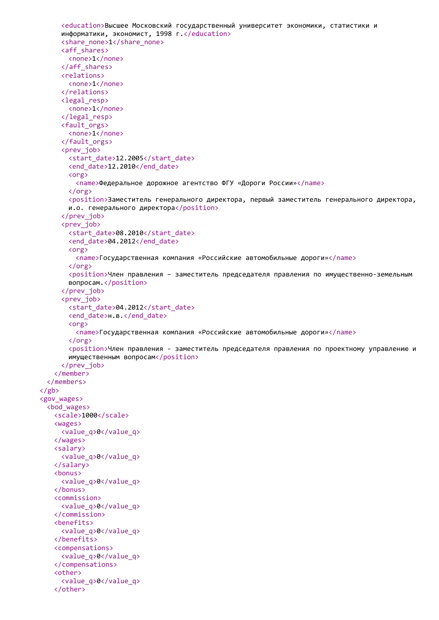```
<education>Высшее Московский государственный университет экономики, статистики и
     информатики, экономист, 1998 г.</education>
     <share_none>1</share_none>
     <aff_shares>
       <none>1</none>
     </aff_shares>
     <relations>
       <none>1</none>
     </relations>
     <legal_resp>
       <none>1</none>
     </legal_resp>
     <fault_orgs>
       <none>1</none>
     </fault_orgs>
     <prev_job>
       <start_date>12.2005</start_date>
       <end date>12.2010</end date>
       <org>
         <name>Федеральное дорожное агентство ФГУ «Дороги России»</name>
       </org>
       <position>Заместитель генерального директора, первый заместитель генерального директора,
       и.о. генерального директора</position>
     </prev_job>
     <prev_job>
       <start_date>08.2010</start_date>
       <end_date>04.2012</end_date>
       <org>
         <name>Государственная компания «Российские автомобильные дороги»</name>
       </org>
       <position>Член правления – заместитель председателя правления по имущественно-земельным
       вопросам.</position>
     </prev_job>
     <prev_job>
       <start_date>04.2012</start_date>
       <end_date>н.в.</end_date>
       <org>
         <name>Государственная компания «Российские автомобильные дороги»</name>
       </org>
       <position>Член правления - заместитель председателя правления по проектному управлению и
       имущественным вопросам</position>
     </prev_job>
   </member>
  </members>
</gb>
<gov_wages>
 <bod_wages>
   <scale>1000</scale>
   <wages>
     <value_q>0</value_q>
   </wages>
   <salary>
     <value_q>0</value_q>
   </salary>
   <bonus>
     <value_q>0</value_q>
   </bonus>
   <commission>
     <value_q>0</value_q>
   </commission>
   <benefits>
     <value_q>0</value_q>
   </benefits>
   <compensations>
     <value_q>0</value_q>
   </compensations>
   <other>
     <value_q>0</value_q>
   </other>
```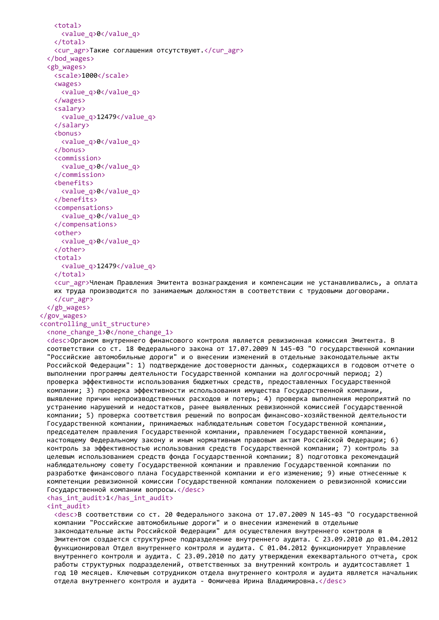```
<total>
     <value_q>0</value_q>
   </total>
   <cur_agr>Такие соглашения отсутствуют.</cur_agr>
 </bod_wages>
 <gb_wages>
   <scale>1000</scale>
   <wages>
     <value_q>0</value_q>
   </wages>
   <salary>
     <value_q>12479</value_q>
   </salary>
   <bonus>
     <value_q>0</value_q>
   </bonus>
   <commission>
     <value_q>0</value_q>
   </commission>
   <benefits>
     <value_q>0</value_q>
   </benefits>
   <compensations>
     <value_q>0</value_q>
   </compensations>
   <other>
     <value_q>0</value_q>
   </other>
   <total>
     <value_q>12479</value_q>
   </total>
   <cur_agr>Членам Правления Эмитента вознаграждения и компенсации не устанавливались, а оплата
   их труда производится по занимаемым должностям в соответствии с трудовыми договорами.
   </cur_agr>
 </gb_wages>
</gov_wages>
<controlling_unit_structure>
 <none_change_1>0</none_change_1>
 <desc>Органом внутреннего финансового контроля является ревизионная комиссия Эмитента. В
 соответствии со ст. 18 Федерального закона от 17.07.2009 N 145-ФЗ "О государственной компании
 "Российские автомобильные дороги" и о внесении изменений в отдельные законодательные акты
 Российской Федерации": 1) подтверждение достоверности данных, содержащихся в годовом отчете о
 выполнении программы деятельности Государственной компании на долгосрочный период; 2)
 проверка эффективности использования бюджетных средств, предоставленных Государственной
 компании; 3) проверка эффективности использования имущества Государственной компании,
 выявление причин непроизводственных расходов и потерь; 4) проверка выполнения мероприятий по
 устранению нарушений и недостатков, ранее выявленных ревизионной комиссией Государственной
 компании; 5) проверка соответствия решений по вопросам финансово-хозяйственной деятельности
 Государственной компании, принимаемых наблюдательным советом Государственной компании,
 председателем правления Государственной компании, правлением Государственной компании,
 настоящему Федеральному закону и иным нормативным правовым актам Российской Федерации; 6)
```
контроль за эффективностью использования средств Государственной компании; 7) контроль за целевым использованием средств фонда Государственной компании; 8) подготовка рекомендаций наблюдательному совету Государственной компании и правлению Государственной компании по разработке финансового плана Государственной компании и его изменению; 9) иные отнесенные к компетенции ревизионной комиссии Государственной компании положением о ревизионной комиссии Государственной компании вопросы.</desc>

<has\_int\_audit>1</has\_int\_audit>

## <int\_audit>

<desc>В соответствии со ст. 20 Федерального закона от 17.07.2009 N 145-ФЗ "О государственной компании "Российские автомобильные дороги" и о внесении изменений в отдельные законодательные акты Российской Федерации" для осуществления внутреннего контроля в Эмитентом создается структурное подразделение внутреннего аудита. С 23.09.2010 до 01.04.2012 функционировал Отдел внутреннего контроля и аудита. С 01.04.2012 функционирует Управление внутреннего контроля и аудита. С 23.09.2010 по дату утверждения ежеквартального отчета, срок работы структурных подразделений, ответственных за внутренний контроль и аудитсоставляет 1 год 10 месяцев. Ключевым сотрудником отдела внутреннего контроля и аудита является начальник отдела внутреннего контроля и аудита - Фомичева Ирина Владимировна.</desc>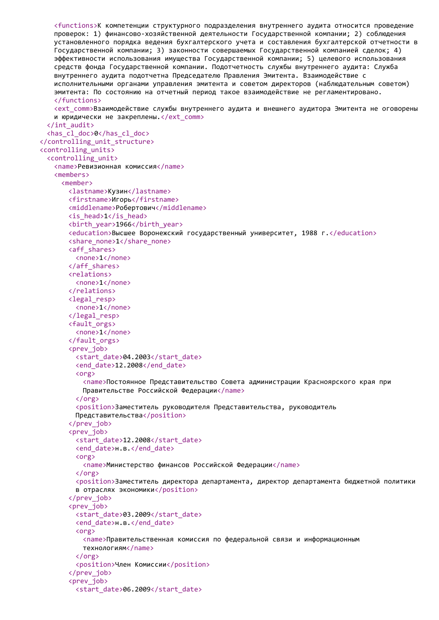```
<functions>К компетенции структурного подразделения внутреннего аудита относится проведение
   проверок: 1) финансово-хозяйственной деятельности Государственной компании; 2) соблюдения
   установленного порядка ведения бухгалтерского учета и составления бухгалтерской отчетности в
   Государственной компании; 3) законности совершаемых Государственной компанией сделок; 4)
   эффективности использования имущества Государственной компании; 5) целевого использования
   средств фонда Государственной компании. Подотчетность службы внутреннего аудита: Служба
   внутреннего аудита подотчетна Председателю Правления Эмитента. Взаимодействие с
   исполнительными органами управления эмитента и советом директоров (наблюдательным советом)
   эмитента: По состоянию на отчетный период такое взаимодействие не регламентировано.
   </functions>
   <ext_comm>Взаимодействие службы внутреннего аудита и внешнего аудитора Эмитента не оговорены
   и юридически не закреплены.</ext_comm>
 \langleint audit>
 <has_cl_doc>0</has_cl_doc>
</controlling_unit_structure>
<controlling_units>
 <controlling_unit>
   <name>Ревизионная комиссия</name>
   <members>
     <member>
       <lastname>Кузин</lastname>
       <firstname>Игорь</firstname>
       <middlename>Робертович</middlename>
       <is_head>1</is_head>
       <birth_year>1966</birth_year>
       <education>Высшее Воронежский государственный университет, 1988 г.</education>
       <share_none>1</share_none>
       <aff_shares>
        <none>1</none>
       </aff_shares>
       <relations>
         <none>1</none>
       </relations>
       <legal_resp>
         <none>1</none>
       </legal_resp>
       <fault_orgs>
         <none>1</none>
       </fault_orgs>
       <prev_job>
         <start_date>04.2003</start_date>
         <end_date>12.2008</end_date>
         <org>
           <name>Постоянное Представительство Совета администрации Красноярского края при
          Правительстве Российской Федерации</name>
         </org>
         <position>Заместитель руководителя Представительства, руководитель
         Представительства</position>
       </prev_job>
       <prev_iob>
         <start_date>12.2008</start_date>
         <end date>н.в.</end date>
         <org>
           <name>Министерство финансов Российской Федерации</name>
         \langle/\rangle<position>Заместитель директора департамента, директор департамента бюджетной политики
         в отраслях экономики</position>
       </prev_job>
       <prev_job>
         <start_date>03.2009</start_date>
         <end date>н.в.</end date>
         <org>
           <name>Правительственная комиссия по федеральной связи и информационным
           технологиям</name>
         </org>
         <position>Член Комиссии</position>
       </prev_job>
       <prev_job>
         <start_date>06.2009</start_date>
```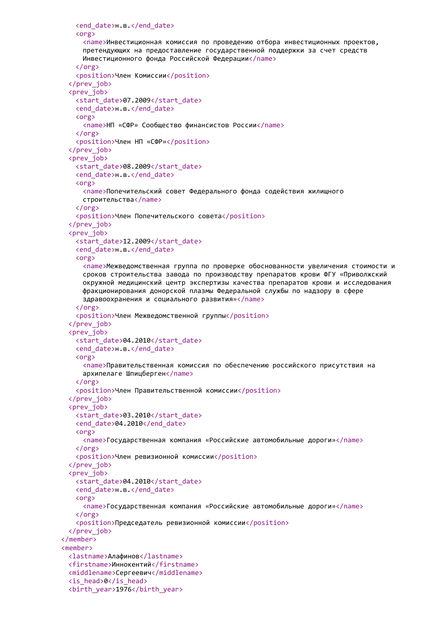```
<end_date>н.в.</end_date>
   <org>
     <name>Инвестиционная комиссия по проведению отбора инвестиционных проектов,
     претендующих на предоставление государственной поддержки за счет средств
     Инвестиционного фонда Российской Федерации</name>
   </org>
   <position>Член Комиссии</position>
 </prev_job>
 <prev_job>
   <start_date>07.2009</start_date>
   <end_date>н.в.</end_date>
   <org>
     <name>НП «СФР» Сообщество финансистов России</name>
   </org>
   <position>Член НП «СФР»</position>
 </prev_job>
 <prev_job>
   <start_date>08.2009</start_date>
   <end date>н.в.</end date>
   <org>
     <name>Попечительский совет Федерального фонда содействия жилищного
     строительства</name>
   </org>
   <position>Член Попечительского совета</position>
 </prev_job>
 <prev_job>
   <start_date>12.2009</start_date>
   <end date>н.в.</end date>
   <org>
     <name>Межведомственная группа по проверке обоснованности увеличения стоимости и
     сроков строительства завода по производству препаратов крови ФГУ «Приволжский
     окружной медицинский центр экспертизы качества препаратов крови и исследования
     фракционирования донорской плазмы Федеральной службы по надзору в сфере
     здравоохранения и социального развития»</name>
   </org>
   <position>Член Межведомственной группы</position>
 </prev_job>
 <prev_job>
   <start date>04.2010</start date>
   <end date>н.в.</end date>
   <org>
     <name>Правительственная комиссия по обеспечению российского присутствия на
     архипелаге Шпицберген</name>
   </org>
   <position>Член Правительственной комиссии</position>
 </prev_job>
 <prev_job>
   <start_date>03.2010</start_date>
   <end_date>04.2010</end_date>
   <org>
     <name>Государственная компания «Российские автомобильные дороги»</name>
   \langle/org\rangle<position>Член ревизионной комиссии</position>
 </prev_job>
 <prev_iob>
   <start_date>04.2010</start_date>
   <end date>н.в.</end date>
   <org>
     <name>Государственная компания «Российские автомобильные дороги»</name>
   \langle/\rangle<position>Председатель ревизионной комиссии</position>
 </prev_job>
</member>
<member>
 <lastname>Алафинов</lastname>
 <firstname>Иннокентий</firstname>
 <middlename>Сергеевич</middlename>
 <is_head>0</is_head>
 <birth_year>1976</birth_year>
```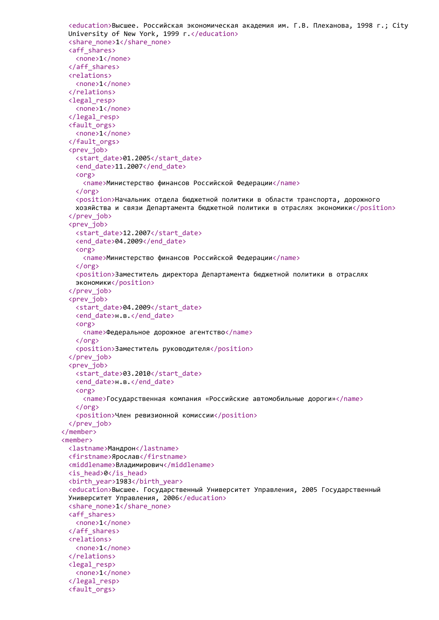```
<education>Высшее. Российская экономическая академия им. Г.В. Плеханова, 1998 г.; City
 University of New York, 1999 г.</education>
 <share_none>1</share_none>
 <aff_shares>
   <none>1</none>
 </aff_shares>
 <relations>
   <none>1</none>
 </relations>
 <legal_resp>
   <none>1</none>
 </legal_resp>
 <fault_orgs>
   <none>1</none>
 </fault_orgs>
 <prev_job>
   <start_date>01.2005</start_date>
   <end_date>11.2007</end_date>
   <org>
     <name>Министерство финансов Российской Федерации</name>
   </org>
   <position>Начальник отдела бюджетной политики в области транспорта, дорожного
   хозяйства и связи Департамента бюджетной политики в отраслях экономики</position>
 </prev_job>
 <prev_job>
   <start_date>12.2007</start_date>
   <end_date>04.2009</end_date>
   <org>
     <name>Министерство финансов Российской Федерации</name>
   </org>
   <position>Заместитель директора Департамента бюджетной политики в отраслях
   экономики</position>
 </prev_job>
 <prev_job>
   <start_date>04.2009</start_date>
   <end_date>н.в.</end_date>
   <org>
     <name>Федеральное дорожное агентство</name>
   </org>
   <position>Заместитель руководителя</position>
 </prev_job>
 <prev_job>
   <start_date>03.2010</start_date>
   <end date>н.в.</end date>
   <org>
     <name>Государственная компания «Российские автомобильные дороги»</name>
   \langle/org\rangle<position>Член ревизионной комиссии</position>
 </prev_job>
</member>
<member>
 <lastname>Мандрон</lastname>
 <firstname>Ярослав</firstname>
 <middlename>Владимирович</middlename>
 <is_head>0</is_head>
 <birth_year>1983</birth_year>
 <education>Высшее. Государственный Университет Управления, 2005 Государственный
 Университет Управления, 2006</education>
 <share_none>1</share_none>
 <aff_shares>
   <none>1</none>
 </aff_shares>
 <relations>
   <none>1</none>
 </relations>
 <legal_resp>
   <none>1</none>
 </legal_resp>
 <fault_orgs>
```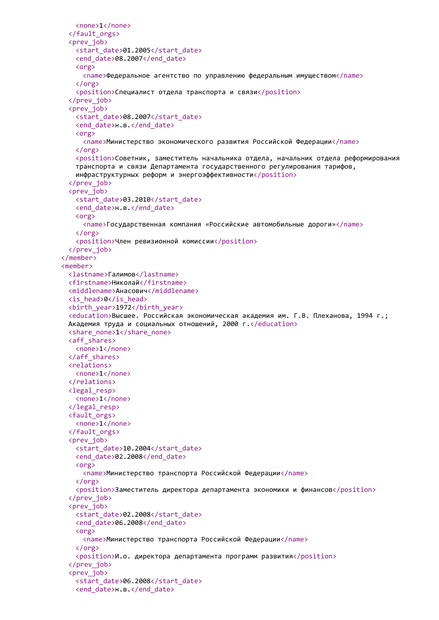```
<none>1</none>
 </fault_orgs>
 <prev_job>
   <start_date>01.2005</start_date>
   <end_date>08.2007</end_date>
   <org>
     <name>Федеральное агентство по управлению федеральным имуществом</name>
   </org>
   <position>Специалист отдела транспорта и связи</position>
 </prev_job>
 <prev_job>
   <start_date>08.2007</start_date>
   <end date>н.в.</end date>
   <org>
     <name>Министерство экономического развития Российской Федерации</name>
   </org>
   <position>Советник, заместитель начальника отдела, начальник отдела реформирования
   транспорта и связи Департамента государственного регулирования тарифов,
   инфраструктурных реформ и энергоэффективности</position>
 </prev_job>
 <prev_job>
   <start_date>03.2010</start_date>
   <end date>н.в.</end date>
   <org>
     <name>Государственная компания «Российские автомобильные дороги»</name>
   </org>
   <position>Член ревизионной комиссии</position>
 </prev_job>
</member>
<member>
 <lastname>Галимов</lastname>
 <firstname>Николай</firstname>
 <middlename>Анасович</middlename>
 <is_head>0</is_head>
 <birth_year>1972</birth_year>
 <education>Высшее. Российская экономическая академия им. Г.В. Плеханова, 1994 г.;
 Академия труда и социальных отношений, 2000 г.</education>
 <share_none>1</share_none>
 <aff_shares>
   <none>1</none>
 </aff_shares>
 <relations>
   <none>1</none>
 </relations>
 <legal_resp>
   <none>1</none>
 </legal_resp>
 <fault_orgs>
   <none>1</none>
 </fault_orgs>
 <prev_iob>
   <start_date>10.2004</start_date>
   <end_date>02.2008</end_date>
   <org>
     <name>Министерство транспорта Российской Федерации</name>
   \zeta/org\zeta<position>Заместитель директора департамента экономики и финансов</position>
 </prev_job>
 <prev_job>
   <start_date>02.2008</start_date>
   <end_date>06.2008</end_date>
   <org>
     <name>Министерство транспорта Российской Федерации</name>
   \langle/org\rangle<position>И.о. директора департамента программ развития</position>
 </prev_job>
 <prev_job>
   <start_date>06.2008</start_date>
   <end_date>н.в.</end_date>
```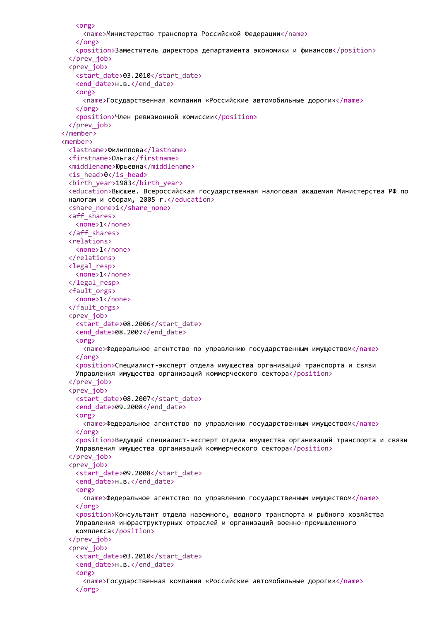```
<org>
     <name>Министерство транспорта Российской Федерации</name>
   </org>
   <position>Заместитель директора департамента экономики и финансов</position>
 </prev_job>
 <prev_job>
   <start_date>03.2010</start_date>
   <end date>н.в.</end date>
   <org>
     <name>Государственная компания «Российские автомобильные дороги»</name>
   </org>
   <position>Член ревизионной комиссии</position>
 </prev_job>
</member>
<member>
 <lastname>Филиппова</lastname>
 <firstname>Ольга</firstname>
 <middlename>Юрьевна</middlename>
 <is_head>0</is_head>
 <birth_year>1983</birth_year>
 <education>Высшее. Всероссийская государственная налоговая академия Министерства РФ по
 налогам и сборам, 2005 г.</education>
 <share_none>1</share_none>
 <aff_shares>
   <none>1</none>
 </aff_shares>
 <relations>
   <none>1</none>
 </relations>
 <legal_resp>
   <none>1</none>
 </legal_resp>
 <fault_orgs>
   <none>1</none>
 </fault_orgs>
 <prev_job>
   <start_date>08.2006</start_date>
   <end_date>08.2007</end_date>
   <org>
     <name>Федеральное агентство по управлению государственным имуществом</name>
   </org>
   <position>Специалист-эксперт отдела имущества организаций транспорта и связи
   Управления имущества организаций коммерческого сектора</position>
 </prev_job>
 <prev_job>
   <start_date>08.2007</start_date>
   <end_date>09.2008</end_date>
   <org>
     <name>Федеральное агентство по управлению государственным имуществом</name>
   \langle/org\rangle<position>Ведущий специалист-эксперт отдела имущества организаций транспорта и связи
   Управления имущества организаций коммерческого сектора</position>
 </prev_job>
 <prev_job>
   <start_date>09.2008</start_date>
   <end date>н.в.</end date>
   <org>
     <name>Федеральное агентство по управлению государственным имуществом</name>
   \zeta/org\zeta<position>Консультант отдела наземного, водного транспорта и рыбного хозяйства
   Управления инфраструктурных отраслей и организаций военно-промышленного
   комплекса</position>
 </prev_job>
 <prev_job>
   <start_date>03.2010</start_date>
   <end_date>н.в.</end_date>
   <org>
     <name>Государственная компания «Российские автомобильные дороги»</name>
   </org>
```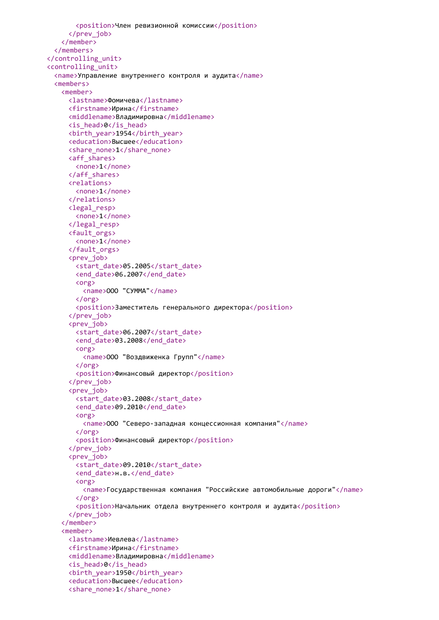```
<position>Член ревизионной комиссии</position>
     </prev_job>
   </member>
 </members>
</controlling_unit>
<controlling_unit>
 <name>Управление внутреннего контроля и аудита</name>
 <members>
   <member>
     <lastname>Фомичева</lastname>
     <firstname>Ирина</firstname>
     <middlename>Владимировна</middlename>
     <is_head>0</is_head>
     <birth_year>1954</birth_year>
     <education>Высшее</education>
     <share_none>1</share_none>
     <aff_shares>
       <none>1</none>
     </aff_shares>
     <relations>
       <none>1</none>
     </relations>
     <legal_resp>
       <none>1</none>
     </legal_resp>
     <fault_orgs>
       <none>1</none>
     </fault_orgs>
     <prev_job>
       <start_date>05.2005</start_date>
       <end_date>06.2007</end_date>
       <org>
         <name>ООО "СУММА"</name>
       </org>
       <position>Заместитель генерального директора</position>
     </prev_job>
     <prev_job>
       <start_date>06.2007</start_date>
       <end_date>03.2008</end_date>
       <org>
         <name>ООО "Воздвиженка Групп"</name>
       </org>
       <position>Финансовый директор</position>
     </prev_job>
     <prev_job>
       <start_date>03.2008</start_date>
       <end date>09.2010</end date>
       <org>
         <name>ООО "Северо-западная концессионная компания"</name>
       </org>
       <position>Финансовый директор</position>
     </prev_job>
     <prev_iob>
       <start_date>09.2010</start_date>
       <end_date>н.в.</end_date>
       <org>
         <name>Государственная компания "Российские автомобильные дороги"</name>
       </org>
       <position>Начальник отдела внутреннего контроля и аудита</position>
     </prev_job>
   </member>
   <member>
     <lastname>Иевлева</lastname>
     <firstname>Ирина</firstname>
     <middlename>Владимировна</middlename>
     <is_head>0</is_head>
     <birth_year>1950</birth_year>
     <education>Высшее</education>
     <share_none>1</share_none>
```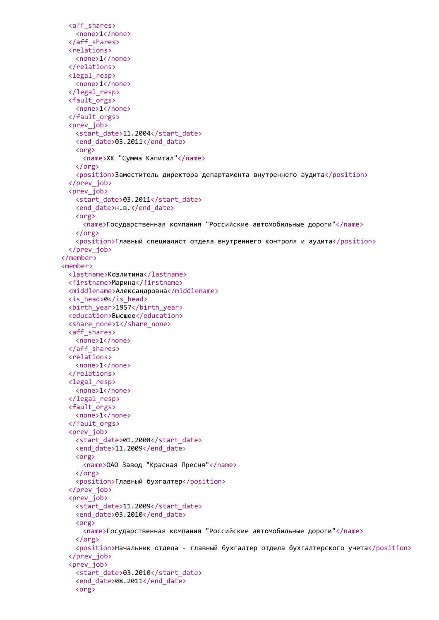```
<aff_shares>
   <none>1</none>
 </aff_shares>
 <relations>
   <none>1</none>
 </relations>
 <legal_resp>
   <none>1</none>
 </legal_resp>
 <fault_orgs>
   <none>1</none>
 </fault_orgs>
 <prev_job>
   <start_date>11.2004</start_date>
   <end_date>03.2011</end_date>
   <org>
     <name>ХК "Сумма Капитал"</name>
   </org>
   <position>Заместитель директора департамента внутреннего аудита</position>
 </prev_job>
 <prev_job>
   <start_date>03.2011</start_date>
   <end date>н.в.</end date>
   <org>
     <name>Государственная компания "Российские автомобильные дороги"</name>
   </org>
   <position>Главный специалист отдела внутреннего контроля и аудита</position>
 </prev_job>
</member>
<member>
 <lastname>Козлитина</lastname>
 <firstname>Марина</firstname>
 <middlename>Александровна</middlename>
 <is_head>0</is_head>
 <birth_year>1957</birth_year>
 <education>Высшее</education>
 <share_none>1</share_none>
 <aff_shares>
   <none>1</none>
 </aff_shares>
 <relations>
   <none>1</none>
 </relations>
 <legal_resp>
   <none>1</none>
 </legal_resp>
 <fault_orgs>
   <none>1</none>
 </fault_orgs>
 <prev_iob>
   <start_date>01.2008</start_date>
   <end_date>11.2009</end_date>
   <org>
     <name>ОАО Завод "Красная Пресня"</name>
   </org>
   <position>Главный бухгалтер</position>
 </prev_job>
 <prev_iob>
   <start_date>11.2009</start_date>
   <end date>03.2010</end date>
   <org>
     <name>Государственная компания "Российские автомобильные дороги"</name>
   </org>
   <position>Начальник отдела - главный бухгалтер отдела бухгалтерского учета</position>
 </prev_job>
 <prev_job>
   <start_date>03.2010</start_date>
   <end_date>08.2011</end_date>
   <org>
```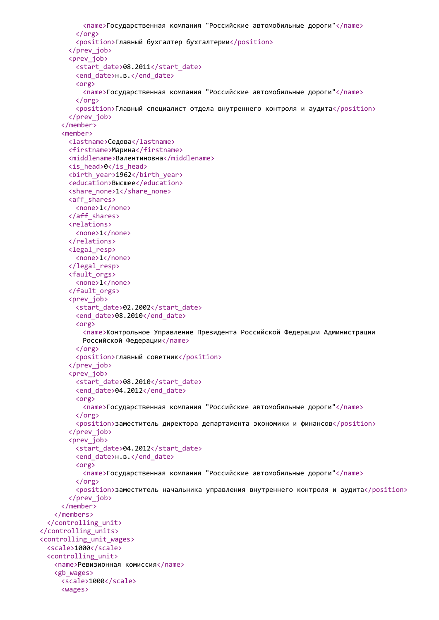```
<name>Государственная компания "Российские автомобильные дороги"</name>
         </org>
         <position>Главный бухгалтер бухгалтерии</position>
       </prev_job>
       <prev_job>
         <start_date>08.2011</start_date>
         <end_date>н.в.</end_date>
         <org>
           <name>Государственная компания "Российские автомобильные дороги"</name>
         </org>
         <position>Главный специалист отдела внутреннего контроля и аудита</position>
       </prev_job>
     </member>
     <member>
       <lastname>Седова</lastname>
       <firstname>Марина</firstname>
       <middlename>Валентиновна</middlename>
       <is_head>0</is_head>
       <birth_year>1962</birth_year>
       <education>Высшее</education>
       <share_none>1</share_none>
       <aff_shares>
         <none>1</none>
       </aff_shares>
       <relations>
         <none>1</none>
       </relations>
       <legal_resp>
         <none>1</none>
       </legal_resp>
       <fault_orgs>
         <none>1</none>
       </fault_orgs>
       <prev_job>
         <start_date>02.2002</start_date>
         <end_date>08.2010</end_date>
         <org>
           <name>Контрольное Управление Президента Российской Федерации Администрации
           Российской Федерации</name>
         </org>
         <position>главный советник</position>
       </prev_job>
       <prev_job>
         <start_date>08.2010</start_date>
         <end date>04.2012</end date>
         <org>
           <name>Государственная компания "Российские автомобильные дороги"</name>
         \langle/org\rangle<position>заместитель директора департамента экономики и финансов</position>
       </prev_job>
       <prev_iob>
         <start_date>04.2012</start_date>
         <end date>н.в.</end date>
         <org>
           <name>Государственная компания "Российские автомобильные дороги"</name>
         \zeta/org\zeta<position>заместитель начальника управления внутреннего контроля и аудита</position>
       </prev_job>
     </member>
   </members>
  </controlling_unit>
</controlling_units>
<controlling_unit_wages>
  <scale>1000</scale>
 <controlling_unit>
   <name>Ревизионная комиссия</name>
   <gb_wages>
     <scale>1000</scale>
     <wages>
```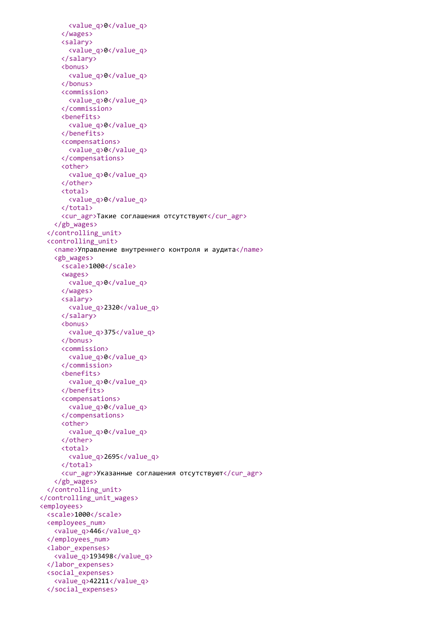```
<value_q>0</value_q>
     </wages>
     <salary>
       <value_q>0</value_q>
     </salary>
     <bonus>
       <value_q>0</value_q>
     </bonus>
     <commission>
       <value_q>0</value_q>
     </commission>
     <benefits>
       <value_q>0</value_q>
     </benefits>
     <compensations>
       <value_q>0</value_q>
     </compensations>
     <other>
       <value_q>0</value_q>
     </other>
     <total>
       <value_q>0</value_q>
     </total>
     <cur_agr>Такие соглашения отсутствуют</cur_agr>
   </gb_wages>
  </controlling_unit>
  <controlling_unit>
   <name>Управление внутреннего контроля и аудита</name>
   <gb_wages>
     <scale>1000</scale>
     <wages>
       <value_q>0</value_q>
     </wages>
     <salary>
       <value_q>2320</value_q>
     </salary>
     <bonus>
       <value_q>375</value_q>
     </bonus>
     <commission>
       <value_q>0</value_q>
     </commission>
     <benefits>
       <value_q>0</value_q>
     </benefits>
     <compensations>
       <value_q>0</value_q>
     </compensations>
     <other>
       <value_q>0</value_q>
     </other>
     <total>
       <value_q>2695</value_q>
     </total>
     <cur_agr>Указанные соглашения отсутствуют</cur_agr>
   </gb_wages>
  </controlling_unit>
</controlling_unit_wages>
<employees>
 <scale>1000</scale>
 <employees_num>
   <value_q>446</value_q>
  </employees_num>
  <labor_expenses>
   <value_q>193498</value_q>
  </labor_expenses>
 <social_expenses>
   <value_q>42211</value_q>
  </social_expenses>
```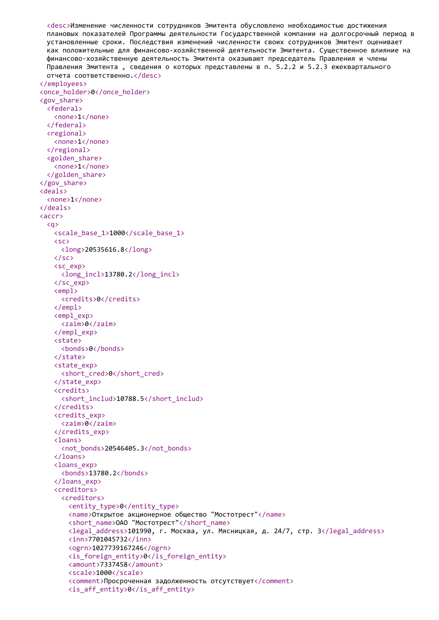<desc>Изменение численности сотрудников Эмитента обусловлено необходимостью достижения плановых показателей Программы деятельности Государственной компании на долгосрочный период в установленные сроки. Последствия изменений численности своих сотрудников Эмитент оценивает как положительные для финансово-хозяйственной деятельности Эмитента. Существенное влияние на финансово-хозяйственную деятельность Эмитента оказывают председатель Правления и члены Правления Эмитента , сведения о которых представлены в п. 5.2.2 и 5.2.3 ежеквартального отчета соответственно.</desc> </employees> <once\_holder>0</once\_holder> <gov\_share> <federal> <none>1</none> </federal> <regional> <none>1</none>  $\langle$ /regional> <golden\_share> <none>1</none> </golden\_share> </gov\_share> <deals> <none>1</none> </deals> <accr>  $\langle q \rangle$ <scale\_base\_1>1000</scale\_base\_1> <sc> <long>20535616.8</long>  $\langle$ /sc $\rangle$ <sc\_exp> <long\_incl>13780.2</long\_incl> </sc\_exp> <empl> <credits>0</credits> </empl> <empl\_exp> <zaim>0</zaim> </empl\_exp> <state> <bonds>0</bonds> </state> <state\_exp> <short cred>0</short cred> </state\_exp> <credits> <short includ>10788.5</short includ> </credits> <credits\_exp> <zaim>0</zaim> </credits\_exp> <loans> <not\_bonds>20546405.3</not\_bonds> </loans> <loans\_exp> <bonds>13780.2</bonds> </loans\_exp> <creditors> <creditors> <entity\_type>0</entity\_type> <name>Открытое акционерное общество "Мостотрест"</name> <short\_name>ОАО "Мостотрест"</short\_name> <legal\_address>101990, г. Москва, ул. Мясницкая, д. 24/7, стр. 3</legal\_address> <inn>7701045732</inn> <ogrn>1027739167246</ogrn> <is\_foreign\_entity>0</is\_foreign\_entity> <amount>7337458</amount> <scale>1000</scale> <comment>Просроченная задолженность отсутствует</comment> <is\_aff\_entity>0</is\_aff\_entity>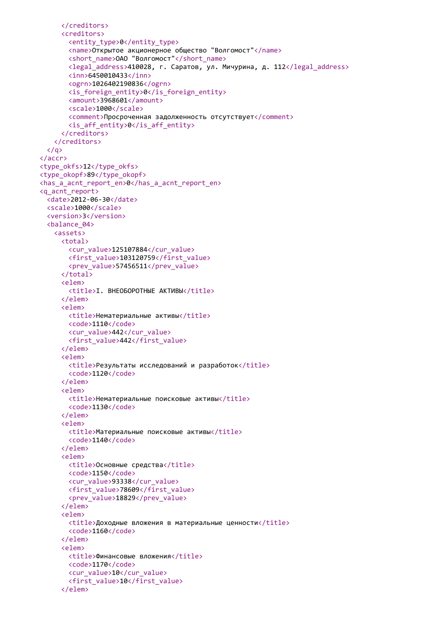```
</creditors>
     <creditors>
       <entity_type>0</entity_type>
       <name>Открытое акционерное общество "Волгомост"</name>
       <short_name>ОАО "Волгомост"</short_name>
       <legal_address>410028, г. Саратов, ул. Мичурина, д. 112</legal_address>
       <inn>6450010433</inn>
       <ogrn>1026402190836</ogrn>
       <is_foreign_entity>0</is_foreign_entity>
       <amount>3968601</amount>
       <scale>1000</scale>
       <comment>Просроченная задолженность отсутствует</comment>
       \langle is aff entity>0\langle is aff entity>
     </creditors>
   </creditors>
  \langle/a>
</accr>
<type_okfs>12</type_okfs>
<type_okopf>89</type_okopf>
<has a acnt report en>0</has a acnt report en>
<q_acnt_report>
  <date>2012-06-30</date>
 <scale>1000</scale>
  <version>3</version>
  <balance_04>
   <assets>
     <total>
       <cur_value>125107884</cur_value>
       <first_value>103120759</first_value>
       <prev_value>57456511</prev_value>
     </total>
     <elem>
       <title>I. ВНЕОБОРОТНЫЕ AKTИВЫ</title>
     </elem>
     <elem>
       <title>Нематериальные активы</title>
       <code>1110</code>
       <cur_value>442</cur_value>
       <first_value>442</first_value>
     </elem>
     <elem>
       <title>Результаты исследований и разработок</title>
       <code>1120</code>
     </elem>
     <elem>
       <title>Нематериальные поисковые активы</title>
       <code>1130</code>
     </elem>
     <elem>
       <title>Материальные поисковые активы</title>
       <code>1140</code>
     </elem>
     <elem>
       <title>Основные средства</title>
       <code>1150</code>
       <cur_value>93338</cur_value>
       <first_value>78609</first_value>
       <prev_value>18829</prev_value>
     </elem>
     <elem>
       <title>Доходные вложения в материальные ценности</title>
       <code>1160</code>
     </elem>
     <elem>
       <title>Финансовые вложения</title>
       <code>1170</code>
       <cur_value>10</cur_value>
       <first_value>10</first_value>
     </elem>
```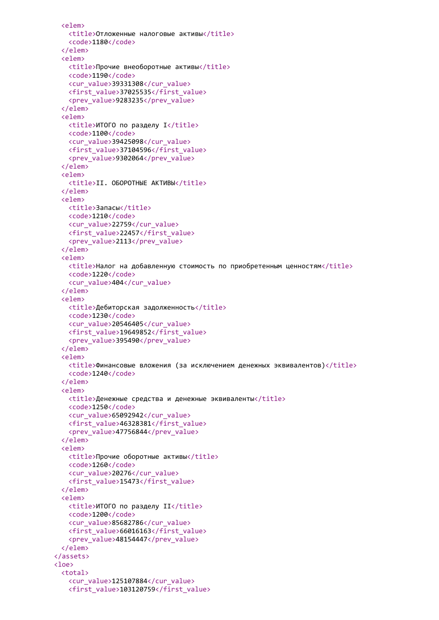```
<elem>
   <title>Отложенные налоговые активы</title>
   <code>1180</code>
  </elem>
 <elem>
   <title>Прочие внеоборотные активы</title>
   <code>1190</code>
   <cur_value>39331308</cur_value>
   <first_value>37025535</first_value>
   <prev_value>9283235</prev_value>
  </elem>
 <elem>
   <title>ИТОГО по разделу I</title>
   <code>1100</code>
   <cur_value>39425098</cur_value>
   <first_value>37104596</first_value>
   <prev_value>9302064</prev_value>
  </elem>
 <elem>
   <title>II. ОБОРОТНЫЕ AKTИВЫ</title>
  </elem>
 <elem>
   <title>Запасы</title>
   <code>1210</code>
   <cur_value>22759</cur_value>
   <first_value>22457</first_value>
   <prev_value>2113</prev_value>
  </elem>
 <elem>
   <title>Налог на добавленную стоимость по приобретенным ценностям</title>
   <code>1220</code>
   <cur_value>404</cur_value>
 </elem>
 <elem>
   <title>Дебиторская задолженность</title>
   <code>1230</code>
   <cur_value>20546405</cur_value>
   <first_value>19649852</first_value>
   <prev_value>395490</prev_value>
  </elem>
  <elem>
   <title>Финансовые вложения (за исключением денежных эквивалентов)</title>
   <code>1240</code>
  </elem>
  <elem>
   <title>Денежные средства и денежные эквиваленты</title>
   <code>1250</code>
   <cur_value>65092942</cur_value>
   <first_value>46328381</first_value>
   <prev_value>47756844</prev_value>
 </elem>
 <elem>
   <title>Прочие оборотные активы</title>
   <code>1260</code>
   <cur_value>20276</cur_value>
   <first_value>15473</first_value>
  </elem>
  <elem>
   <title>ИТОГО по разделу II</title>
   <code>1200</code>
   <cur_value>85682786</cur_value>
   <first_value>66016163</first_value>
   <prev_value>48154447</prev_value>
 </elem>
</assets>
<loe>
 <total>
   <cur_value>125107884</cur_value>
   <first_value>103120759</first_value>
```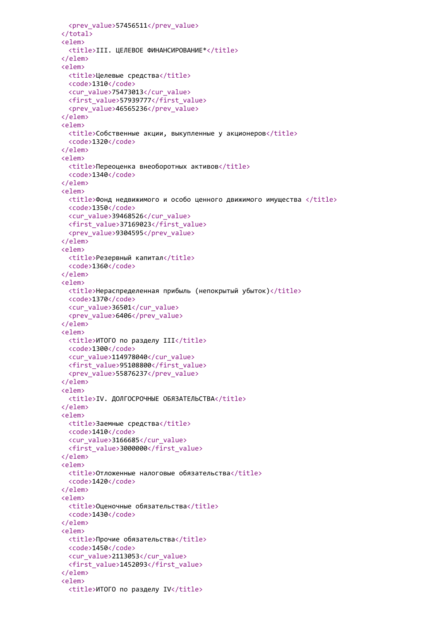```
<prev_value>57456511</prev_value>
</total>
<elem>
 <title>III. ЦЕЛЕВОЕ ФИНАНСИРОВАНИЕ*</title>
</elem>
<elem>
 <title>Целевые средства</title>
 <code>1310</code>
 <cur_value>75473013</cur_value>
 <first_value>57939777</first_value>
  <prev_value>46565236</prev_value>
</elem>
<elem>
 <title>Собственные акции, выкупленные у акционеров</title>
  <code>1320</code>
</elem>
<elem>
  <title>Переоценка внеоборотных активов</title>
  <code>1340</code>
</elem>
<elem>
 \langletitle>Фонд недвижимого и особо ценного движимого имущества \langletitle>
 <code>1350</code>
 <cur_value>39468526</cur_value>
 <first_value>37169023</first_value>
  <prev_value>9304595</prev_value>
</elem>
<elem>
 <title>Резервный капитал</title>
 <code>1360</code>
</elem>
<elem>
 <title>Нераспределенная прибыль (непокрытый убыток)</title>
 <code>1370</code>
 <cur_value>36501</cur_value>
 <prev_value>6406</prev_value>
</elem>
<elem>
 <title>ИТОГО по разделу III</title>
 <code>1300</code>
 <cur_value>114978040</cur_value>
 <first_value>95108800</first_value>
  <prev_value>55876237</prev_value>
</elem>
<elem>
 <title>IV. ДОЛГОСРОЧНЫЕ ОБЯЗАТЕЛЬСТВА</title>
</elem>
<elem>
 <title>Заемные средства</title>
 <code>1410</code>
 <cur_value>3166685</cur_value>
 <first_value>3000000</first_value>
</elem>
<elem>
 <title>Отложенные налоговые обязательства</title>
 <code>1420</code>
</elem>
<elem>
 <title>Оценочные обязательства</title>
 <code>1430</code>
</elem>
<elem>
 <title>Прочие обязательства</title>
 <code>1450</code>
 <cur_value>2113053</cur_value>
 <first_value>1452093</first_value>
</elem>
<elem>
  <title>ИТОГО по разделу IV</title>
```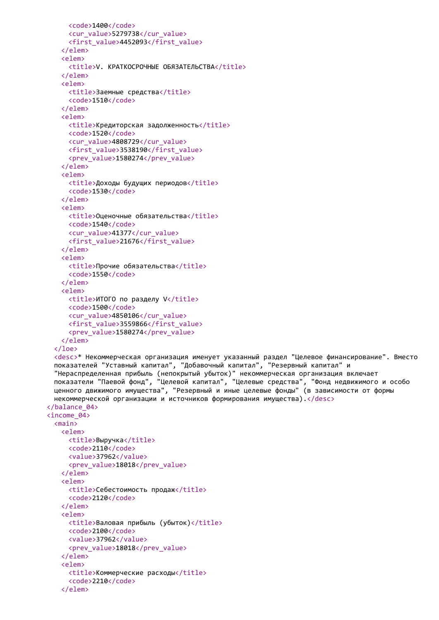```
<code>1400</code>
     <cur_value>5279738</cur_value>
     <first_value>4452093</first_value>
   </elem>
   <elem>
     <title>V. КРАТКОСРОЧНЫЕ ОБЯЗАТЕЛЬСТВА</title>
   </elem>
   <elem>
     <title>Заемные средства</title>
     <code>1510</code>
   </elem>
   <elem>
     <title>Кредиторская задолженность</title>
     <code>1520</code>
     <cur_value>4808729</cur_value>
     <first_value>3538190</first_value>
     <prev_value>1580274</prev_value>
   </elem>
   <elem>
     <title>Доходы будущих периодов</title>
     <code>1530</code>
   </elem>
   <elem>
     <title>Оценочные обязательства</title>
     <code>1540</code>
     <cur_value>41377</cur_value>
     <first_value>21676</first_value>
   </elem>
   <elem>
     <title>Прочие обязательства</title>
     <code>1550</code>
   </elem>
   <elem>
     <title>ИТОГО по разделу V</title>
     <code>1500</code>
     <cur_value>4850106</cur_value>
     <first_value>3559866</first_value>
     <prev_value>1580274</prev_value>
   </elem>
 </loe>
 <desc>* Некоммерческая организация именует указанный раздел "Целевое финансирование". Вместо
 показателей "Уставный капитал", "Добавочный капитал", "Резервный капитал" и
 "Нераспределенная прибыль (непокрытый убыток)" некоммерческая организация включает
 показатели "Паевой фонд", "Целевой капитал", "Целевые средства", "Фонд недвижимого и особо
 ценного движимого имущества", "Резервный и иные целевые фонды" (в зависимости от формы
 некоммерческой организации и источников формирования имущества).</desc>
</balance_04>
<income_04>
 <main>
   <elem>
     <title>Выручка</title>
     <code>2110</code>
     <value>37962</value>
     <prev_value>18018</prev_value>
   </elem>
   <elem>
     <title>Себестоимость продаж</title>
     <code>2120</code>
   </elem>
   <elem>
     <title>Валовая прибыль (убыток)</title>
     <code>2100</code>
     <value>37962</value>
     <prev_value>18018</prev_value>
   </elem>
   <elem>
     <title>Коммерческие расходы</title>
     <code>2210</code>
   </elem>
```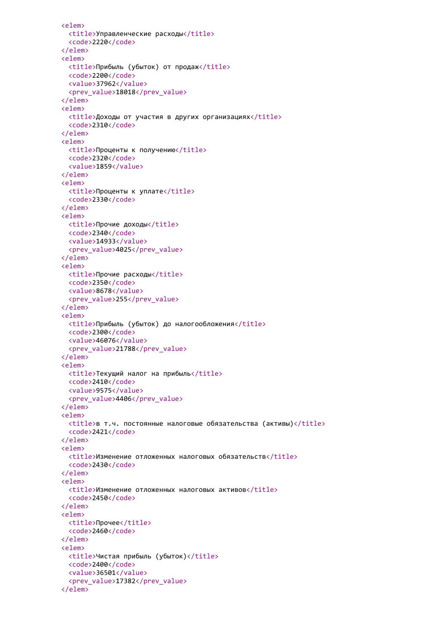```
<elem>
 <title>Управленческие расходы</title>
  <code>2220</code>
</elem>
<elem>
 <title>Прибыль (убыток) от продаж</title>
 <code>2200</code>
 <value>37962</value>
  <prev_value>18018</prev_value>
</elem>
<elem>
 <title>Доходы от участия в других организациях</title>
  <code>2310</code>
</elem>
<elem>
 <title>Проценты к получению</title>
 <code>2320</code>
  <value>1859</value>
</elem>
<elem>
 <title>Проценты к уплате</title>
 <code>2330</code>
</elem>
<elem>
 <title>Прочие доходы</title>
 <code>2340</code>
 <value>14933</value>
 <prev_value>4025</prev_value>
</elem>
<elem>
 <title>Прочие расходы</title>
 <code>2350</code>
 <value>8678</value>
 <prev_value>255</prev_value>
</elem>
<elem>
 <title>Прибыль (убыток) до налогообложения</title>
 <code>2300</code>
 <value>46076</value>
 <prev_value>21788</prev_value>
</elem>
<elem>
 <title>Текущий налог на прибыль</title>
 <code>2410</code>
 <value>9575</value>
 <prev_value>4406</prev_value>
</elem>
<elem>
 <title>в т.ч. постоянные налоговые обязательства (активы)</title>
 <code>2421</code>
</elem>
<elem>
 <title>Изменение отложенных налоговых обязательств</title>
 <code>2430</code>
</elem>
<elem>
 <title>Изменение отложенных налоговых активов</title>
 <code>2450</code>
</elem>
<elem>
 <title>Прочее</title>
 <code>2460</code>
</elem>
<elem>
 <title>Чистая прибыль (убыток)</title>
 <code>2400</code>
 <value>36501</value>
  <prev_value>17382</prev_value>
</elem>
```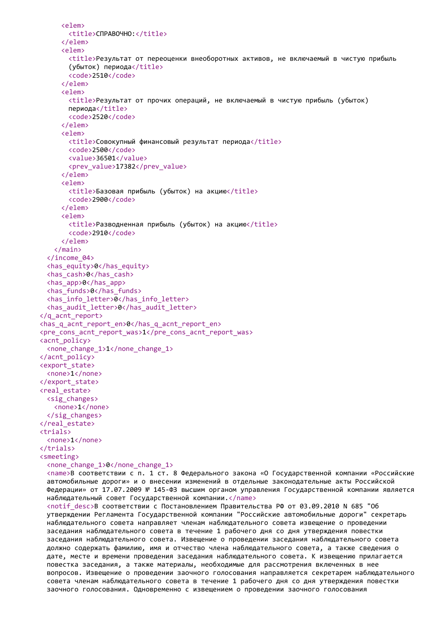```
<elem>
       <title>СПРАВОЧНО:</title>
     </elem>
     <elem>
       <title>Результат от переоценки внеоборотных активов, не включаемый в чистую прибыль
       (убыток) периода</title>
       <code>2510</code>
     </elem>
     <elem>
       <title>Результат от прочих операций, не включаемый в чистую прибыль (убыток)
       периода</title>
       <code>2520</code>
     </elem>
     <elem>
       <title>Совокупный финансовый результат периода</title>
       <code>2500</code>
       <value>36501</value>
       <prev_value>17382</prev_value>
     </elem>
     <elem>
       <title>Базовая прибыль (убыток) на акцию</title>
       <code>2900</code>
     </elem>
     <elem>
       <title>Разводненная прибыль (убыток) на акцию</title>
       <code>2910</code>
     </elem>
   </main>
  </income_04>
  <has_equity>0</has_equity>
  <has_cash>0</has_cash>
  <has_app>0</has_app>
  <has_funds>0</has_funds>
  <has_info_letter>0</has_info_letter>
  <has_audit_letter>0</has_audit_letter>
</q_acnt_report>
<has_q_acnt_report_en>0</has_q_acnt_report_en>
<pre_cons_acnt_report_was>1</pre_cons_acnt_report_was>
<acnt_policy>
  \langle none change 1>1\langle/none change 1></acnt_policy>
<export_state>
  <none>1</none>
</export_state>
<real_estate>
 <sig_changes>
   <none>1</none>
 </sig_changes>
</real_estate>
<trials>
 <none>1</none>
</trials>
<smeeting>
  <none_change_1>0</none_change_1>
  <name>В соответствии с п. 1 ст. 8 Федерального закона «О Государственной компании «Российские
  автомобильные дороги» и о внесении изменений в отдельные законодательные акты Российской
 Федерации» от 17.07.2009 № 145-ФЗ высшим органом управления Государственной компании является
  наблюдательный совет Государственной компании.</name>
  <notif_desc>В соответствии с Постановлением Правительства РФ от 03.09.2010 N 685 "Об
 утверждении Регламента Государственной компании "Российские автомобильные дороги" секретарь
 наблюдательного совета направляет членам наблюдательного совета извещение о проведении
 заседания наблюдательного совета в течение 1 рабочего дня со дня утверждения повестки
 заседания наблюдательного совета. Извещение о проведении заседания наблюдательного совета
 должно содержать фамилию, имя и отчество члена наблюдательного совета, а также сведения о
 дате, месте и времени проведения заседания наблюдательного совета. К извещению прилагается
 повестка заседания, а также материалы, необходимые для рассмотрения включенных в нее
  вопросов. Извещение о проведении заочного голосования направляется секретарем наблюдательного
  совета членам наблюдательного совета в течение 1 рабочего дня со дня утверждения повестки
  заочного голосования. Одновременно с извещением о проведении заочного голосования
```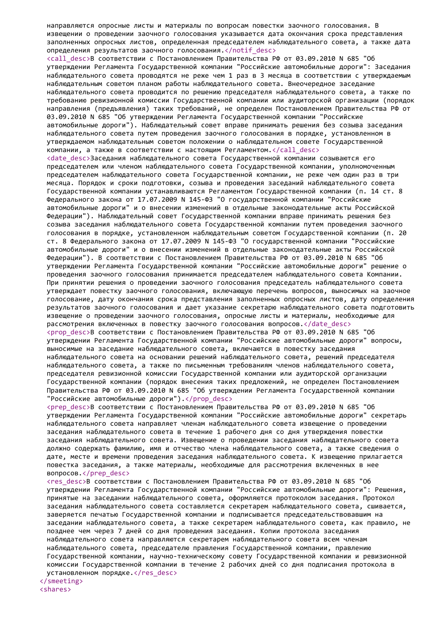направляются опросные листы и материалы по вопросам повестки заочного голосования. В извещении о проведении заочного голосования указывается дата окончания срока представления заполненных опросных листов, определенная председателем наблюдательного совета, а также дата определения результатов заочного голосования.</notif\_desc> <call\_desc>В соответствии с Постановлением Правительства РФ от 03.09.2010 N 685 "Об утверждении Регламента Государственной компании "Российские автомобильные дороги": Заседания наблюдательного совета проводятся не реже чем 1 раз в 3 месяца в соответствии с утверждаемым наблюдательным советом планом работы наблюдательного совета. Внеочередное заседание наблюдательного совета проводится по решению председателя наблюдательного совета, а также по требованию ревизионной комиссии Государственной компании или аудиторской организации (порядок направления (предъявления) таких требований, не определен Постановлением Правительства РФ от 03.09.2010 N 685 "Об утверждении Регламента Государственной компании "Российские автомобильные дороги"). Наблюдательный совет вправе принимать решения без созыва заседания наблюдательного совета путем проведения заочного голосования в порядке, установленном в утверждаемом наблюдательным советом положении о наблюдательном совете Государственной компании, а также в соответствии с настоящим Регламентом.</call\_desc> <date desc>Заседания наблюдательного совета Государственной компании созываются его председателем или членом наблюдательного совета Государственной компании, уполномоченным председателем наблюдательного совета Государственной компании, не реже чем один раз в три месяца. Порядок и сроки подготовки, созыва и проведения заседаний наблюдательного совета Государственной компании устанавливаются Регламентом Государственной компании (п. 14 ст. 8 Федерального закона от 17.07.2009 N 145-ФЗ "О государственной компании "Российские автомобильные дороги" и о внесении изменений в отдельные законодательные акты Российской Федерации"). Наблюдательный совет Государственной компании вправе принимать решения без созыва заседания наблюдательного совета Государственной компании путем проведения заочного голосования в порядке, установленном наблюдательным советом Государственной компании (п. 20 ст. 8 Федерального закона от 17.07.2009 N 145-ФЗ "О государственной компании "Российские автомобильные дороги" и о внесении изменений в отдельные законодательные акты Российской Федерации"). В соответствии с Постановлением Правительства РФ от 03.09.2010 N 685 "Об утверждении Регламента Государственной компании "Российские автомобильные дороги" решение о проведения заочного голосования принимается председателем наблюдательного совета Компании. При принятии решения о проведении заочного голосования председатель наблюдательного совета утверждает повестку заочного голосования, включающую перечень вопросов, выносимых на заочное голосование, дату окончания срока представления заполненных опросных листов, дату определения результатов заочного голосования и дает указание секретарю наблюдательного совета подготовить извещение о проведении заочного голосования, опросные листы и материалы, необходимые для рассмотрения включенных в повестку заочного голосования вопросов.</date\_desc> <prop desc>В соответствии с Постановлением Правительства РФ от 03.09.2010 N 685 "Об утверждении Регламента Государственной компании "Российские автомобильные дороги" вопросы, выносимые на заседание наблюдательного совета, включаются в повестку заседания наблюдательного совета на основании решений наблюдательного совета, решений председателя наблюдательного совета, а также по письменным требованиям членов наблюдательного совета, председателя ревизионной комиссии Государственной компании или аудиторской организации Государственной компании (порядок внесения таких предложений, не определен Постановлением Правительства РФ от 03.09.2010 N 685 "Об утверждении Регламента Государственной компании "Российские автомобильные дороги").</prop\_desc> <prep desc>В соответствии с Постановлением Правительства РФ от 03.09.2010 N 685 "Об

утверждении Регламента Государственной компании "Российские автомобильные дороги" секретарь наблюдательного совета направляет членам наблюдательного совета извещение о проведении заседания наблюдательного совета в течение 1 рабочего дня со дня утверждения повестки заседания наблюдательного совета. Извещение о проведении заседания наблюдательного совета должно содержать фамилию, имя и отчество члена наблюдательного совета, а также сведения о дате, месте и времени проведения заседания наблюдательного совета. К извещению прилагается повестка заседания, а также материалы, необходимые для рассмотрения включенных в нее вопросов.</prep\_desc>

 $\langle$ res desc>В соответствии с Постановлением Правительства РФ от 03.09.2010 N 685 "Об утверждении Регламента Государственной компании "Российские автомобильные дороги": Решения, принятые на заседании наблюдательного совета, оформляются протоколом заседания. Протокол заседания наблюдательного совета составляется секретарем наблюдательного совета, сшивается, заверяется печатью Государственной компании и подписывается председательствовавшим на заседании наблюдательного совета, а также секретарем наблюдательного совета, как правило, не позднее чем через 7 дней со дня проведения заседания. Копии протокола заседания наблюдательного совета направляются секретарем наблюдательного совета всем членам наблюдательного совета, председателю правления Государственной компании, правлению Государственной компании, научно-техническому совету Государственной компании и ревизионной комиссии Государственной компании в течение 2 рабочих дней со дня подписания протокола в установленном порядке.</res\_desc>

</smeeting> <shares>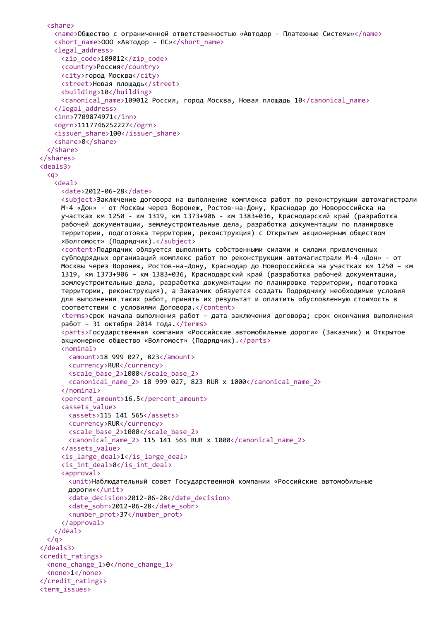```
<share>
   <name>Общество с ограниченной ответственностью «Автодор - Платежные Системы»</name>
   <short_name>ООО «Автодор - ПС»</short_name>
   <legal_address>
     <zip_code>109012</zip_code>
     <country>Россия</country>
     <city>город Москва</city>
     <street>Новая площадь</street>
     <building>10</building>
     <canonical_name>109012 Россия, город Москва, Новая площадь 10</canonical_name>
   </legal_address>
   <inn>7709874971</inn>
   <ogrn>1117746252227</ogrn>
   <issuer_share>100</issuer_share>
   <share>0</share>
  </share>
</shares>
<deals3>
  \langle q \rangle<deal>
     <date>2012-06-28</date>
     <subject>Заключение договора на выполнение комплекса работ по реконструкции автомагистрали
     М-4 «Дон» - от Москвы через Воронеж, Ростов-на-Дону, Краснодар до Новороссийска на
     участках км 1250 - км 1319, км 1373+906 - км 1383+036, Краснодарский край (разработка
     рабочей документации, землеустроительные дела, разработка документации по планировке
     территории, подготовка территории, реконструкция) с Открытым акционерным обществом
     «Волгомост» (Подрядчик).</subject>
     <content>Подрядчик обязуется выполнить собственными силами и силами привлеченных
     субподрядных организаций комплекс работ по реконструкции автомагистрали М-4 «Дон» - от
     Москвы через Воронеж, Ростов-на-Дону, Краснодар до Новороссийска на участках км 1250 – км
     1319, км 1373+906 – км 1383+036, Краснодарский край (разработка рабочей документации,
     землеустроительные дела, разработка документации по планировке территории, подготовка
     территории, реконструкция), а Заказчик обязуется создать Подрядчику необходимые условия
     для выполнения таких работ, принять их результат и оплатить обусловленную стоимость в
     соответствии с условиями Договора.</content>
     <terms>срок начала выполнения работ - дата заключения договора; срок окончания выполнения
     работ - 31 октября 2014 года. </terms>
     <parts>Государственная компания «Российские автомобильные дороги» (Заказчик) и Открытое
     акционерное общество «Волгомост» (Подрядчик).</parts>
     <nominal>
       <amount>18 999 027, 823</amount>
       <currency>RUR</currency>
       <scale_base_2>1000</scale_base_2>
       <canonical_name_2> 18 999 027, 823 RUR x 1000</canonical_name_2>
     </nominal>
     <percent_amount>16.5</percent_amount>
     <assets_value>
       <assets>115 141 565</assets>
       <currency>RUR</currency>
       <scale_base_2>1000</scale_base_2>
       \langlecanonical name 2> 115 141 565 RUR x 1000\langle/canonical name 2>
     </assets_value>
     <is_large_deal>1</is_large_deal>
     <is_int_deal>0</is_int_deal>
     <approval>
       <unit>Наблюдательный совет Государственной компании «Российские автомобильные
       дороги»</unit>
       <date_decision>2012-06-28</date_decision>
       <date_sobr>2012-06-28</date_sobr>
       <number_prot>37</number_prot>
     </approval>
   </deal>
  \langle/a>
</deals3>
<credit_ratings>
 <none_change_1>0</none_change_1>
  <none>1</none>
</credit_ratings>
<term_issues>
```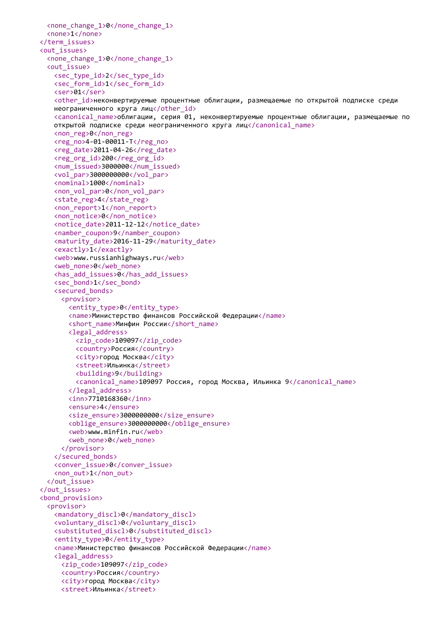```
<none_change_1>0</none_change_1>
  <none>1</none>
</term_issues>
<out_issues>
  <none_change_1>0</none_change_1>
  <out_issue>
   <sec_type_id>2</sec_type_id>
   <sec_form_id>1</sec_form_id>
   <ser>01</ser>
   <other id>неконвертируемые процентные облигации, размещаемые по открытой подписке среди
   неограниченного круга лиц</other id>
   <canonical_name>облигации, серия 01, неконвертируемые процентные облигации, размещаемые по
   открытой подписке среди неограниченного круга лиц</canonical_name>
   <non_reg>0</non_reg>
   <reg_no>4-01-00011-Т</reg_no>
   <reg_date>2011-04-26</reg_date>
   <reg_org_id>200</reg_org_id>
   <num_issued>3000000</num_issued>
   <vol_par>3000000000</vol_par>
   <nominal>1000</nominal>
   <non_vol_par>0</non_vol_par>
   <state_reg>4</state_reg>
   <non_report>1</non_report>
   <non_notice>0</non_notice>
   <notice_date>2011-12-12</notice_date>
   <namber_coupon>9</namber_coupon>
   <maturity_date>2016-11-29</maturity_date>
   <exactly>1</exactly>
   <web>www.russianhighways.ru</web>
   <web_none>0</web_none>
   <has_add_issues>0</has_add_issues>
   <sec_bond>1</sec_bond>
   <secured_bonds>
     <provisor>
       <entity_type>0</entity_type>
       <name>Министерство финансов Российской Федерации</name>
       <short_name>Минфин России</short_name>
       <legal_address>
         <zip_code>109097</zip_code>
         <country>Россия</country>
         <city>город Москва</city>
         <street>Ильинка</street>
         <building>9</building>
         <canonical_name>109097 Россия, город Москва, Ильинка 9</canonical_name>
       </legal_address>
       <inn>7710168360</inn>
       <ensure>4</ensure>
       <size_ensure>3000000000</size_ensure>
       <oblige_ensure>3000000000</oblige_ensure>
       <web>www.minfin.ru</web>
       <web_none>0</web_none>
     </provisor>
   </secured_bonds>
   <conver_issue>0</conver_issue>
   <non_out>1</non_out>
  </out_issue>
</out_issues>
<bond_provision>
  <provisor>
   <mandatory_discl>0</mandatory_discl>
   <voluntary_discl>0</voluntary_discl>
   <substituted_discl>0</substituted_discl>
   <entity_type>0</entity_type>
   <name>Министерство финансов Российской Федерации</name>
   <legal_address>
     <zip_code>109097</zip_code>
     <country>Россия</country>
     <city>город Москва</city>
     <street>Ильинка</street>
```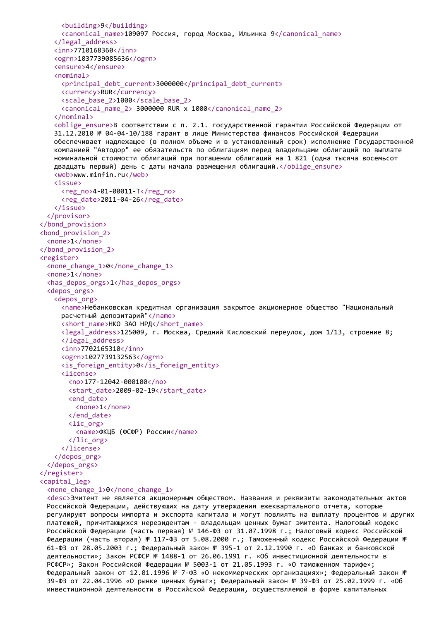```
<building>9</building>
     <canonical_name>109097 Россия, город Москва, Ильинка 9</canonical_name>
   </legal_address>
   <inn>7710168360</inn>
   <ogrn>1037739085636</ogrn>
   <ensure>4</ensure>
   <nominal>
     <principal_debt_current>3000000</principal_debt_current>
     <currency>RUR</currency>
     <scale_base_2>1000</scale_base_2>
     <canonical_name_2> 3000000 RUR x 1000</canonical_name_2>
   </nominal>
   <oblige ensure>В соответствии с п. 2.1. государственной гарантии Российской Федерации от
   31.12.2010 № 04-04-10/188 гарант в лице Министерства финансов Российской Федерации
   обеспечивает надлежащее (в полном объеме и в установленный срок) исполнение Государственной
   компанией "Автодор" ее обязательств по облигациям перед владельцами облигаций по выплате
   номинальной стоимости облигаций при погашении облигаций на 1 821 (одна тысяча восемьсот
   двадцать первый) день с даты начала размещения облигаций.</oblige_ensure>
   <web>www.minfin.ru</web>
   <issue>
     <reg_no>4-01-00011-Т</reg_no>
     <reg_date>2011-04-26</reg_date>
   </issue>
 </provisor>
</bond_provision>
<bond_provision_2>
 <none>1</none>
</bond_provision_2>
<register>
 <none_change_1>0</none_change_1>
 <none>1</none>
 <has_depos_orgs>1</has_depos_orgs>
 <depos_orgs>
   <depos_org>
     <name>Небанковская кредитная организация закрытое акционерное общество "Национальный
     расчетный депозитарий"</name>
     <short_name>НКО ЗАО НРД</short_name>
     <legal_address>125009, г. Москва, Средний Кисловский переулок, дом 1/13, строение 8;
     </legal_address>
     <inn>7702165310</inn>
     <ogrn>1027739132563</ogrn>
     <is_foreign_entity>0</is_foreign_entity>
     <license>
       <no>177-12042-000100</no>
       <start_date>2009-02-19</start_date>
       <end_date>
         <none>1</none>
       </end_date>
       <lic_org>
         <name>ФКЦБ (ФСФР) России</name>
       </lic_org>
     </license>
   </depos_org>
 </depos_orgs>
</register>
<capital_leg>
 <none_change_1>0</none_change_1>
 <desc>Эмитент не является акционерным обществом. Названия и реквизиты законодательных актов
 Российской Федерации, действующих на дату утверждения ежеквартального отчета, которые
 регулируют вопросы импорта и экспорта капитала и могут повлиять на выплату процентов и других
 платежей, причитающихся нерезидентам - владельцам ценных бумаг эмитента. Налоговый кодекс
 Российской Федерации (часть первая) № 146-ФЗ от 31.07.1998 г.; Налоговый кодекс Российской
 Федерации (часть вторая) № 117-ФЗ от 5.08.2000 г.; Таможенный кодекс Российской Федерации №
 61-ФЗ от 28.05.2003 г.; Федеральный закон № 395-1 от 2.12.1990 г. «О банках и банковской
 деятельности»; Закон РСФСР № 1488-1 от 26.06.1991 г. «Об инвестиционной деятельности в
 РСФСР»; Закон Российской Федерации № 5003-1 от 21.05.1993 г. «О таможенном тарифе»;
 Федеральный закон от 12.01.1996 № 7-ФЗ «О некоммерческих организациях»; Федеральный закон №
 39-ФЗ от 22.04.1996 «О рынке ценных бумаг»; Федеральный закон № 39-ФЗ от 25.02.1999 г. «Об
```
инвестиционной деятельности в Российской Федерации, осуществляемой в форме капитальных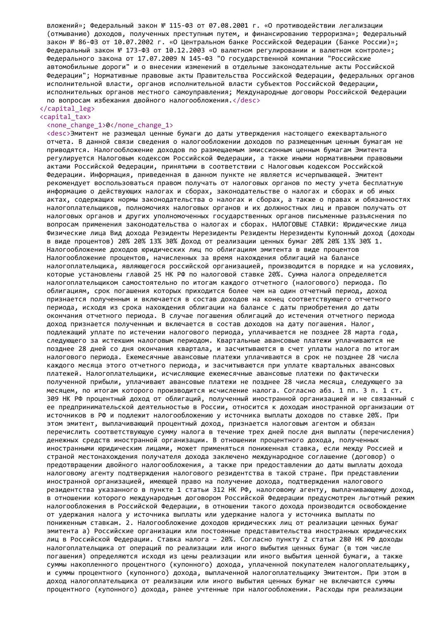вложений»; Федеральный закон № 115-ФЗ от 07.08.2001 г. «О противодействии легализации (отмыванию) доходов, полученных преступным путем, и финансированию терроризма»; Федеральный закон № 86-ФЗ от 10.07.2002 г. «О Центральном банке Российской Федерации (Банке России)»; Федеральный закон № 173-ФЗ от 10.12.2003 «О валютном регулировании и валютном контроле»; Федерального закона от 17.07.2009 N 145-ФЗ "О государственной компании "Российские автомобильные дороги" и о внесении изменений в отдельные законодательные акты Российской Федерации"; Нормативные правовые акты Правительства Российской Федерации, федеральных органов исполнительной власти, органов исполнительной власти субъектов Российской Федерации, исполнительных органов местного самоуправления; Международные договоры Российской Федерации по вопросам избежания двойного налогообложения.</desc>

## </capital\_leg>

## <capital\_tax>

## <none\_change\_1>0</none\_change\_1>

<desc>Эмитент не размещал ценные бумаги до даты утверждения настоящего ежеквартального отчета. В данной связи сведения о налогообложении доходов по размещенным ценным бумагам не приводятся. Налогообложение доходов по размещаемым эмиссионным ценным бумагам Эмитента регулируется Налоговым кодексом Российской Федерации, а также иными нормативными правовыми актами Российской Федерации, принятыми в соответствии с Налоговым кодексом Российской Федерации. Информация, приведенная в данном пункте не является исчерпывающей. Эмитент рекомендует воспользоваться правом получать от налоговых органов по месту учета бесплатную информацию о действующих налогах и сборах, законодательстве о налогах и сборах и об иных актах, содержащих нормы законодательства о налогах и сборах, а также о правах и обязанностях налогоплательщиков, полномочиях налоговых органов и их должностных лиц и правом получать от налоговых органов и других уполномоченных государственных органов письменные разъяснения по вопросам применения законодательства о налогах и сборах. НАЛОГОВЫЕ СТАВКИ: Юридические лица Физические лица Вид дохода Резиденты Нерезиденты Резиденты Нерезиденты Купонный доход (доходы в виде процентов) 20% 20% 13% 30% Доход от реализации ценных бумаг 20% 20% 13% 30% 1. Налогообложение доходов юридических лиц по облигациям эмитента в виде процентов Налогообложение процентов, начисленных за время нахождения облигаций на балансе налогоплательщика, являющегося российской организацией, производится в порядке и на условиях, которые установлены главой 25 НК РФ по налоговой ставке 20%. Сумма налога определяется налогоплательщиком самостоятельно по итогам каждого отчетного (налогового) периода. По облигациям, срок погашения которых приходится более чем на один отчетный период, доход признается полученным и включается в состав доходов на конец соответствующего отчетного периода, исходя из срока нахождения облигации на балансе с даты приобретения до даты окончания отчетного периода. В случае погашения облигаций до истечения отчетного периода доход признается полученным и включается в состав доходов на дату погашения. Налог, подлежащий уплате по истечении налогового периода, уплачивается не позднее 28 марта года, следующего за истекшим налоговым периодом. Квартальные авансовые платежи уплачиваются не позднее 28 дней со дня окончания квартала, и засчитываются в счет уплаты налога по итогам налогового периода. Ежемесячные авансовые платежи уплачиваются в срок не позднее 28 числа каждого месяца этого отчетного периода, и засчитываются при уплате квартальных авансовых платежей. Налогоплательщики, исчисляющие ежемесячные авансовые платежи по фактически полученной прибыли, уплачивают авансовые платежи не позднее 28 числа месяца, следующего за месяцем, по итогам которого производится исчисление налога. Согласно абз. 1 пп. 3 п. 1 ст. 309 НК РФ процентный доход от облигаций, полученный иностранной организацией и не связанный с ее предпринимательской деятельностью в России, относится к доходам иностранной организации от источников в РФ и подлежит налогообложению у источника выплаты доходов по ставке 20%. При этом эмитент, выплачивающий процентный доход, признается налоговым агентом и обязан перечислить соответствующую сумму налога в течение трех дней после дня выплаты (перечисления) денежных средств иностранной организации. В отношении процентного дохода, полученных иностранными юридическим лицами, может применяться пониженная ставка, если между Россией и страной местонахождения получателя дохода заключено международное соглашение (договор) о предотвращении двойного налогообложения, а также при предоставлении до даты выплаты дохода налоговому агенту подтверждения налогового резидентства в такой стране. При представлении иностранной организацией, имеющей право на получение дохода, подтверждения налогового резидентства указанного в пункте 1 статьи 312 НК РФ, налоговому агенту, выплачивающему доход, в отношении которого международным договором Российской Федерации предусмотрен льготный режим налогообложения в Российской Федерации, в отношении такого дохода производится освобождение от удержания налога у источника выплаты или удержание налога у источника выплаты по пониженным ставкам. 2. Налогообложение доходов юридических лиц от реализации ценных бумаг эмитента a) Российские организации или постоянные представительства иностранных юридических лиц в Российской Федерации. Ставка налога – 20%. Согласно пункту 2 статьи 280 НК РФ доходы налогоплательщика от операций по реализации или иного выбытия ценных бумаг (в том числе погашения) определяются исходя из цены реализации или иного выбытия ценной бумаги, а также суммы накопленного процентного (купонного) дохода, уплаченной покупателем налогоплательщику, и суммы процентного (купонного) дохода, выплаченной налогоплательщику Эмитентом. При этом в доход налогоплательщика от реализации или иного выбытия ценных бумаг не включаются суммы процентного (купонного) дохода, ранее учтенные при налогообложении. Расходы при реализации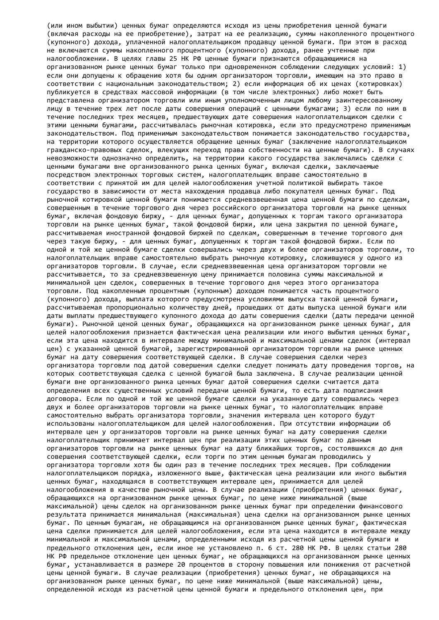(или ином выбытии) ценных бумаг определяются исходя из цены приобретения ценной бумаги (включая расходы на ее приобретение), затрат на ее реализацию, суммы накопленного процентного (купонного) дохода, уплаченной налогоплательщиком продавцу ценной бумаги. При этом в расход не включаются суммы накопленного процентного (купонного) дохода, ранее учтенные при налогообложении. В целях главы 25 НК РФ ценные бумаги признаются обращающимися на организованном рынке ценных бумаг только при одновременном соблюдении следующих условий: 1) если они допущены к обращению хотя бы одним организатором торговли, имеющим на это право в соответствии с национальным законодательством; 2) если информация об их ценах (котировках) публикуется в средствах массовой информации (в том числе электронных) либо может быть представлена организатором торговли или иным уполномоченным лицом любому заинтересованному лицу в течение трех лет после даты совершения операций с ценными бумагами; 3) если по ним в течение последних трех месяцев, предшествующих дате совершения налогоплательщиком сделки с этими ценными бумагами, рассчитывалась рыночная котировка, если это предусмотрено применимым законодательством. Под применимым законодательством понимается законодательство государства, на территории которого осуществляется обращение ценных бумаг (заключение налогоплательщиком гражданско-правовых сделок, влекущих переход права собственности на ценные бумаги). В случаях невозможности однозначно определить, на территории какого государства заключались сделки с ценными бумагами вне организованного рынка ценных бумаг, включая сделки, заключаемые посредством электронных торговых систем, налогоплательщик вправе самостоятельно в соответствии с принятой им для целей налогообложения учетной политикой выбирать такое государство в зависимости от места нахождения продавца либо покупателя ценных бумаг. Под рыночной котировкой ценной бумаги понимается средневзвешенная цена ценной бумаги по сделкам, совершенным в течение торгового дня через российского организатора торговли на рынке ценных бумаг, включая фондовую биржу, - для ценных бумаг, допущенных к торгам такого организатора торговли на рынке ценных бумаг, такой фондовой биржи, или цена закрытия по ценной бумаге, рассчитываемая иностранной фондовой биржей по сделкам, совершенным в течение торгового дня через такую биржу, - для ценных бумаг, допущенных к торгам такой фондовой биржи. Если по одной и той же ценной бумаге сделки совершались через двух и более организаторов торговли, то налогоплательщик вправе самостоятельно выбрать рыночную котировку, сложившуюся у одного из организаторов торговли. В случае, если средневзвешенная цена организатором торговли не рассчитывается, то за средневзвешенную цену принимается половина суммы максимальной и минимальной цен сделок, совершенных в течение торгового дня через этого организатора торговли. Под накопленным процентным (купонным) доходом понимается часть процентного (купонного) дохода, выплата которого предусмотрена условиями выпуска такой ценной бумаги, рассчитываемая пропорционально количеству дней, прошедших от даты выпуска ценной бумаги или даты выплаты предшествующего купонного дохода до даты совершения сделки (даты передачи ценной бумаги). Рыночной ценой ценных бумаг, обращающихся на организованном рынке ценных бумаг, для целей налогообложения признается фактическая цена реализации или иного выбытия ценных бумаг, если эта цена находится в интервале между минимальной и максимальной ценами сделок (интервал цен) с указанной ценной бумагой, зарегистрированной организатором торговли на рынке ценных бумаг на дату совершения соответствующей сделки. В случае совершения сделки через организатора торговли под датой совершения сделки следует понимать дату проведения торгов, на которых соответствующая сделка с ценной бумагой была заключена. В случае реализации ценной бумаги вне организованного рынка ценных бумаг датой совершения сделки считается дата определения всех существенных условий передачи ценной бумаги, то есть дата подписания договора. Если по одной и той же ценной бумаге сделки на указанную дату совершались через двух и более организаторов торговли на рынке ценных бумаг, то налогоплательщик вправе самостоятельно выбрать организатора торговли, значения интервала цен которого будут использованы налогоплательщиком для целей налогообложения. При отсутствии информации об интервале цен у организаторов торговли на рынке ценных бумаг на дату совершения сделки налогоплательщик принимает интервал цен при реализации этих ценных бумаг по данным организаторов торговли на рынке ценных бумаг на дату ближайших торгов, состоявшихся до дня совершения соответствующей сделки, если торги по этим ценным бумагам проводились у организатора торговли хотя бы один раз в течение последних трех месяцев. При соблюдении налогоплательщиком порядка, изложенного выше, фактическая цена реализации или иного выбытия ценных бумаг, находящаяся в соответствующем интервале цен, принимается для целей налогообложения в качестве рыночной цены. В случае реализации (приобретения) ценных бумаг, обращающихся на организованном рынке ценных бумаг, по цене ниже минимальной (выше максимальной) цены сделок на организованном рынке ценных бумаг при определении финансового результата принимается минимальная (максимальная) цена сделки на организованном рынке ценных бумаг. По ценным бумагам, не обращающимся на организованном рынке ценных бумаг, фактическая цена сделки принимается для целей налогообложения, если эта цена находится в интервале между минимальной и максимальной ценами, определенными исходя из расчетной цены ценной бумаги и предельного отклонения цен, если иное не установлено п. 6 ст. 280 НК РФ. В целях статьи 280 НК РФ предельное отклонение цен ценных бумаг, не обращающихся на организованном рынке ценных бумаг, устанавливается в размере 20 процентов в сторону повышения или понижения от расчетной цены ценной бумаги. В случае реализации (приобретения) ценных бумаг, не обращающихся на организованном рынке ценных бумаг, по цене ниже минимальной (выше максимальной) цены, определенной исходя из расчетной цены ценной бумаги и предельного отклонения цен, при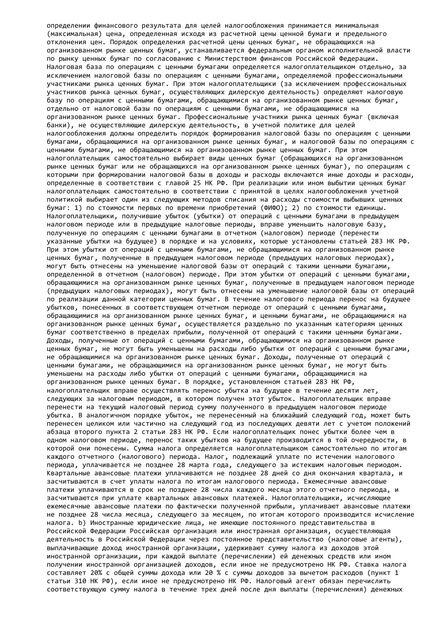определении финансового результата для целей налогообложения принимается минимальная (максимальная) цена, определенная исходя из расчетной цены ценной бумаги и предельного отклонения цен. Порядок определения расчетной цены ценных бумаг, не обращающихся на организованном рынке ценных бумаг, устанавливается федеральным органом исполнительной власти по рынку ценных бумаг по согласованию с Министерством финансов Российской Федерации. Налоговая база по операциям с ценными бумагами определяется налогоплательщиком отдельно, за исключением налоговой базы по операциям с ценными бумагами, определяемой профессиональными участниками рынка ценных бумаг. При этом налогоплательщики (за исключением профессиональных участников рынка ценных бумаг, осуществляющих дилерскую деятельность) определяют налоговую базу по операциям с ценными бумагами, обращающимися на организованном рынке ценных бумаг, отдельно от налоговой базы по операциям с ценными бумагами, не обращающимися на организованном рынке ценных бумаг. Профессиональные участники рынка ценных бумаг (включая банки), не осуществляющие дилерскую деятельность, в учетной политике для целей налогообложения должны определить порядок формирования налоговой базы по операциям с ценными бумагами, обращающимися на организованном рынке ценных бумаг, и налоговой базы по операциям с ценными бумагами, не обращающимися на организованном рынке ценных бумаг. При этом налогоплательщик самостоятельно выбирает виды ценных бумаг (обращающихся на организованном рынке ценных бумаг или не обращающихся на организованном рынке ценных бумаг), по операциям с которыми при формировании налоговой базы в доходы и расходы включаются иные доходы и расходы, определенные в соответствии с главой 25 НК РФ. При реализации или ином выбытии ценных бумаг налогоплательщик самостоятельно в соответствии с принятой в целях налогообложения учетной политикой выбирает один из следующих методов списания на расходы стоимости выбывших ценных бумаг: 1) по стоимости первых по времени приобретений (ФИФО); 2) по стоимости единицы. Налогоплательщики, получившие убыток (убытки) от операций с ценными бумагами в предыдущем налоговом периоде или в предыдущие налоговые периоды, вправе уменьшить налоговую базу, полученную по операциям с ценными бумагами в отчетном (налоговом) периоде (перенести указанные убытки на будущее) в порядке и на условиях, которые установлены статьей 283 НК РФ. При этом убытки от операций с ценными бумагами, не обращающимися на организованном рынке ценных бумаг, полученные в предыдущем налоговом периоде (предыдущих налоговых периодах), могут быть отнесены на уменьшение налоговой базы от операций с такими ценными бумагами, определенной в отчетном (налоговом) периоде. При этом убытки от операций с ценными бумагами, обращающимися на организованном рынке ценных бумаг, полученные в предыдущем налоговом периоде (предыдущих налоговых периодах), могут быть отнесены на уменьшение налоговой базы от операций по реализации данной категории ценных бумаг. В течение налогового периода перенос на будущее убытков, понесенных в соответствующем отчетном периоде от операций с ценными бумагами, обращающимися на организованном рынке ценных бумаг, и ценными бумагами, не обращающимися на организованном рынке ценных бумаг, осуществляется раздельно по указанным категориям ценных бумаг соответственно в пределах прибыли, полученной от операций с такими ценными бумагами. Доходы, полученные от операций с ценными бумагами, обращающимися на организованном рынке ценных бумаг, не могут быть уменьшены на расходы либо убытки от операций с ценными бумагами, не обращающимися на организованном рынке ценных бумаг. Доходы, полученные от операций с ценными бумагами, не обращающимися на организованном рынке ценных бумаг, не могут быть уменьшены на расходы либо убытки от операций с ценными бумагами, обращающимися на организованном рынке ценных бумаг. В порядке, установленном статьей 283 НК РФ, налогоплательщик вправе осуществлять перенос убытка на будущее в течение десяти лет, следующих за налоговым периодом, в котором получен этот убыток. Налогоплательщик вправе перенести на текущий налоговый период сумму полученного в предыдущем налоговом периоде убытка. В аналогичном порядке убыток, не перенесенный на ближайший следующий год, может быть перенесен целиком или частично на следующий год из последующих девяти лет с учетом положений абзаца второго пункта 2 статьи 283 НК РФ. Если налогоплательщик понес убытки более чем в одном налоговом периоде, перенос таких убытков на будущее производится в той очередности, в которой они понесены. Сумма налога определяется налогоплательщиком самостоятельно по итогам каждого отчетного (налогового) периода. Налог, подлежащий уплате по истечении налогового периода, уплачивается не позднее 28 марта года, следующего за истекшим налоговым периодом. Квартальные авансовые платежи уплачиваются не позднее 28 дней со дня окончания квартала, и засчитываются в счет уплаты налога по итогам налогового периода. Ежемесячные авансовые платежи уплачиваются в срок не позднее 28 числа каждого месяца этого отчетного периода, и засчитываются при уплате квартальных авансовых платежей. Налогоплательщики, исчисляющие ежемесячные авансовые платежи по фактически полученной прибыли, уплачивают авансовые платежи не позднее 28 числа месяца, следующего за месяцем, по итогам которого производится исчисление налога. b) Иностранные юридические лица, не имеющие постоянного представительства в Российской Федерации Российская организация или иностранная организация, осуществляющая деятельность в Российской Федерации через постоянное представительство (налоговые агенты), выплачивающие доход иностранной организации, удерживают сумму налога из доходов этой иностранной организации, при каждой выплате (перечислении) ей денежных средств или ином получении иностранной организацией доходов, если иное не предусмотрено НК РФ. Ставка налога составляет 20% с общей суммы дохода или 20 % с суммы доходов за вычетом расходов (пункт 1 статьи 310 НК РФ), если иное не предусмотрено НК РФ. Налоговый агент обязан перечислить соответствующую сумму налога в течение трех дней после дня выплаты (перечисления) денежных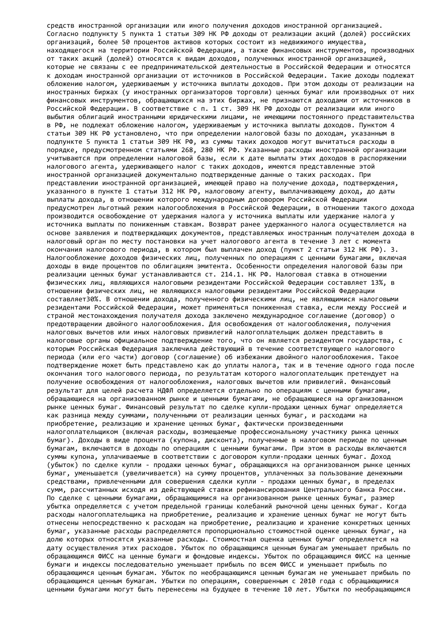средств иностранной организации или иного получения доходов иностранной организацией. Согласно подпункту 5 пункта 1 статьи 309 НК РФ доходы от реализации акций (долей) российских организаций, более 50 процентов активов которых состоит из недвижимого имущества, находящегося на территории Российской Федерации, а также финансовых инструментов, производных от таких акций (долей) относятся к видам доходов, полученных иностранной организацией, которые не связаны с ее предпринимательской деятельностью в Российской Федерации и относятся к доходам иностранной организации от источников в Российской Федерации. Такие доходы подлежат обложению налогом, удерживаемым у источника выплаты доходов. При этом доходы от реализации на иностранных биржах (у иностранных организаторов торговли) ценных бумаг или производных от них финансовых инструментов, обращающихся на этих биржах, не признаются доходами от источников в Российской Федерации. В соответствие с п. 1 ст. 309 НК РФ доходы от реализации или иного выбытия облигаций иностранными юридическими лицами, не имеющими постоянного представительства в РФ, не подлежат обложению налогом, удерживаемым у источника выплаты доходов. Пунктом 4 статьи 309 НК РФ установлено, что при определении налоговой базы по доходам, указанным в подпункте 5 пункта 1 статьи 309 НК РФ, из суммы таких доходов могут вычитаться расходы в порядке, предусмотренном статьями 268, 280 НК РФ. Указанные расходы иностранной организации учитываются при определении налоговой базы, если к дате выплаты этих доходов в распоряжении налогового агента, удерживающего налог с таких доходов, имеются представленные этой иностранной организацией документально подтвержденные данные о таких расходах. При представлении иностранной организацией, имеющей право на получение дохода, подтверждения, указанного в пункте 1 статьи 312 НК РФ, налоговому агенту, выплачивающему доход, до даты выплаты дохода, в отношении которого международным договором Российской Федерации предусмотрен льготный режим налогообложения в Российской Федерации, в отношении такого дохода производится освобождение от удержания налога у источника выплаты или удержание налога у источника выплаты по пониженным ставкам. Возврат ранее удержанного налога осуществляется на основе заявления и подтверждающих документов, представляемых иностранным получателем дохода в налоговый орган по месту постановки на учет налогового агента в течение 3 лет с момента окончания налогового периода, в котором был выплачен доход (пункт 2 статьи 312 НК РФ). 3. Налогообложение доходов физических лиц, полученных по операциям с ценными бумагами, включая доходы в виде процентов по облигациям эмитента. Особенности определения налоговой базы при реализации ценных бумаг устанавливаются ст. 214.1. НК РФ. Налоговая ставка в отношении физических лиц, являющихся налоговыми резидентами Российской Федерации составляет 13%, в отношении физических лиц, не являющихся налоговыми резидентами Российской Федерации составляет30%. В отношении дохода, полученного физическими лиц, не являющимися налоговыми резидентами Российской Федерации, может применяться пониженная ставка, если между Россией и страной местонахождения получателя дохода заключено международное соглашение (договор) о предотвращении двойного налогообложения. Для освобождения от налогообложения, получения налоговых вычетов или иных налоговых привилегий налогоплательщик должен представить в налоговые органы официальное подтверждение того, что он является резидентом государства, с которым Российская Федерация заключила действующий в течение соответствующего налогового периода (или его части) договор (соглашение) об избежании двойного налогообложения. Такое подтверждение может быть представлено как до уплаты налога, так и в течение одного года после окончания того налогового периода, по результатам которого налогоплательщик претендует на получение освобождения от налогообложения, налоговых вычетов или привилегий. Финансовый результат для целей расчета НДФЛ определяется отдельно по операциям с ценными бумагами, обращающиеся на организованном рынке и ценными бумагами, не обращающиеся на организованном рынке ценных бумаг. Финансовый результат по сделке купли-продажи ценных бумаг определяется как разница между суммами, полученными от реализации ценных бумаг, и расходами на приобретение, реализацию и хранение ценных бумаг, фактически произведенными налогоплательщиком (включая расходы, возмещаемые профессиональному участнику рынка ценных бумаг). Доходы в виде процента (купона, дисконта), полученные в налоговом периоде по ценным бумагам, включаются в доходы по операциям с ценными бумагами. При этом в расходы включаются суммы купона, уплачиваемые в соответствии с договором купли-продажи ценных бумаг. Доход (убыток) по сделке купли - продажи ценных бумаг, обращающихся на организованном рынке ценных бумаг, уменьшается (увеличивается) на сумму процентов, уплаченных за пользование денежными средствами, привлеченными для совершения сделки купли - продажи ценных бумаг, в пределах сумм, рассчитанных исходя из действующей ставки рефинансирования Центрального банка России. По сделке с ценными бумагами, обращающимися на организованном рынке ценных бумаг, размер убытка определяется с учетом предельной границы колебаний рыночной цены ценных бумаг. Когда расходы налогоплательщика на приобретение, реализацию и хранение ценных бумаг не могут быть отнесены непосредственно к расходам на приобретение, реализацию и хранение конкретных ценных бумаг, указанные расходы распределяются пропорционально стоимостной оценке ценных бумаг, на долю которых относятся указанные расходы. Стоимостная оценка ценных бумаг определяется на дату осуществления этих расходов. Убыток по обращающимся ценным бумагам уменьшает прибыль по обращающимся ФИСС на ценные бумаги и фондовые индексы. Убыток по обращающимся ФИСС на ценные бумаги и индексы последовательно уменьшает прибыль по всем ФИСС и уменьшает прибыль по обращающимся ценным бумагам. Убыток по необращающимся ценным бумагам не уменьшает прибыль по обращающимся ценным бумагам. Убытки по операциям, совершенным с 2010 года с обращающимися ценными бумагами могут быть перенесены на будущее в течение 10 лет. Убытки по необращающимся